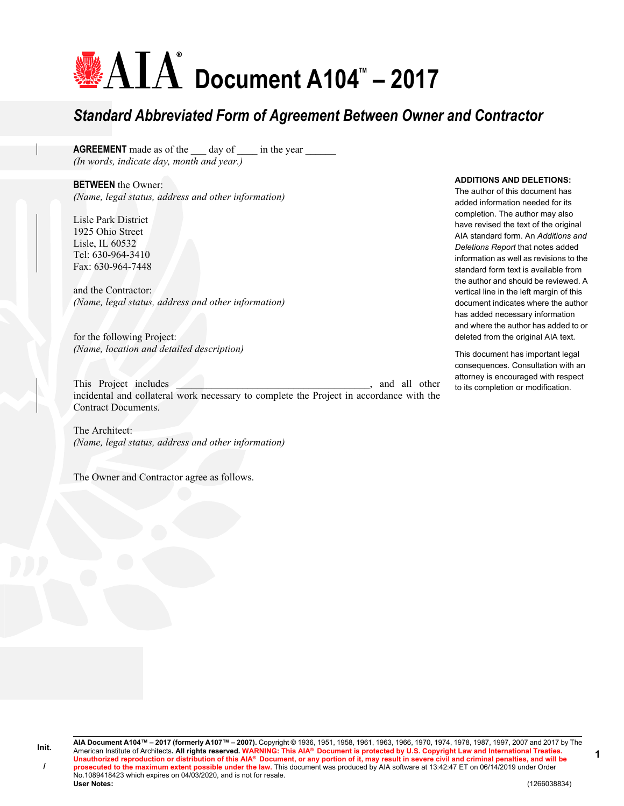# *LA* Document A104<sup>\*</sup> – 2017

# *Standard Abbreviated Form of Agreement Between Owner and Contractor*

**AGREEMENT** made as of the day of in the year *(In words, indicate day, month and year.)*

**BETWEEN** the Owner: *(Name, legal status, address and other information)*

Lisle Park District 1925 Ohio Street Lisle, IL 60532 Tel: 630-964-3410 Fax: 630-964-7448

and the Contractor: *(Name, legal status, address and other information)*

for the following Project: *(Name, location and detailed description)*

This Project includes the same state of the state of the state of the state of the state of the state of the state of the state of the state of the state of the state of the state of the state of the state of the state of incidental and collateral work necessary to complete the Project in accordance with the Contract Documents.

The Architect: *(Name, legal status, address and other information)*

The Owner and Contractor agree as follows.

#### **ADDITIONS AND DELETIONS:**

The author of this document has added information needed for its completion. The author may also have revised the text of the original AIA standard form. An *Additions and Deletions Report* that notes added information as well as revisions to the standard form text is available from the author and should be reviewed. A vertical line in the left margin of this document indicates where the author has added necessary information and where the author has added to or deleted from the original AIA text.

This document has important legal consequences. Consultation with an attorney is encouraged with respect to its completion or modification.

**AIA Document A104™ – 2017 (formerly A107™ – 2007).** Copyright © 1936, 1951, 1958, 1961, 1963, 1966, 1970, 1974, 1978, 1987, 1997, 2007 and 2017 by The American Institute of Architects**. All rights reserved. WARNING: This AIA® Document is protected by U.S. Copyright Law and International Treaties. Unauthorized reproduction or distribution of this AIA® Document, or any portion of it, may result in severe civil and criminal penalties, and will be prosecuted to the maximum extent possible under the law.** This document was produced by AIA software at 13:42:47 ET on 06/14/2019 under Order No.1089418423 which expires on 04/03/2020, and is not for resale. **User Notes:** (1266038834)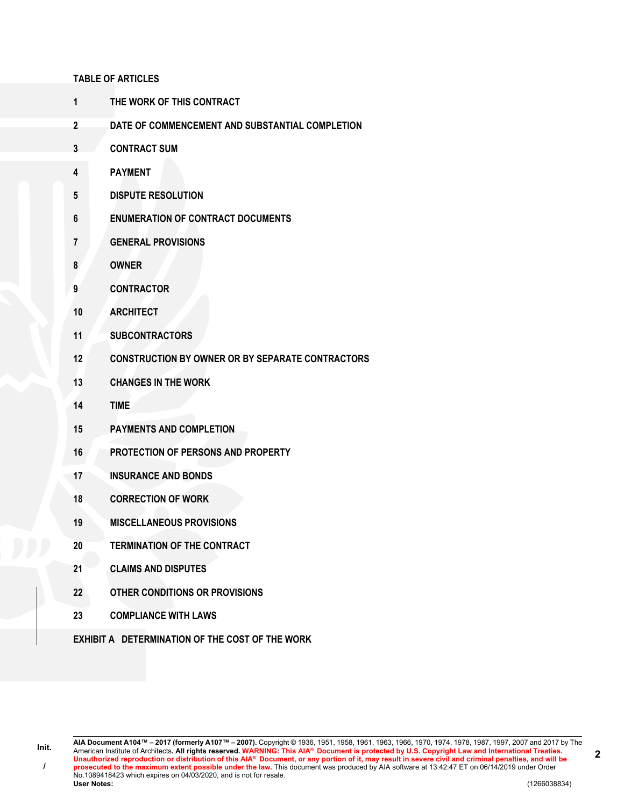# **TABLE OF ARTICLES**

- **1 THE WORK OF THIS CONTRACT**
- **2 DATE OF COMMENCEMENT AND SUBSTANTIAL COMPLETION**
- **3 CONTRACT SUM**
- **4 PAYMENT**
- **5 DISPUTE RESOLUTION**
- **6 ENUMERATION OF CONTRACT DOCUMENTS**
- **7 GENERAL PROVISIONS**
- **8 OWNER**
- **9 CONTRACTOR**
- **10 ARCHITECT**
- **11 SUBCONTRACTORS**
- **12 CONSTRUCTION BY OWNER OR BY SEPARATE CONTRACTORS**
- **13 CHANGES IN THE WORK**
- **14 TIME**
- **15 PAYMENTS AND COMPLETION**
- **16 PROTECTION OF PERSONS AND PROPERTY**
- **17 INSURANCE AND BONDS**
- **18 CORRECTION OF WORK**
- **19 MISCELLANEOUS PROVISIONS**
- **20 TERMINATION OF THE CONTRACT**
- **21 CLAIMS AND DISPUTES**
- **22 OTHER CONDITIONS OR PROVISIONS**
- **23 COMPLIANCE WITH LAWS**
- **EXHIBIT A DETERMINATION OF THE COST OF THE WORK**

AIA Document A104™ – 2017 (formerly A107™ – 2007). Copyright © 1936, 1951, 1958, 1961, 1963, 1966, 1970, 1974, 1978, 1987, 1997, 2007 and 2017 by The<br>American Institute of Architects**. All rights reserved. WARNING: This A Unauthorized reproduction or distribution of this AIA® Document, or any portion of it, may result in severe civil and criminal penalties, and will be prosecuted to the maximum extent possible under the law.** This document was produced by AIA software at 13:42:47 ET on 06/14/2019 under Order No.1089418423 which expires on 04/03/2020, and is not for resale. **User Notes:** (1266038834)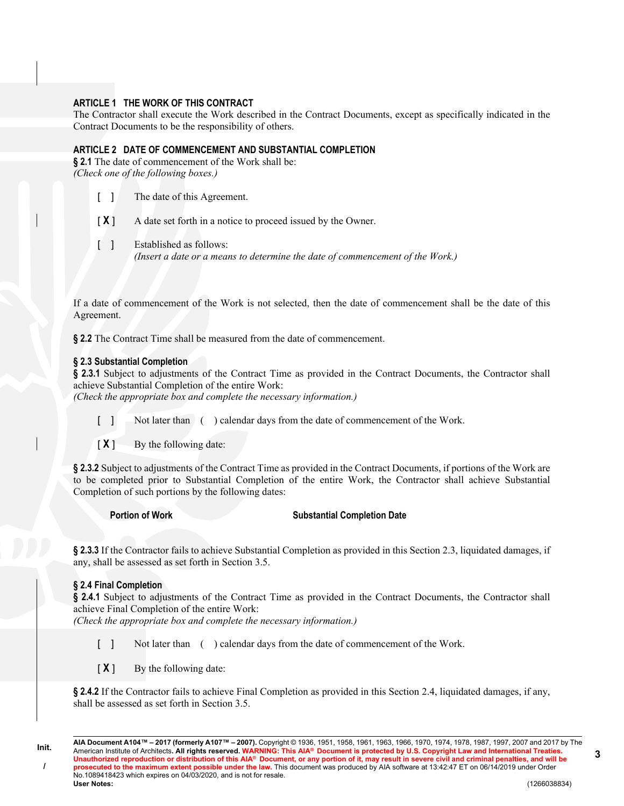# **ARTICLE 1 THE WORK OF THIS CONTRACT**

The Contractor shall execute the Work described in the Contract Documents, except as specifically indicated in the Contract Documents to be the responsibility of others.

#### **ARTICLE 2 DATE OF COMMENCEMENT AND SUBSTANTIAL COMPLETION**

§ 2.1 The date of commencement of the Work shall be: *(Check one of the following boxes.)*

- [ ] The date of this Agreement.
- [ $X$ ] A date set forth in a notice to proceed issued by the Owner.
- [ ] Established as follows: *(Insert a date or a means to determine the date of commencement of the Work.)*

If a date of commencement of the Work is not selected, then the date of commencement shall be the date of this Agreement.

**§ 2.2** The Contract Time shall be measured from the date of commencement.

#### **§ 2.3 Substantial Completion**

**§ 2.3.1** Subject to adjustments of the Contract Time as provided in the Contract Documents, the Contractor shall achieve Substantial Completion of the entire Work:

*(Check the appropriate box and complete the necessary information.)*

- [ ] Not later than ( ) calendar days from the date of commencement of the Work.
- $[X]$  By the following date:

**§ 2.3.2** Subject to adjustments of the Contract Time as provided in the Contract Documents, if portions of the Work are to be completed prior to Substantial Completion of the entire Work, the Contractor shall achieve Substantial Completion of such portions by the following dates:

**Portion of Work Substantial Completion Date**

**§ 2.3.3** If the Contractor fails to achieve Substantial Completion as provided in this Section 2.3, liquidated damages, if any, shall be assessed as set forth in Section 3.5.

# **§ 2.4 Final Completion**

**Init. /**

§ 2.4.1 Subject to adjustments of the Contract Time as provided in the Contract Documents, the Contractor shall achieve Final Completion of the entire Work:

*(Check the appropriate box and complete the necessary information.)*

- [ ] Not later than ( ) calendar days from the date of commencement of the Work.
- [ $X$ ] By the following date:

**§ 2.4.2** If the Contractor fails to achieve Final Completion as provided in this Section 2.4, liquidated damages, if any, shall be assessed as set forth in Section 3.5.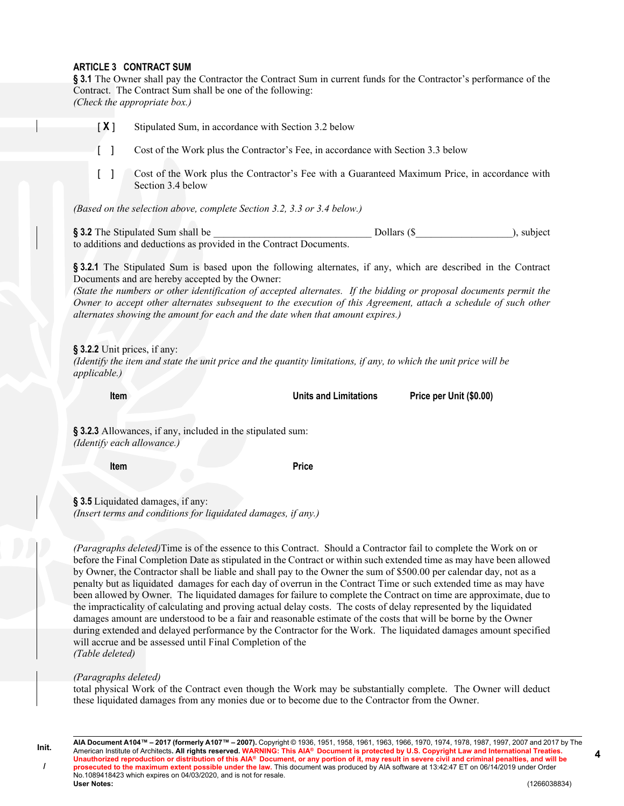#### **ARTICLE 3 CONTRACT SUM**

**§ 3.1** The Owner shall pay the Contractor the Contract Sum in current funds for the Contractor's performance of the Contract. The Contract Sum shall be one of the following: *(Check the appropriate box.)*

- [ $X$ ] Stipulated Sum, in accordance with Section 3.2 below
- [ ] Cost of the Work plus the Contractor's Fee, in accordance with Section 3.3 below
- [ ] Cost of the Work plus the Contractor's Fee with a Guaranteed Maximum Price, in accordance with Section 3.4 below

*(Based on the selection above, complete Section 3.2, 3.3 or 3.4 below.)*

**§ 3.2** The Stipulated Sum shall be  $\qquad \qquad$  Dollars (\$  $\qquad \qquad$  ), subject to additions and deductions as provided in the Contract Documents.

**§ 3.2.1** The Stipulated Sum is based upon the following alternates, if any, which are described in the Contract Documents and are hereby accepted by the Owner:

*(State the numbers or other identification of accepted alternates. If the bidding or proposal documents permit the Owner to accept other alternates subsequent to the execution of this Agreement, attach a schedule of such other alternates showing the amount for each and the date when that amount expires.)*

#### **§ 3.2.2** Unit prices, if any:

*(Identify the item and state the unit price and the quantity limitations, if any, to which the unit price will be applicable.)*

**Item Units and Limitations Price per Unit (\$0.00)**

**§ 3.2.3** Allowances, if any, included in the stipulated sum: *(Identify each allowance.)*

**Item Price**

**§ 3.5** Liquidated damages, if any: *(Insert terms and conditions for liquidated damages, if any.)*

*(Paragraphs deleted)*Time is of the essence to this Contract. Should a Contractor fail to complete the Work on or before the Final Completion Date as stipulated in the Contract or within such extended time as may have been allowed by Owner, the Contractor shall be liable and shall pay to the Owner the sum of \$500.00 per calendar day, not as a penalty but as liquidated damages for each day of overrun in the Contract Time or such extended time as may have been allowed by Owner. The liquidated damages for failure to complete the Contract on time are approximate, due to the impracticality of calculating and proving actual delay costs. The costs of delay represented by the liquidated damages amount are understood to be a fair and reasonable estimate of the costs that will be borne by the Owner during extended and delayed performance by the Contractor for the Work. The liquidated damages amount specified will accrue and be assessed until Final Completion of the *(Table deleted)*

#### *(Paragraphs deleted)*

total physical Work of the Contract even though the Work may be substantially complete. The Owner will deduct these liquidated damages from any monies due or to become due to the Contractor from the Owner.

**Init. /**

**AIA Document A104™ – 2017 (formerly A107™ – 2007).** Copyright © 1936, 1951, 1958, 1961, 1963, 1966, 1970, 1974, 1978, 1987, 1997, 2007 and 2017 by The American Institute of Architects**. All rights reserved. WARNING: This AIA® Document is protected by U.S. Copyright Law and International Treaties. Unauthorized reproduction or distribution of this AIA® Document, or any portion of it, may result in severe civil and criminal penalties, and will be prosecuted to the maximum extent possible under the law.** This document was produced by AIA software at 13:42:47 ET on 06/14/2019 under Order No.1089418423 which expires on 04/03/2020, and is not for resale.<br>User Notes: **User Notes:** (1266038834)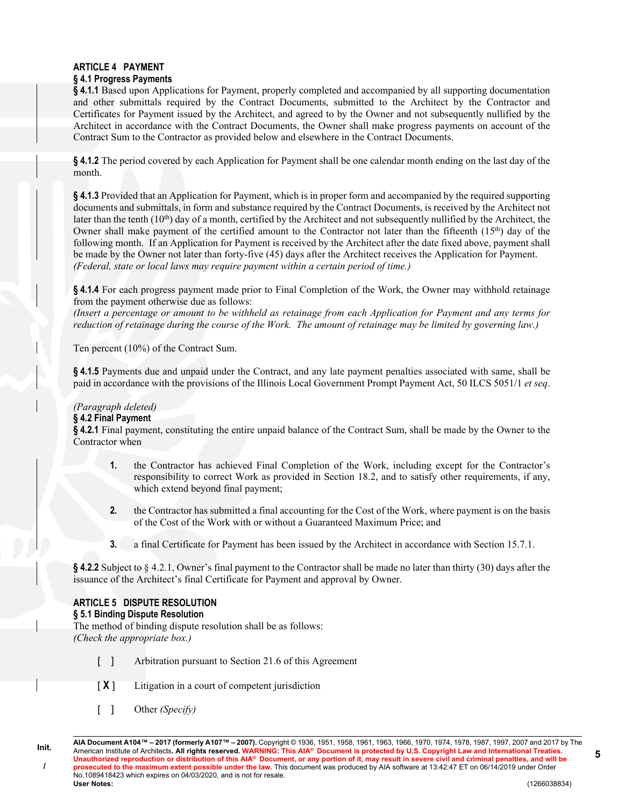# **ARTICLE 4 PAYMENT**

# **§ 4.1 Progress Payments**

**§ 4.1.1** Based upon Applications for Payment, properly completed and accompanied by all supporting documentation and other submittals required by the Contract Documents, submitted to the Architect by the Contractor and Certificates for Payment issued by the Architect, and agreed to by the Owner and not subsequently nullified by the Architect in accordance with the Contract Documents, the Owner shall make progress payments on account of the Contract Sum to the Contractor as provided below and elsewhere in the Contract Documents.

**§ 4.1.2** The period covered by each Application for Payment shall be one calendar month ending on the last day of the month.

**§ 4.1.3** Provided that an Application for Payment, which is in proper form and accompanied by the required supporting documents and submittals, in form and substance required by the Contract Documents, is received by the Architect not later than the tenth  $(10<sup>th</sup>)$  day of a month, certified by the Architect and not subsequently nullified by the Architect, the Owner shall make payment of the certified amount to the Contractor not later than the fifteenth  $(15<sup>th</sup>)$  day of the following month. If an Application for Payment is received by the Architect after the date fixed above, payment shall be made by the Owner not later than forty-five (45) days after the Architect receives the Application for Payment. *(Federal, state or local laws may require payment within a certain period of time.)*

**§ 4.1.4** For each progress payment made prior to Final Completion of the Work, the Owner may withhold retainage from the payment otherwise due as follows:

*(Insert a percentage or amount to be withheld as retainage from each Application for Payment and any terms for reduction of retainage during the course of the Work. The amount of retainage may be limited by governing law.)*

Ten percent (10%) of the Contract Sum.

**§ 4.1.5** Payments due and unpaid under the Contract, and any late payment penalties associated with same, shall be paid in accordance with the provisions of the Illinois Local Government Prompt Payment Act, 50 ILCS 5051/1 *et seq*.

# *(Paragraph deleted)*

**§ 4.2 Final Payment**

§ 4.2.1 Final payment, constituting the entire unpaid balance of the Contract Sum, shall be made by the Owner to the Contractor when

- **1.** the Contractor has achieved Final Completion of the Work, including except for the Contractor's responsibility to correct Work as provided in Section 18.2, and to satisfy other requirements, if any, which extend beyond final payment;
- **2.** the Contractor has submitted a final accounting for the Cost of the Work, where payment is on the basis of the Cost of the Work with or without a Guaranteed Maximum Price; and
- **3.** a final Certificate for Payment has been issued by the Architect in accordance with Section 15.7.1.

**§ 4.2.2** Subject to § 4.2.1, Owner's final payment to the Contractor shall be made no later than thirty (30) days after the issuance of the Architect's final Certificate for Payment and approval by Owner.

# **ARTICLE 5 DISPUTE RESOLUTION**

# **§ 5.1 Binding Dispute Resolution**

The method of binding dispute resolution shall be as follows: *(Check the appropriate box.)*

- [ ] Arbitration pursuant to Section 21.6 of this Agreement
- [ **X** ] Litigation in a court of competent jurisdiction
- [ ] Other *(Specify)*

**Init. /**

**AIA Document A104™ – 2017 (formerly A107™ – 2007).** Copyright © 1936, 1951, 1958, 1961, 1963, 1966, 1970, 1974, 1978, 1987, 1997, 2007 and 2017 by The American Institute of Architects**. All rights reserved. WARNING: This AIA® Document is protected by U.S. Copyright Law and International Treaties. Unauthorized reproduction or distribution of this AIA® Document, or any portion of it, may result in severe civil and criminal penalties, and will be prosecuted to the maximum extent possible under the law.** This document was produced by AIA software at 13:42:47 ET on 06/14/2019 under Order No.1089418423 which expires on 04/03/2020, and is not for resale.<br>User Notes: **User Notes:** (1266038834)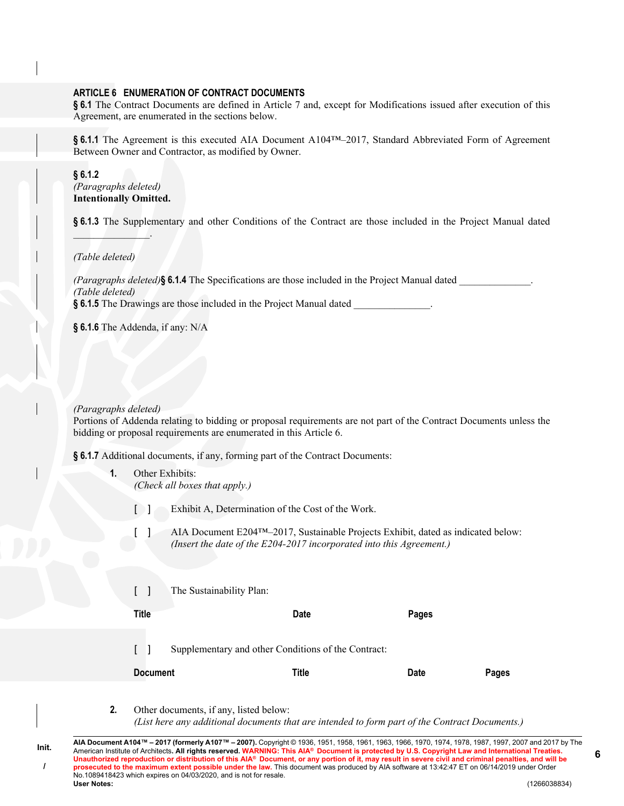#### **ARTICLE 6 ENUMERATION OF CONTRACT DOCUMENTS**

**§ 6.1** The Contract Documents are defined in Article 7 and, except for Modifications issued after execution of this Agreement, are enumerated in the sections below.

§ 6.1.1 The Agreement is this executed AIA Document A104<sup>TM</sup>–2017, Standard Abbreviated Form of Agreement Between Owner and Contractor, as modified by Owner.

**§ 6.1.2** *(Paragraphs deleted)* **Intentionally Omitted.**

**§ 6.1.3** The Supplementary and other Conditions of the Contract are those included in the Project Manual dated

*(Table deleted)*

 $\mathcal{L}=\mathcal{L}$  , where  $\mathcal{L}=\mathcal{L}$ 

*(Paragraphs deleted)***§ 6.1.4** The Specifications are those included in the Project Manual dated \_\_\_\_\_\_\_\_\_\_\_\_\_\_. *(Table deleted)* **§ 6.1.5** The Drawings are those included in the Project Manual dated \_\_\_\_\_\_\_\_\_\_\_\_\_\_\_.

**§ 6.1.6** The Addenda, if any: N/A

*(Paragraphs deleted)*

Portions of Addenda relating to bidding or proposal requirements are not part of the Contract Documents unless the bidding or proposal requirements are enumerated in this Article 6.

**§ 6.1.7** Additional documents, if any, forming part of the Contract Documents:

- **1.** Other Exhibits: *(Check all boxes that apply.)*
	- [  $\Box$  Exhibit A, Determination of the Cost of the Work.
	- [ ] AIA Document E204™–2017, Sustainable Projects Exhibit, dated as indicated below: *(Insert the date of the E204-2017 incorporated into this Agreement.)*
	- [ ] The Sustainability Plan:

**Title Date Pages** [ ] Supplementary and other Conditions of the Contract: **Document Title Date Pages**

**2.** Other documents, if any, listed below: *(List here any additional documents that are intended to form part of the Contract Documents.)*

**6**

**Init. /**

AIA Document A104™ – 2017 (formerly A107™ – 2007). Copyright © 1936, 1951, 1958, 1961, 1963, 1966, 1970, 1974, 1978, 1987, 1997, 2007 and 2017 by The<br>American Institute of Architects**. All rights reserved. WARNING: This A Unauthorized reproduction or distribution of this AIA® Document, or any portion of it, may result in severe civil and criminal penalties, and will be prosecuted to the maximum extent possible under the law.** This document was produced by AIA software at 13:42:47 ET on 06/14/2019 under Order No.1089418423 which expires on 04/03/2020, and is not for resale. **User Notes:** (1266038834)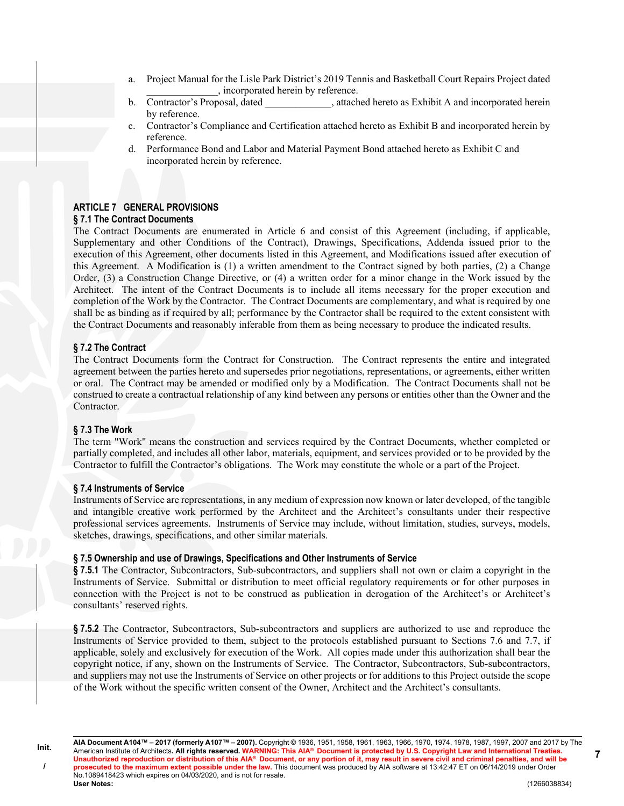- a. Project Manual for the Lisle Park District's 2019 Tennis and Basketball Court Repairs Project dated
- b. Contractor's Proposal, dated herein by reference. , attached hereto as Exhibit A and incorporated herein by reference.
- c. Contractor's Compliance and Certification attached hereto as Exhibit B and incorporated herein by reference.
- d. Performance Bond and Labor and Material Payment Bond attached hereto as Exhibit C and incorporated herein by reference.

# **ARTICLE 7 GENERAL PROVISIONS**

# **§ 7.1 The Contract Documents**

The Contract Documents are enumerated in Article 6 and consist of this Agreement (including, if applicable, Supplementary and other Conditions of the Contract), Drawings, Specifications, Addenda issued prior to the execution of this Agreement, other documents listed in this Agreement, and Modifications issued after execution of this Agreement. A Modification is (1) a written amendment to the Contract signed by both parties, (2) a Change Order, (3) a Construction Change Directive, or (4) a written order for a minor change in the Work issued by the Architect. The intent of the Contract Documents is to include all items necessary for the proper execution and completion of the Work by the Contractor. The Contract Documents are complementary, and what is required by one shall be as binding as if required by all; performance by the Contractor shall be required to the extent consistent with the Contract Documents and reasonably inferable from them as being necessary to produce the indicated results.

#### **§ 7.2 The Contract**

The Contract Documents form the Contract for Construction. The Contract represents the entire and integrated agreement between the parties hereto and supersedes prior negotiations, representations, or agreements, either written or oral. The Contract may be amended or modified only by a Modification. The Contract Documents shall not be construed to create a contractual relationship of any kind between any persons or entities other than the Owner and the Contractor.

#### **§ 7.3 The Work**

The term "Work" means the construction and services required by the Contract Documents, whether completed or partially completed, and includes all other labor, materials, equipment, and services provided or to be provided by the Contractor to fulfill the Contractor's obligations. The Work may constitute the whole or a part of the Project.

#### **§ 7.4 Instruments of Service**

Instruments of Service are representations, in any medium of expression now known or later developed, of the tangible and intangible creative work performed by the Architect and the Architect's consultants under their respective professional services agreements. Instruments of Service may include, without limitation, studies, surveys, models, sketches, drawings, specifications, and other similar materials.

#### **§ 7.5 Ownership and use of Drawings, Specifications and Other Instruments of Service**

§ 7.5.1 The Contractor, Subcontractors, Sub-subcontractors, and suppliers shall not own or claim a copyright in the Instruments of Service. Submittal or distribution to meet official regulatory requirements or for other purposes in connection with the Project is not to be construed as publication in derogation of the Architect's or Architect's consultants' reserved rights.

**§ 7.5.2** The Contractor, Subcontractors, Sub-subcontractors and suppliers are authorized to use and reproduce the Instruments of Service provided to them, subject to the protocols established pursuant to Sections 7.6 and 7.7, if applicable, solely and exclusively for execution of the Work. All copies made under this authorization shall bear the copyright notice, if any, shown on the Instruments of Service. The Contractor, Subcontractors, Sub-subcontractors, and suppliers may not use the Instruments of Service on other projects or for additions to this Project outside the scope of the Work without the specific written consent of the Owner, Architect and the Architect's consultants.

**Init. /**

**AIA Document A104™ – 2017 (formerly A107™ – 2007).** Copyright © 1936, 1951, 1958, 1961, 1963, 1966, 1970, 1974, 1978, 1987, 1997, 2007 and 2017 by The American Institute of Architects**. All rights reserved. WARNING: This AIA® Document is protected by U.S. Copyright Law and International Treaties. Unauthorized reproduction or distribution of this AIA® Document, or any portion of it, may result in severe civil and criminal penalties, and will be prosecuted to the maximum extent possible under the law.** This document was produced by AIA software at 13:42:47 ET on 06/14/2019 under Order No.1089418423 which expires on 04/03/2020, and is not for resale.<br>User Notes: **User Notes:** (1266038834)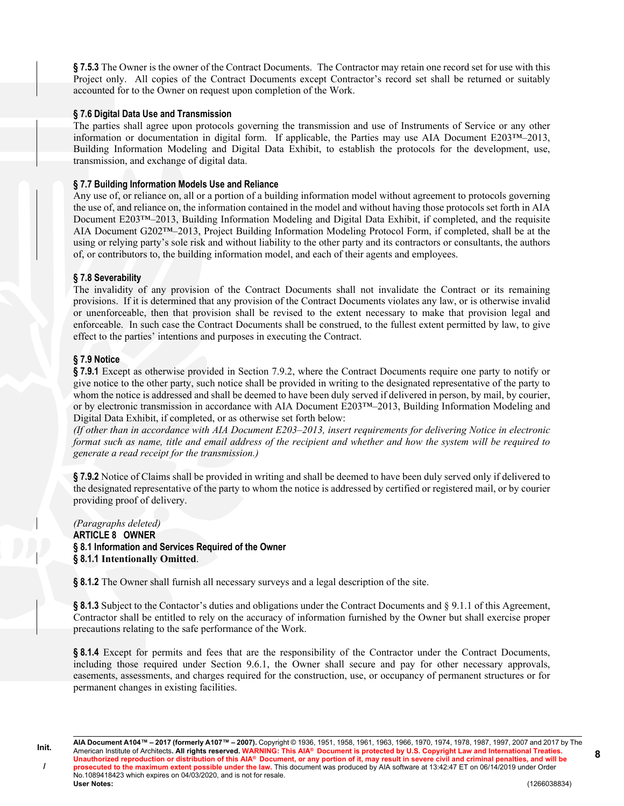**§ 7.5.3** The Owner is the owner of the Contract Documents. The Contractor may retain one record set for use with this Project only. All copies of the Contract Documents except Contractor's record set shall be returned or suitably accounted for to the Owner on request upon completion of the Work.

#### **§ 7.6 Digital Data Use and Transmission**

The parties shall agree upon protocols governing the transmission and use of Instruments of Service or any other information or documentation in digital form. If applicable, the Parties may use AIA Document E203™–2013, Building Information Modeling and Digital Data Exhibit, to establish the protocols for the development, use, transmission, and exchange of digital data.

#### **§ 7.7 Building Information Models Use and Reliance**

Any use of, or reliance on, all or a portion of a building information model without agreement to protocols governing the use of, and reliance on, the information contained in the model and without having those protocols set forth in AIA Document E203™–2013, Building Information Modeling and Digital Data Exhibit, if completed, and the requisite AIA Document G202™–2013, Project Building Information Modeling Protocol Form, if completed, shall be at the using or relying party's sole risk and without liability to the other party and its contractors or consultants, the authors of, or contributors to, the building information model, and each of their agents and employees.

#### **§ 7.8 Severability**

The invalidity of any provision of the Contract Documents shall not invalidate the Contract or its remaining provisions. If it is determined that any provision of the Contract Documents violates any law, or is otherwise invalid or unenforceable, then that provision shall be revised to the extent necessary to make that provision legal and enforceable. In such case the Contract Documents shall be construed, to the fullest extent permitted by law, to give effect to the parties' intentions and purposes in executing the Contract.

# **§ 7.9 Notice**

**§ 7.9.1** Except as otherwise provided in Section 7.9.2, where the Contract Documents require one party to notify or give notice to the other party, such notice shall be provided in writing to the designated representative of the party to whom the notice is addressed and shall be deemed to have been duly served if delivered in person, by mail, by courier, or by electronic transmission in accordance with AIA Document E203™–2013, Building Information Modeling and Digital Data Exhibit, if completed, or as otherwise set forth below:

*(If other than in accordance with AIA Document E203–2013, insert requirements for delivering Notice in electronic format such as name, title and email address of the recipient and whether and how the system will be required to generate a read receipt for the transmission.)*

**§ 7.9.2** Notice of Claims shall be provided in writing and shall be deemed to have been duly served only if delivered to the designated representative of the party to whom the notice is addressed by certified or registered mail, or by courier providing proof of delivery.

*(Paragraphs deleted)* **ARTICLE 8 OWNER § 8.1 Information and Services Required of the Owner § 8.1.1 Intentionally Omitted**.

**§ 8.1.2** The Owner shall furnish all necessary surveys and a legal description of the site.

**§ 8.1.3** Subject to the Contactor's duties and obligations under the Contract Documents and § 9.1.1 of this Agreement, Contractor shall be entitled to rely on the accuracy of information furnished by the Owner but shall exercise proper precautions relating to the safe performance of the Work.

§ 8.1.4 Except for permits and fees that are the responsibility of the Contractor under the Contract Documents, including those required under Section 9.6.1, the Owner shall secure and pay for other necessary approvals, easements, assessments, and charges required for the construction, use, or occupancy of permanent structures or for permanent changes in existing facilities.

**Init. /**

**AIA Document A104™ – 2017 (formerly A107™ – 2007).** Copyright © 1936, 1951, 1958, 1961, 1963, 1966, 1970, 1974, 1978, 1987, 1997, 2007 and 2017 by The American Institute of Architects**. All rights reserved. WARNING: This AIA® Document is protected by U.S. Copyright Law and International Treaties. Unauthorized reproduction or distribution of this AIA® Document, or any portion of it, may result in severe civil and criminal penalties, and will be prosecuted to the maximum extent possible under the law.** This document was produced by AIA software at 13:42:47 ET on 06/14/2019 under Order No.1089418423 which expires on 04/03/2020, and is not for resale.<br>User Notes: **User Notes:** (1266038834)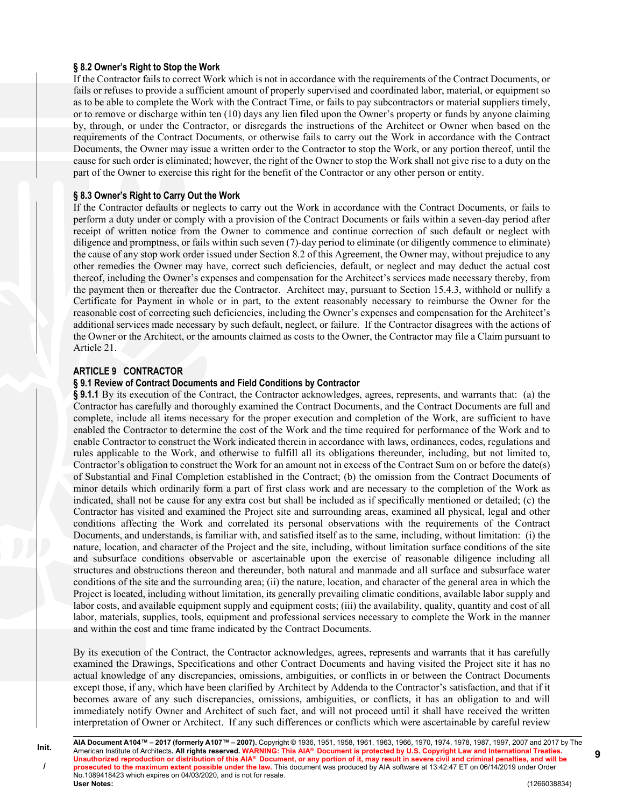#### **§ 8.2 Owner's Right to Stop the Work**

If the Contractor fails to correct Work which is not in accordance with the requirements of the Contract Documents, or fails or refuses to provide a sufficient amount of properly supervised and coordinated labor, material, or equipment so as to be able to complete the Work with the Contract Time, or fails to pay subcontractors or material suppliers timely, or to remove or discharge within ten (10) days any lien filed upon the Owner's property or funds by anyone claiming by, through, or under the Contractor, or disregards the instructions of the Architect or Owner when based on the requirements of the Contract Documents, or otherwise fails to carry out the Work in accordance with the Contract Documents, the Owner may issue a written order to the Contractor to stop the Work, or any portion thereof, until the cause for such order is eliminated; however, the right of the Owner to stop the Work shall not give rise to a duty on the part of the Owner to exercise this right for the benefit of the Contractor or any other person or entity.

#### **§ 8.3 Owner's Right to Carry Out the Work**

If the Contractor defaults or neglects to carry out the Work in accordance with the Contract Documents, or fails to perform a duty under or comply with a provision of the Contract Documents or fails within a seven-day period after receipt of written notice from the Owner to commence and continue correction of such default or neglect with diligence and promptness, or fails within such seven (7)-day period to eliminate (or diligently commence to eliminate) the cause of any stop work order issued under Section 8.2 of this Agreement, the Owner may, without prejudice to any other remedies the Owner may have, correct such deficiencies, default, or neglect and may deduct the actual cost thereof, including the Owner's expenses and compensation for the Architect's services made necessary thereby, from the payment then or thereafter due the Contractor. Architect may, pursuant to Section 15.4.3, withhold or nullify a Certificate for Payment in whole or in part, to the extent reasonably necessary to reimburse the Owner for the reasonable cost of correcting such deficiencies, including the Owner's expenses and compensation for the Architect's additional services made necessary by such default, neglect, or failure. If the Contractor disagrees with the actions of the Owner or the Architect, or the amounts claimed as costs to the Owner, the Contractor may file a Claim pursuant to Article 21.

#### **ARTICLE 9 CONTRACTOR**

#### **§ 9.1 Review of Contract Documents and Field Conditions by Contractor**

**§ 9.1.1** By its execution of the Contract, the Contractor acknowledges, agrees, represents, and warrants that: (a) the Contractor has carefully and thoroughly examined the Contract Documents, and the Contract Documents are full and complete, include all items necessary for the proper execution and completion of the Work, are sufficient to have enabled the Contractor to determine the cost of the Work and the time required for performance of the Work and to enable Contractor to construct the Work indicated therein in accordance with laws, ordinances, codes, regulations and rules applicable to the Work, and otherwise to fulfill all its obligations thereunder, including, but not limited to, Contractor's obligation to construct the Work for an amount not in excess of the Contract Sum on or before the date(s) of Substantial and Final Completion established in the Contract; (b) the omission from the Contract Documents of minor details which ordinarily form a part of first class work and are necessary to the completion of the Work as indicated, shall not be cause for any extra cost but shall be included as if specifically mentioned or detailed; (c) the Contractor has visited and examined the Project site and surrounding areas, examined all physical, legal and other conditions affecting the Work and correlated its personal observations with the requirements of the Contract Documents, and understands, is familiar with, and satisfied itself as to the same, including, without limitation: (i) the nature, location, and character of the Project and the site, including, without limitation surface conditions of the site and subsurface conditions observable or ascertainable upon the exercise of reasonable diligence including all structures and obstructions thereon and thereunder, both natural and manmade and all surface and subsurface water conditions of the site and the surrounding area; (ii) the nature, location, and character of the general area in which the Project is located, including without limitation, its generally prevailing climatic conditions, available labor supply and labor costs, and available equipment supply and equipment costs; (iii) the availability, quality, quantity and cost of all labor, materials, supplies, tools, equipment and professional services necessary to complete the Work in the manner and within the cost and time frame indicated by the Contract Documents.

By its execution of the Contract, the Contractor acknowledges, agrees, represents and warrants that it has carefully examined the Drawings, Specifications and other Contract Documents and having visited the Project site it has no actual knowledge of any discrepancies, omissions, ambiguities, or conflicts in or between the Contract Documents except those, if any, which have been clarified by Architect by Addenda to the Contractor's satisfaction, and that if it becomes aware of any such discrepancies, omissions, ambiguities, or conflicts, it has an obligation to and will immediately notify Owner and Architect of such fact, and will not proceed until it shall have received the written interpretation of Owner or Architect. If any such differences or conflicts which were ascertainable by careful review

**Init. /**

**AIA Document A104™ – 2017 (formerly A107™ – 2007).** Copyright © 1936, 1951, 1958, 1961, 1963, 1966, 1970, 1974, 1978, 1987, 1997, 2007 and 2017 by The American Institute of Architects**. All rights reserved. WARNING: This AIA® Document is protected by U.S. Copyright Law and International Treaties. Unauthorized reproduction or distribution of this AIA® Document, or any portion of it, may result in severe civil and criminal penalties, and will be prosecuted to the maximum extent possible under the law.** This document was produced by AIA software at 13:42:47 ET on 06/14/2019 under Order No.1089418423 which expires on 04/03/2020, and is not for resale. **User Notes:** (1266038834)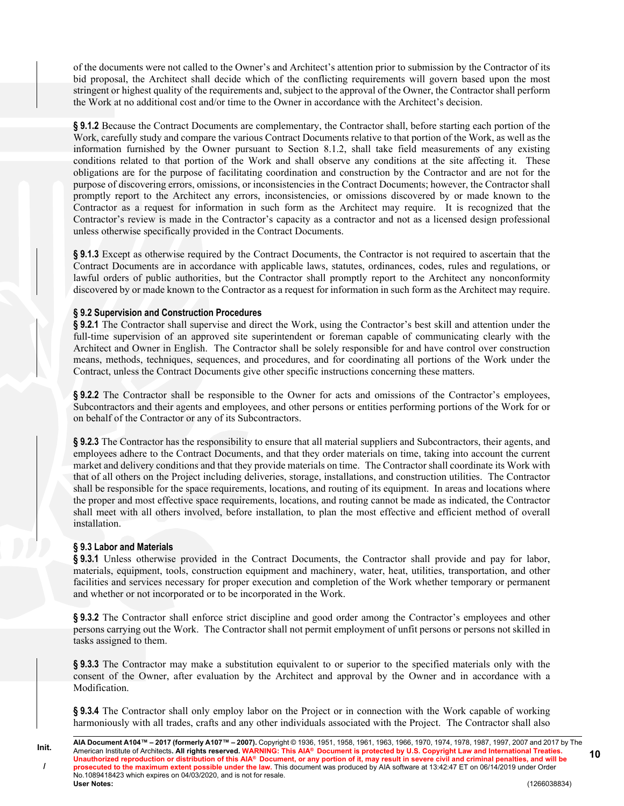of the documents were not called to the Owner's and Architect's attention prior to submission by the Contractor of its bid proposal, the Architect shall decide which of the conflicting requirements will govern based upon the most stringent or highest quality of the requirements and, subject to the approval of the Owner, the Contractor shall perform the Work at no additional cost and/or time to the Owner in accordance with the Architect's decision.

**§ 9.1.2** Because the Contract Documents are complementary, the Contractor shall, before starting each portion of the Work, carefully study and compare the various Contract Documents relative to that portion of the Work, as well as the information furnished by the Owner pursuant to Section 8.1.2, shall take field measurements of any existing conditions related to that portion of the Work and shall observe any conditions at the site affecting it. These obligations are for the purpose of facilitating coordination and construction by the Contractor and are not for the purpose of discovering errors, omissions, or inconsistencies in the Contract Documents; however, the Contractor shall promptly report to the Architect any errors, inconsistencies, or omissions discovered by or made known to the Contractor as a request for information in such form as the Architect may require. It is recognized that the Contractor's review is made in the Contractor's capacity as a contractor and not as a licensed design professional unless otherwise specifically provided in the Contract Documents.

**§ 9.1.3** Except as otherwise required by the Contract Documents, the Contractor is not required to ascertain that the Contract Documents are in accordance with applicable laws, statutes, ordinances, codes, rules and regulations, or lawful orders of public authorities, but the Contractor shall promptly report to the Architect any nonconformity discovered by or made known to the Contractor as a request for information in such form as the Architect may require.

# **§ 9.2 Supervision and Construction Procedures**

**§ 9.2.1** The Contractor shall supervise and direct the Work, using the Contractor's best skill and attention under the full-time supervision of an approved site superintendent or foreman capable of communicating clearly with the Architect and Owner in English. The Contractor shall be solely responsible for and have control over construction means, methods, techniques, sequences, and procedures, and for coordinating all portions of the Work under the Contract, unless the Contract Documents give other specific instructions concerning these matters.

**§ 9.2.2** The Contractor shall be responsible to the Owner for acts and omissions of the Contractor's employees, Subcontractors and their agents and employees, and other persons or entities performing portions of the Work for or on behalf of the Contractor or any of its Subcontractors.

**§ 9.2.3** The Contractor has the responsibility to ensure that all material suppliers and Subcontractors, their agents, and employees adhere to the Contract Documents, and that they order materials on time, taking into account the current market and delivery conditions and that they provide materials on time. The Contractor shall coordinate its Work with that of all others on the Project including deliveries, storage, installations, and construction utilities. The Contractor shall be responsible for the space requirements, locations, and routing of its equipment. In areas and locations where the proper and most effective space requirements, locations, and routing cannot be made as indicated, the Contractor shall meet with all others involved, before installation, to plan the most effective and efficient method of overall installation.

#### **§ 9.3 Labor and Materials**

§ 9.3.1 Unless otherwise provided in the Contract Documents, the Contractor shall provide and pay for labor, materials, equipment, tools, construction equipment and machinery, water, heat, utilities, transportation, and other facilities and services necessary for proper execution and completion of the Work whether temporary or permanent and whether or not incorporated or to be incorporated in the Work.

**§ 9.3.2** The Contractor shall enforce strict discipline and good order among the Contractor's employees and other persons carrying out the Work. The Contractor shall not permit employment of unfit persons or persons not skilled in tasks assigned to them.

**§ 9.3.3** The Contractor may make a substitution equivalent to or superior to the specified materials only with the consent of the Owner, after evaluation by the Architect and approval by the Owner and in accordance with a Modification.

**§ 9.3.4** The Contractor shall only employ labor on the Project or in connection with the Work capable of working harmoniously with all trades, crafts and any other individuals associated with the Project. The Contractor shall also

**Init. /**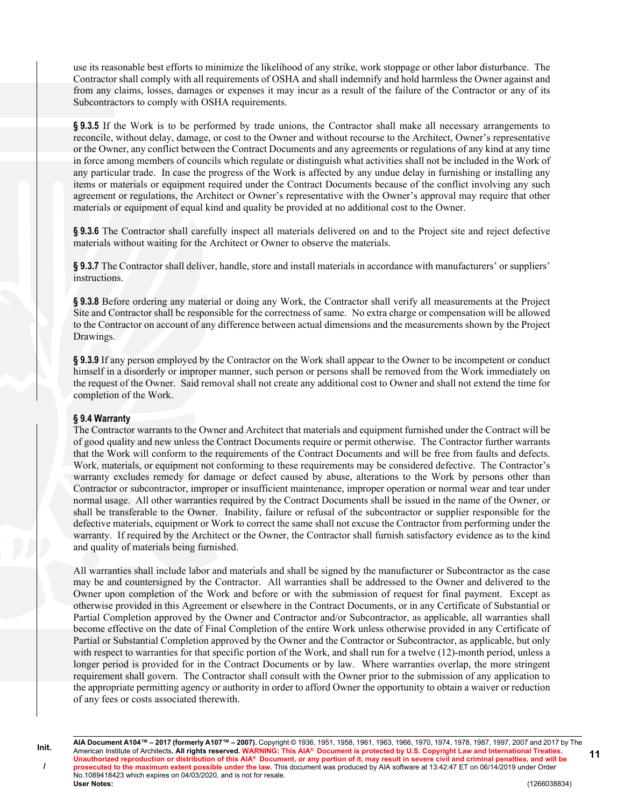use its reasonable best efforts to minimize the likelihood of any strike, work stoppage or other labor disturbance. The Contractor shall comply with all requirements of OSHA and shall indemnify and hold harmless the Owner against and from any claims, losses, damages or expenses it may incur as a result of the failure of the Contractor or any of its Subcontractors to comply with OSHA requirements.

**§ 9.3.5** If the Work is to be performed by trade unions, the Contractor shall make all necessary arrangements to reconcile, without delay, damage, or cost to the Owner and without recourse to the Architect, Owner's representative or the Owner, any conflict between the Contract Documents and any agreements or regulations of any kind at any time in force among members of councils which regulate or distinguish what activities shall not be included in the Work of any particular trade. In case the progress of the Work is affected by any undue delay in furnishing or installing any items or materials or equipment required under the Contract Documents because of the conflict involving any such agreement or regulations, the Architect or Owner's representative with the Owner's approval may require that other materials or equipment of equal kind and quality be provided at no additional cost to the Owner.

**§ 9.3.6** The Contractor shall carefully inspect all materials delivered on and to the Project site and reject defective materials without waiting for the Architect or Owner to observe the materials.

**§ 9.3.7** The Contractor shall deliver, handle, store and install materials in accordance with manufacturers' or suppliers' instructions.

**§ 9.3.8** Before ordering any material or doing any Work, the Contractor shall verify all measurements at the Project Site and Contractor shall be responsible for the correctness of same. No extra charge or compensation will be allowed to the Contractor on account of any difference between actual dimensions and the measurements shown by the Project Drawings.

**§ 9.3.9** If any person employed by the Contractor on the Work shall appear to the Owner to be incompetent or conduct himself in a disorderly or improper manner, such person or persons shall be removed from the Work immediately on the request of the Owner. Said removal shall not create any additional cost to Owner and shall not extend the time for completion of the Work.

#### **§ 9.4 Warranty**

The Contractor warrants to the Owner and Architect that materials and equipment furnished under the Contract will be of good quality and new unless the Contract Documents require or permit otherwise. The Contractor further warrants that the Work will conform to the requirements of the Contract Documents and will be free from faults and defects. Work, materials, or equipment not conforming to these requirements may be considered defective. The Contractor's warranty excludes remedy for damage or defect caused by abuse, alterations to the Work by persons other than Contractor or subcontractor, improper or insufficient maintenance, improper operation or normal wear and tear under normal usage. All other warranties required by the Contract Documents shall be issued in the name of the Owner, or shall be transferable to the Owner. Inability, failure or refusal of the subcontractor or supplier responsible for the defective materials, equipment or Work to correct the same shall not excuse the Contractor from performing under the warranty. If required by the Architect or the Owner, the Contractor shall furnish satisfactory evidence as to the kind and quality of materials being furnished.

All warranties shall include labor and materials and shall be signed by the manufacturer or Subcontractor as the case may be and countersigned by the Contractor. All warranties shall be addressed to the Owner and delivered to the Owner upon completion of the Work and before or with the submission of request for final payment. Except as otherwise provided in this Agreement or elsewhere in the Contract Documents, or in any Certificate of Substantial or Partial Completion approved by the Owner and Contractor and/or Subcontractor, as applicable, all warranties shall become effective on the date of Final Completion of the entire Work unless otherwise provided in any Certificate of Partial or Substantial Completion approved by the Owner and the Contractor or Subcontractor, as applicable, but only with respect to warranties for that specific portion of the Work, and shall run for a twelve (12)-month period, unless a longer period is provided for in the Contract Documents or by law. Where warranties overlap, the more stringent requirement shall govern. The Contractor shall consult with the Owner prior to the submission of any application to the appropriate permitting agency or authority in order to afford Owner the opportunity to obtain a waiver or reduction of any fees or costs associated therewith.

**Init. /**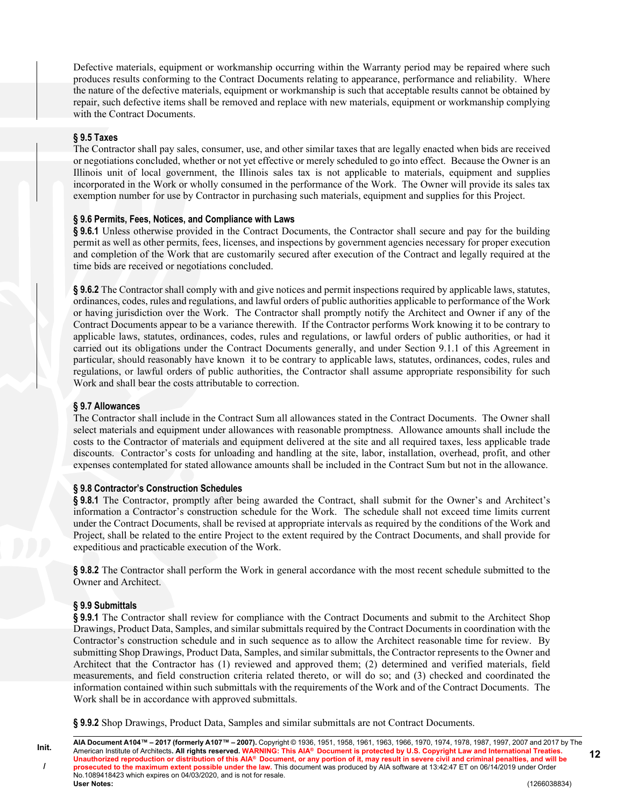Defective materials, equipment or workmanship occurring within the Warranty period may be repaired where such produces results conforming to the Contract Documents relating to appearance, performance and reliability. Where the nature of the defective materials, equipment or workmanship is such that acceptable results cannot be obtained by repair, such defective items shall be removed and replace with new materials, equipment or workmanship complying with the Contract Documents.

#### **§ 9.5 Taxes**

The Contractor shall pay sales, consumer, use, and other similar taxes that are legally enacted when bids are received or negotiations concluded, whether or not yet effective or merely scheduled to go into effect. Because the Owner is an Illinois unit of local government, the Illinois sales tax is not applicable to materials, equipment and supplies incorporated in the Work or wholly consumed in the performance of the Work. The Owner will provide its sales tax exemption number for use by Contractor in purchasing such materials, equipment and supplies for this Project.

#### **§ 9.6 Permits, Fees, Notices, and Compliance with Laws**

**§ 9.6.1** Unless otherwise provided in the Contract Documents, the Contractor shall secure and pay for the building permit as well as other permits, fees, licenses, and inspections by government agencies necessary for proper execution and completion of the Work that are customarily secured after execution of the Contract and legally required at the time bids are received or negotiations concluded.

**§ 9.6.2** The Contractor shall comply with and give notices and permit inspections required by applicable laws, statutes, ordinances, codes, rules and regulations, and lawful orders of public authorities applicable to performance of the Work or having jurisdiction over the Work. The Contractor shall promptly notify the Architect and Owner if any of the Contract Documents appear to be a variance therewith. If the Contractor performs Work knowing it to be contrary to applicable laws, statutes, ordinances, codes, rules and regulations, or lawful orders of public authorities, or had it carried out its obligations under the Contract Documents generally, and under Section 9.1.1 of this Agreement in particular, should reasonably have known it to be contrary to applicable laws, statutes, ordinances, codes, rules and regulations, or lawful orders of public authorities, the Contractor shall assume appropriate responsibility for such Work and shall bear the costs attributable to correction.

#### **§ 9.7 Allowances**

The Contractor shall include in the Contract Sum all allowances stated in the Contract Documents. The Owner shall select materials and equipment under allowances with reasonable promptness. Allowance amounts shall include the costs to the Contractor of materials and equipment delivered at the site and all required taxes, less applicable trade discounts. Contractor's costs for unloading and handling at the site, labor, installation, overhead, profit, and other expenses contemplated for stated allowance amounts shall be included in the Contract Sum but not in the allowance.

#### **§ 9.8 Contractor's Construction Schedules**

§ 9.8.1 The Contractor, promptly after being awarded the Contract, shall submit for the Owner's and Architect's information a Contractor's construction schedule for the Work. The schedule shall not exceed time limits current under the Contract Documents, shall be revised at appropriate intervals as required by the conditions of the Work and Project, shall be related to the entire Project to the extent required by the Contract Documents, and shall provide for expeditious and practicable execution of the Work.

**§ 9.8.2** The Contractor shall perform the Work in general accordance with the most recent schedule submitted to the Owner and Architect.

# **§ 9.9 Submittals**

**§ 9.9.1** The Contractor shall review for compliance with the Contract Documents and submit to the Architect Shop Drawings, Product Data, Samples, and similar submittals required by the Contract Documents in coordination with the Contractor's construction schedule and in such sequence as to allow the Architect reasonable time for review. By submitting Shop Drawings, Product Data, Samples, and similar submittals, the Contractor represents to the Owner and Architect that the Contractor has (1) reviewed and approved them; (2) determined and verified materials, field measurements, and field construction criteria related thereto, or will do so; and (3) checked and coordinated the information contained within such submittals with the requirements of the Work and of the Contract Documents. The Work shall be in accordance with approved submittals.

**§ 9.9.2** Shop Drawings, Product Data, Samples and similar submittals are not Contract Documents.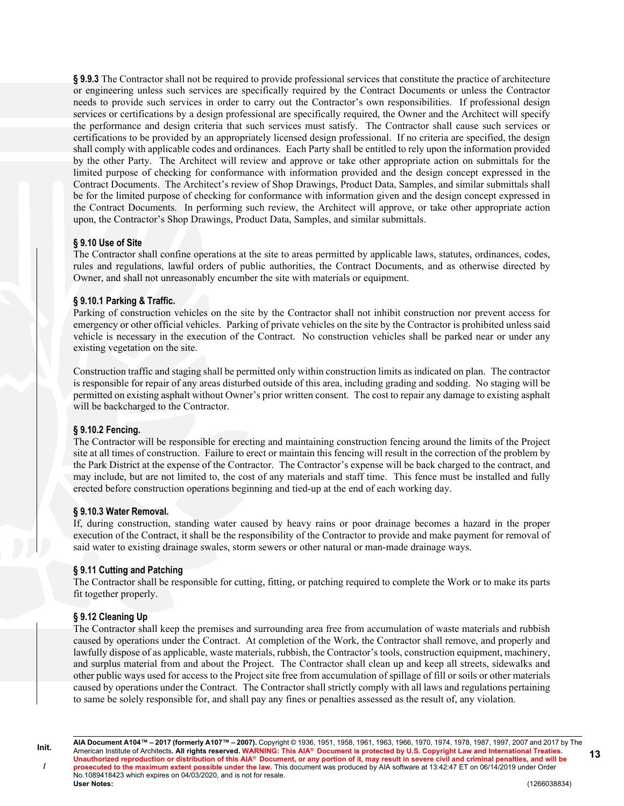**§ 9.9.3** The Contractor shall not be required to provide professional services that constitute the practice of architecture or engineering unless such services are specifically required by the Contract Documents or unless the Contractor needs to provide such services in order to carry out the Contractor's own responsibilities. If professional design services or certifications by a design professional are specifically required, the Owner and the Architect will specify the performance and design criteria that such services must satisfy. The Contractor shall cause such services or certifications to be provided by an appropriately licensed design professional. If no criteria are specified, the design shall comply with applicable codes and ordinances. Each Party shall be entitled to rely upon the information provided by the other Party. The Architect will review and approve or take other appropriate action on submittals for the limited purpose of checking for conformance with information provided and the design concept expressed in the Contract Documents. The Architect's review of Shop Drawings, Product Data, Samples, and similar submittals shall be for the limited purpose of checking for conformance with information given and the design concept expressed in the Contract Documents. In performing such review, the Architect will approve, or take other appropriate action upon, the Contractor's Shop Drawings, Product Data, Samples, and similar submittals.

#### **§ 9.10 Use of Site**

The Contractor shall confine operations at the site to areas permitted by applicable laws, statutes, ordinances, codes, rules and regulations, lawful orders of public authorities, the Contract Documents, and as otherwise directed by Owner, and shall not unreasonably encumber the site with materials or equipment.

#### **§ 9.10.1 Parking & Traffic.**

Parking of construction vehicles on the site by the Contractor shall not inhibit construction nor prevent access for emergency or other official vehicles. Parking of private vehicles on the site by the Contractor is prohibited unless said vehicle is necessary in the execution of the Contract. No construction vehicles shall be parked near or under any existing vegetation on the site.

Construction traffic and staging shall be permitted only within construction limits as indicated on plan. The contractor is responsible for repair of any areas disturbed outside of this area, including grading and sodding. No staging will be permitted on existing asphalt without Owner's prior written consent. The cost to repair any damage to existing asphalt will be backcharged to the Contractor.

#### **§ 9.10.2 Fencing.**

The Contractor will be responsible for erecting and maintaining construction fencing around the limits of the Project site at all times of construction. Failure to erect or maintain this fencing will result in the correction of the problem by the Park District at the expense of the Contractor. The Contractor's expense will be back charged to the contract, and may include, but are not limited to, the cost of any materials and staff time. This fence must be installed and fully erected before construction operations beginning and tied-up at the end of each working day.

#### **§ 9.10.3 Water Removal.**

If, during construction, standing water caused by heavy rains or poor drainage becomes a hazard in the proper execution of the Contract, it shall be the responsibility of the Contractor to provide and make payment for removal of said water to existing drainage swales, storm sewers or other natural or man-made drainage ways.

# **§ 9.11 Cutting and Patching**

The Contractor shall be responsible for cutting, fitting, or patching required to complete the Work or to make its parts fit together properly.

# **§ 9.12 Cleaning Up**

The Contractor shall keep the premises and surrounding area free from accumulation of waste materials and rubbish caused by operations under the Contract. At completion of the Work, the Contractor shall remove, and properly and lawfully dispose of as applicable, waste materials, rubbish, the Contractor's tools, construction equipment, machinery, and surplus material from and about the Project. The Contractor shall clean up and keep all streets, sidewalks and other public ways used for access to the Project site free from accumulation of spillage of fill or soils or other materials caused by operations under the Contract. The Contractor shall strictly comply with all laws and regulations pertaining to same be solely responsible for, and shall pay any fines or penalties assessed as the result of, any violation.

**Init. /**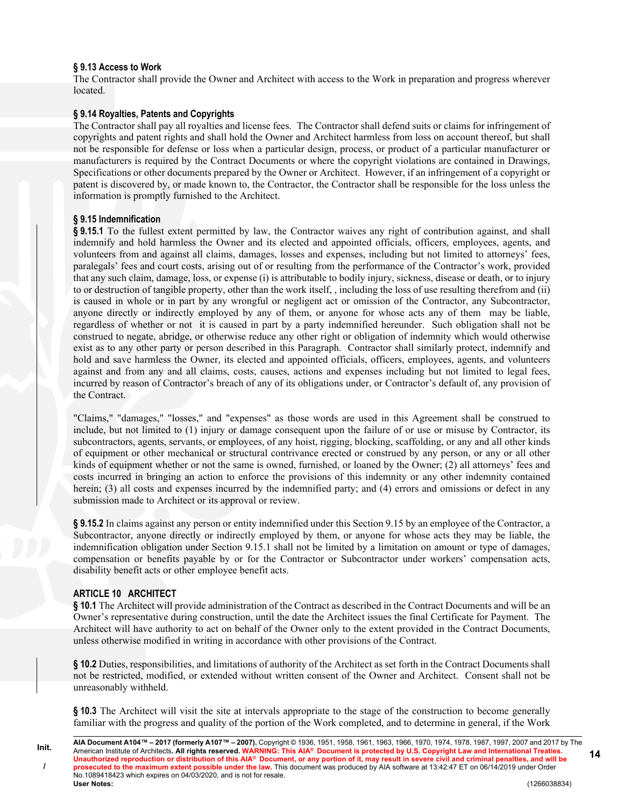# **§ 9.13 Access to Work**

The Contractor shall provide the Owner and Architect with access to the Work in preparation and progress wherever located.

# **§ 9.14 Royalties, Patents and Copyrights**

The Contractor shall pay all royalties and license fees. The Contractor shall defend suits or claims for infringement of copyrights and patent rights and shall hold the Owner and Architect harmless from loss on account thereof, but shall not be responsible for defense or loss when a particular design, process, or product of a particular manufacturer or manufacturers is required by the Contract Documents or where the copyright violations are contained in Drawings, Specifications or other documents prepared by the Owner or Architect. However, if an infringement of a copyright or patent is discovered by, or made known to, the Contractor, the Contractor shall be responsible for the loss unless the information is promptly furnished to the Architect.

#### **§ 9.15 Indemnification**

**§ 9.15.1** To the fullest extent permitted by law, the Contractor waives any right of contribution against, and shall indemnify and hold harmless the Owner and its elected and appointed officials, officers, employees, agents, and volunteers from and against all claims, damages, losses and expenses, including but not limited to attorneys' fees, paralegals' fees and court costs, arising out of or resulting from the performance of the Contractor's work, provided that any such claim, damage, loss, or expense (i) is attributable to bodily injury, sickness, disease or death, or to injury to or destruction of tangible property, other than the work itself, , including the loss of use resulting therefrom and (ii) is caused in whole or in part by any wrongful or negligent act or omission of the Contractor, any Subcontractor, anyone directly or indirectly employed by any of them, or anyone for whose acts any of them may be liable, regardless of whether or not it is caused in part by a party indemnified hereunder. Such obligation shall not be construed to negate, abridge, or otherwise reduce any other right or obligation of indemnity which would otherwise exist as to any other party or person described in this Paragraph. Contractor shall similarly protect, indemnify and hold and save harmless the Owner, its elected and appointed officials, officers, employees, agents, and volunteers against and from any and all claims, costs, causes, actions and expenses including but not limited to legal fees, incurred by reason of Contractor's breach of any of its obligations under, or Contractor's default of, any provision of the Contract.

"Claims," "damages," "losses," and "expenses" as those words are used in this Agreement shall be construed to include, but not limited to (1) injury or damage consequent upon the failure of or use or misuse by Contractor, its subcontractors, agents, servants, or employees, of any hoist, rigging, blocking, scaffolding, or any and all other kinds of equipment or other mechanical or structural contrivance erected or construed by any person, or any or all other kinds of equipment whether or not the same is owned, furnished, or loaned by the Owner; (2) all attorneys' fees and costs incurred in bringing an action to enforce the provisions of this indemnity or any other indemnity contained herein; (3) all costs and expenses incurred by the indemnified party; and (4) errors and omissions or defect in any submission made to Architect or its approval or review.

**§ 9.15.2** In claims against any person or entity indemnified under this Section 9.15 by an employee of the Contractor, a Subcontractor, anyone directly or indirectly employed by them, or anyone for whose acts they may be liable, the indemnification obligation under Section 9.15.1 shall not be limited by a limitation on amount or type of damages, compensation or benefits payable by or for the Contractor or Subcontractor under workers' compensation acts, disability benefit acts or other employee benefit acts.

# **ARTICLE 10 ARCHITECT**

**§ 10.1** The Architect will provide administration of the Contract as described in the Contract Documents and will be an Owner's representative during construction, until the date the Architect issues the final Certificate for Payment. The Architect will have authority to act on behalf of the Owner only to the extent provided in the Contract Documents, unless otherwise modified in writing in accordance with other provisions of the Contract.

**§ 10.2** Duties, responsibilities, and limitations of authority of the Architect as set forth in the Contract Documents shall not be restricted, modified, or extended without written consent of the Owner and Architect. Consent shall not be unreasonably withheld.

**§ 10.3** The Architect will visit the site at intervals appropriate to the stage of the construction to become generally familiar with the progress and quality of the portion of the Work completed, and to determine in general, if the Work

**Init. /**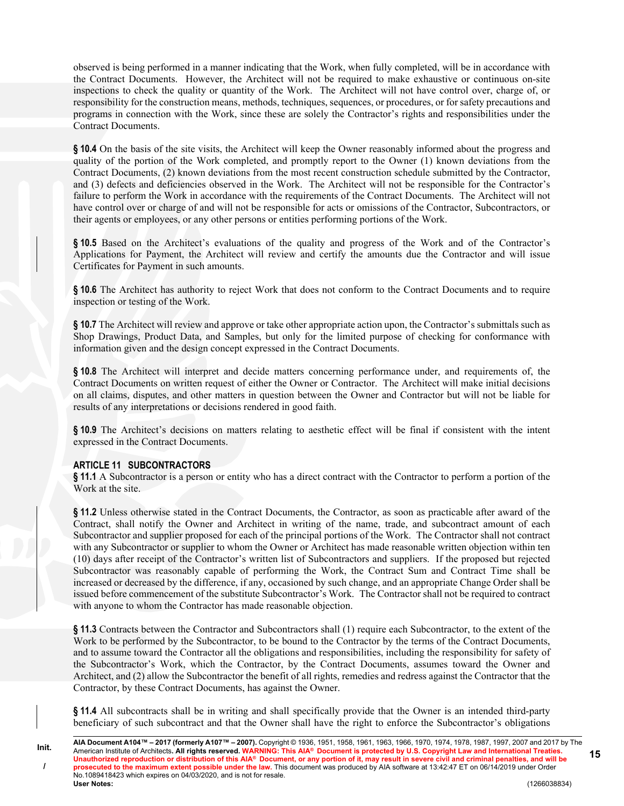observed is being performed in a manner indicating that the Work, when fully completed, will be in accordance with the Contract Documents. However, the Architect will not be required to make exhaustive or continuous on-site inspections to check the quality or quantity of the Work. The Architect will not have control over, charge of, or responsibility for the construction means, methods, techniques, sequences, or procedures, or for safety precautions and programs in connection with the Work, since these are solely the Contractor's rights and responsibilities under the Contract Documents.

**§ 10.4** On the basis of the site visits, the Architect will keep the Owner reasonably informed about the progress and quality of the portion of the Work completed, and promptly report to the Owner (1) known deviations from the Contract Documents, (2) known deviations from the most recent construction schedule submitted by the Contractor, and (3) defects and deficiencies observed in the Work.The Architect will not be responsible for the Contractor's failure to perform the Work in accordance with the requirements of the Contract Documents. The Architect will not have control over or charge of and will not be responsible for acts or omissions of the Contractor, Subcontractors, or their agents or employees, or any other persons or entities performing portions of the Work.

**§ 10.5** Based on the Architect's evaluations of the quality and progress of the Work and of the Contractor's Applications for Payment, the Architect will review and certify the amounts due the Contractor and will issue Certificates for Payment in such amounts.

**§ 10.6** The Architect has authority to reject Work that does not conform to the Contract Documents and to require inspection or testing of the Work.

**§ 10.7** The Architect will review and approve or take other appropriate action upon, the Contractor's submittals such as Shop Drawings, Product Data, and Samples, but only for the limited purpose of checking for conformance with information given and the design concept expressed in the Contract Documents.

**§ 10.8** The Architect will interpret and decide matters concerning performance under, and requirements of, the Contract Documents on written request of either the Owner or Contractor. The Architect will make initial decisions on all claims, disputes, and other matters in question between the Owner and Contractor but will not be liable for results of any interpretations or decisions rendered in good faith.

**§ 10.9** The Architect's decisions on matters relating to aesthetic effect will be final if consistent with the intent expressed in the Contract Documents.

# **ARTICLE 11 SUBCONTRACTORS**

**§ 11.1** A Subcontractor is a person or entity who has a direct contract with the Contractor to perform a portion of the Work at the site.

**§ 11.2** Unless otherwise stated in the Contract Documents, the Contractor, as soon as practicable after award of the Contract, shall notify the Owner and Architect in writing of the name, trade, and subcontract amount of each Subcontractor and supplier proposed for each of the principal portions of the Work. The Contractor shall not contract with any Subcontractor or supplier to whom the Owner or Architect has made reasonable written objection within ten (10) days after receipt of the Contractor's written list of Subcontractors and suppliers. If the proposed but rejected Subcontractor was reasonably capable of performing the Work, the Contract Sum and Contract Time shall be increased or decreased by the difference, if any, occasioned by such change, and an appropriate Change Order shall be issued before commencement of the substitute Subcontractor's Work. The Contractor shall not be required to contract with anyone to whom the Contractor has made reasonable objection.

§ 11.3 Contracts between the Contractor and Subcontractors shall (1) require each Subcontractor, to the extent of the Work to be performed by the Subcontractor, to be bound to the Contractor by the terms of the Contract Documents, and to assume toward the Contractor all the obligations and responsibilities, including the responsibility for safety of the Subcontractor's Work, which the Contractor, by the Contract Documents, assumes toward the Owner and Architect, and (2) allow the Subcontractor the benefit of all rights, remedies and redress against the Contractor that the Contractor, by these Contract Documents, has against the Owner.

**§ 11.4** All subcontracts shall be in writing and shall specifically provide that the Owner is an intended third-party beneficiary of such subcontract and that the Owner shall have the right to enforce the Subcontractor's obligations

**Init. /**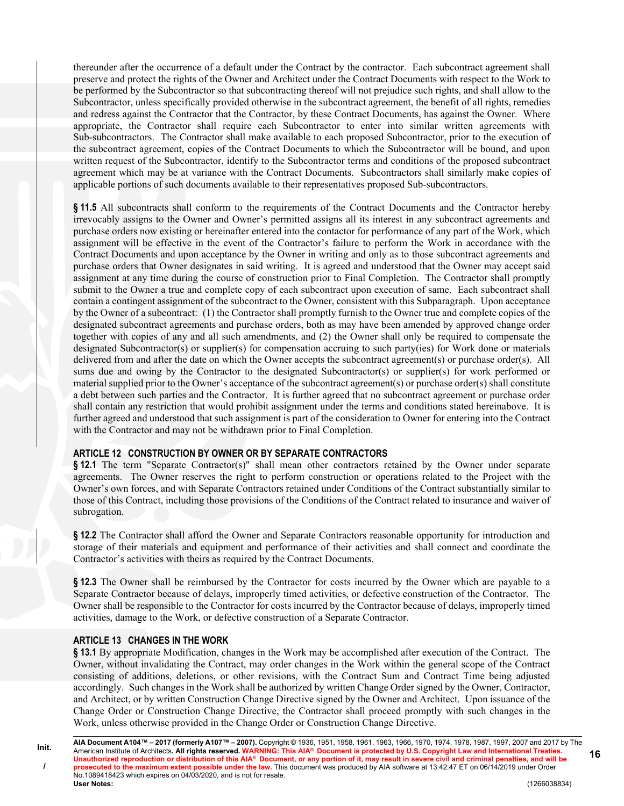thereunder after the occurrence of a default under the Contract by the contractor. Each subcontract agreement shall preserve and protect the rights of the Owner and Architect under the Contract Documents with respect to the Work to be performed by the Subcontractor so that subcontracting thereof will not prejudice such rights, and shall allow to the Subcontractor, unless specifically provided otherwise in the subcontract agreement, the benefit of all rights, remedies and redress against the Contractor that the Contractor, by these Contract Documents, has against the Owner. Where appropriate, the Contractor shall require each Subcontractor to enter into similar written agreements with Sub-subcontractors. The Contractor shall make available to each proposed Subcontractor, prior to the execution of the subcontract agreement, copies of the Contract Documents to which the Subcontractor will be bound, and upon written request of the Subcontractor, identify to the Subcontractor terms and conditions of the proposed subcontract agreement which may be at variance with the Contract Documents. Subcontractors shall similarly make copies of applicable portions of such documents available to their representatives proposed Sub-subcontractors.

**§ 11.5** All subcontracts shall conform to the requirements of the Contract Documents and the Contractor hereby irrevocably assigns to the Owner and Owner's permitted assigns all its interest in any subcontract agreements and purchase orders now existing or hereinafter entered into the contactor for performance of any part of the Work, which assignment will be effective in the event of the Contractor's failure to perform the Work in accordance with the Contract Documents and upon acceptance by the Owner in writing and only as to those subcontract agreements and purchase orders that Owner designates in said writing. It is agreed and understood that the Owner may accept said assignment at any time during the course of construction prior to Final Completion. The Contractor shall promptly submit to the Owner a true and complete copy of each subcontract upon execution of same. Each subcontract shall contain a contingent assignment of the subcontract to the Owner, consistent with this Subparagraph. Upon acceptance by the Owner of a subcontract: (1) the Contractor shall promptly furnish to the Owner true and complete copies of the designated subcontract agreements and purchase orders, both as may have been amended by approved change order together with copies of any and all such amendments, and (2) the Owner shall only be required to compensate the designated Subcontractor(s) or supplier(s) for compensation accruing to such party(ies) for Work done or materials delivered from and after the date on which the Owner accepts the subcontract agreement(s) or purchase order(s). All sums due and owing by the Contractor to the designated Subcontractor(s) or supplier(s) for work performed or material supplied prior to the Owner's acceptance of the subcontract agreement(s) or purchase order(s) shall constitute a debt between such parties and the Contractor. It is further agreed that no subcontract agreement or purchase order shall contain any restriction that would prohibit assignment under the terms and conditions stated hereinabove. It is further agreed and understood that such assignment is part of the consideration to Owner for entering into the Contract with the Contractor and may not be withdrawn prior to Final Completion.

# **ARTICLE 12 CONSTRUCTION BY OWNER OR BY SEPARATE CONTRACTORS**

§ 12.1 The term "Separate Contractor(s)" shall mean other contractors retained by the Owner under separate agreements. The Owner reserves the right to perform construction or operations related to the Project with the Owner's own forces, and with Separate Contractors retained under Conditions of the Contract substantially similar to those of this Contract, including those provisions of the Conditions of the Contract related to insurance and waiver of subrogation.

**§ 12.2** The Contractor shall afford the Owner and Separate Contractors reasonable opportunity for introduction and storage of their materials and equipment and performance of their activities and shall connect and coordinate the Contractor's activities with theirs as required by the Contract Documents.

**§ 12.3** The Owner shall be reimbursed by the Contractor for costs incurred by the Owner which are payable to a Separate Contractor because of delays, improperly timed activities, or defective construction of the Contractor. The Owner shall be responsible to the Contractor for costs incurred by the Contractor because of delays, improperly timed activities, damage to the Work, or defective construction of a Separate Contractor.

# **ARTICLE 13 CHANGES IN THE WORK**

**Init. /**

**§ 13.1** By appropriate Modification, changes in the Work may be accomplished after execution of the Contract. The Owner, without invalidating the Contract, may order changes in the Work within the general scope of the Contract consisting of additions, deletions, or other revisions, with the Contract Sum and Contract Time being adjusted accordingly. Such changes in the Work shall be authorized by written Change Order signed by the Owner, Contractor, and Architect, or by written Construction Change Directive signed by the Owner and Architect. Upon issuance of the Change Order or Construction Change Directive, the Contractor shall proceed promptly with such changes in the Work, unless otherwise provided in the Change Order or Construction Change Directive.

AIA Document A104™ – 2017 (formerly A107™ – 2007). Copyright © 1936, 1951, 1958, 1961, 1963, 1966, 1970, 1974, 1978, 1987, 1997, 2007 and 2017 by The<br>American Institute of Architects**. All rights reserved. WARNING: This A Unauthorized reproduction or distribution of this AIA® Document, or any portion of it, may result in severe civil and criminal penalties, and will be prosecuted to the maximum extent possible under the law.** This document was produced by AIA software at 13:42:47 ET on 06/14/2019 under Order No.1089418423 which expires on 04/03/2020, and is not for resale.<br>User Notes: **User Notes:** (1266038834) **16**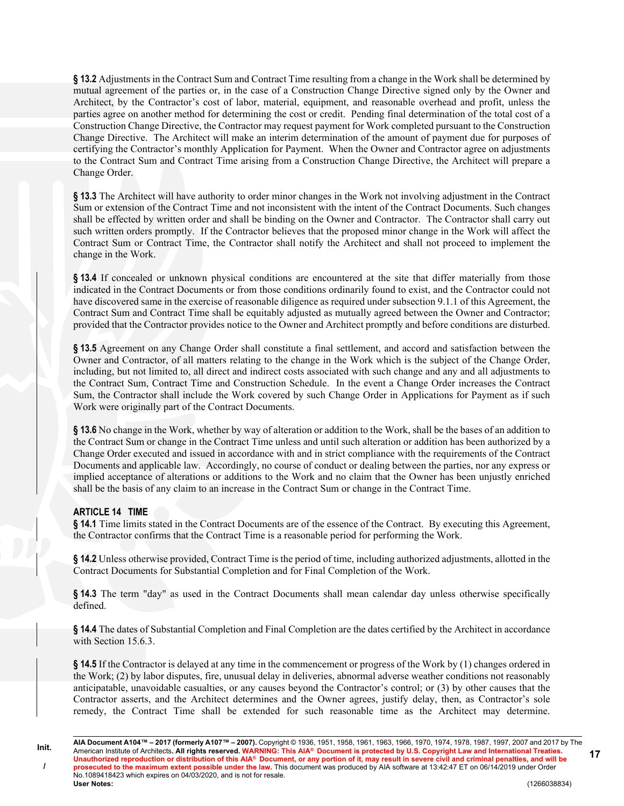**§ 13.2** Adjustments in the Contract Sum and Contract Time resulting from a change in the Work shall be determined by mutual agreement of the parties or, in the case of a Construction Change Directive signed only by the Owner and Architect, by the Contractor's cost of labor, material, equipment, and reasonable overhead and profit, unless the parties agree on another method for determining the cost or credit. Pending final determination of the total cost of a Construction Change Directive, the Contractor may request payment for Work completed pursuant to the Construction Change Directive. The Architect will make an interim determination of the amount of payment due for purposes of certifying the Contractor's monthly Application for Payment. When the Owner and Contractor agree on adjustments to the Contract Sum and Contract Time arising from a Construction Change Directive, the Architect will prepare a Change Order.

**§ 13.3** The Architect will have authority to order minor changes in the Work not involving adjustment in the Contract Sum or extension of the Contract Time and not inconsistent with the intent of the Contract Documents. Such changes shall be effected by written order and shall be binding on the Owner and Contractor. The Contractor shall carry out such written orders promptly. If the Contractor believes that the proposed minor change in the Work will affect the Contract Sum or Contract Time, the Contractor shall notify the Architect and shall not proceed to implement the change in the Work.

§ **13.4** If concealed or unknown physical conditions are encountered at the site that differ materially from those indicated in the Contract Documents or from those conditions ordinarily found to exist, and the Contractor could not have discovered same in the exercise of reasonable diligence as required under subsection 9.1.1 of this Agreement, the Contract Sum and Contract Time shall be equitably adjusted as mutually agreed between the Owner and Contractor; provided that the Contractor provides notice to the Owner and Architect promptly and before conditions are disturbed.

**§ 13.5** Agreement on any Change Order shall constitute a final settlement, and accord and satisfaction between the Owner and Contractor, of all matters relating to the change in the Work which is the subject of the Change Order, including, but not limited to, all direct and indirect costs associated with such change and any and all adjustments to the Contract Sum, Contract Time and Construction Schedule. In the event a Change Order increases the Contract Sum, the Contractor shall include the Work covered by such Change Order in Applications for Payment as if such Work were originally part of the Contract Documents.

**§ 13.6** No change in the Work, whether by way of alteration or addition to the Work, shall be the bases of an addition to the Contract Sum or change in the Contract Time unless and until such alteration or addition has been authorized by a Change Order executed and issued in accordance with and in strict compliance with the requirements of the Contract Documents and applicable law. Accordingly, no course of conduct or dealing between the parties, nor any express or implied acceptance of alterations or additions to the Work and no claim that the Owner has been unjustly enriched shall be the basis of any claim to an increase in the Contract Sum or change in the Contract Time.

# **ARTICLE 14 TIME**

**§ 14.1** Time limits stated in the Contract Documents are of the essence of the Contract. By executing this Agreement, the Contractor confirms that the Contract Time is a reasonable period for performing the Work.

**§ 14.2** Unless otherwise provided, Contract Time is the period of time, including authorized adjustments, allotted in the Contract Documents for Substantial Completion and for Final Completion of the Work.

§ 14.3 The term "day" as used in the Contract Documents shall mean calendar day unless otherwise specifically defined.

**§ 14.4** The dates of Substantial Completion and Final Completion are the dates certified by the Architect in accordance with Section 15.6.3.

**§ 14.5** If the Contractor is delayed at any time in the commencement or progress of the Work by (1) changes ordered in the Work; (2) by labor disputes, fire, unusual delay in deliveries, abnormal adverse weather conditions not reasonably anticipatable, unavoidable casualties, or any causes beyond the Contractor's control; or (3) by other causes that the Contractor asserts, and the Architect determines and the Owner agrees, justify delay, then, as Contractor's sole remedy, the Contract Time shall be extended for such reasonable time as the Architect may determine.

**Init. /**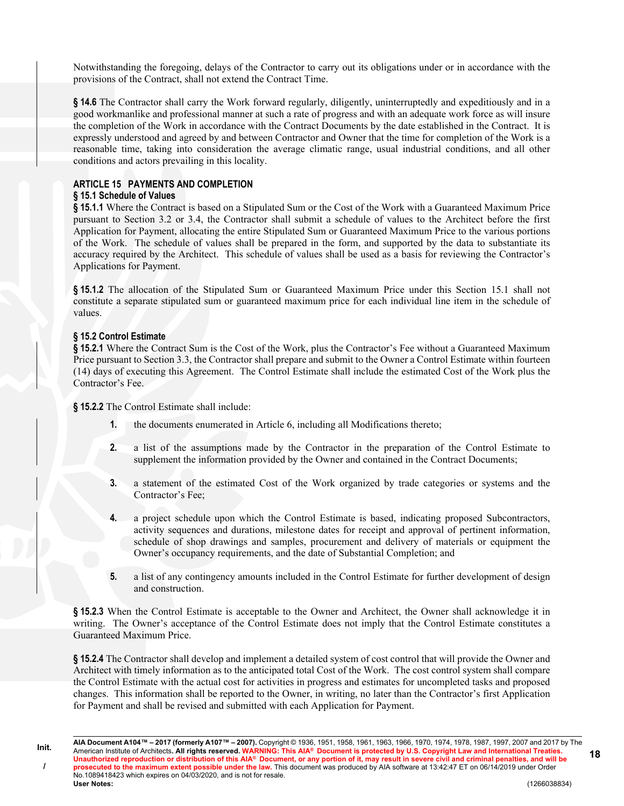Notwithstanding the foregoing, delays of the Contractor to carry out its obligations under or in accordance with the provisions of the Contract, shall not extend the Contract Time.

**§ 14.6** The Contractor shall carry the Work forward regularly, diligently, uninterruptedly and expeditiously and in a good workmanlike and professional manner at such a rate of progress and with an adequate work force as will insure the completion of the Work in accordance with the Contract Documents by the date established in the Contract. It is expressly understood and agreed by and between Contractor and Owner that the time for completion of the Work is a reasonable time, taking into consideration the average climatic range, usual industrial conditions, and all other conditions and actors prevailing in this locality.

# **ARTICLE 15 PAYMENTS AND COMPLETION**

#### **§ 15.1 Schedule of Values**

**§ 15.1.1** Where the Contract is based on a Stipulated Sum or the Cost of the Work with a Guaranteed Maximum Price pursuant to Section 3.2 or 3.4, the Contractor shall submit a schedule of values to the Architect before the first Application for Payment, allocating the entire Stipulated Sum or Guaranteed Maximum Price to the various portions of the Work. The schedule of values shall be prepared in the form, and supported by the data to substantiate its accuracy required by the Architect. This schedule of values shall be used as a basis for reviewing the Contractor's Applications for Payment.

**§ 15.1.2** The allocation of the Stipulated Sum or Guaranteed Maximum Price under this Section 15.1 shall not constitute a separate stipulated sum or guaranteed maximum price for each individual line item in the schedule of values.

#### **§ 15.2 Control Estimate**

**§ 15.2.1** Where the Contract Sum is the Cost of the Work, plus the Contractor's Fee without a Guaranteed Maximum Price pursuant to Section 3.3, the Contractor shall prepare and submit to the Owner a Control Estimate within fourteen (14) days of executing this Agreement. The Control Estimate shall include the estimated Cost of the Work plus the Contractor's Fee.

**§ 15.2.2** The Control Estimate shall include:

- **1.** the documents enumerated in Article 6, including all Modifications thereto;
- **2.** a list of the assumptions made by the Contractor in the preparation of the Control Estimate to supplement the information provided by the Owner and contained in the Contract Documents;
- **3.** a statement of the estimated Cost of the Work organized by trade categories or systems and the Contractor's Fee;
- **4.** a project schedule upon which the Control Estimate is based, indicating proposed Subcontractors, activity sequences and durations, milestone dates for receipt and approval of pertinent information, schedule of shop drawings and samples, procurement and delivery of materials or equipment the Owner's occupancy requirements, and the date of Substantial Completion; and
- **5.** a list of any contingency amounts included in the Control Estimate for further development of design and construction.

**§ 15.2.3** When the Control Estimate is acceptable to the Owner and Architect, the Owner shall acknowledge it in writing. The Owner's acceptance of the Control Estimate does not imply that the Control Estimate constitutes a Guaranteed Maximum Price.

**§ 15.2.4** The Contractor shall develop and implement a detailed system of cost control that will provide the Owner and Architect with timely information as to the anticipated total Cost of the Work. The cost control system shall compare the Control Estimate with the actual cost for activities in progress and estimates for uncompleted tasks and proposed changes. This information shall be reported to the Owner, in writing, no later than the Contractor's first Application for Payment and shall be revised and submitted with each Application for Payment.

**Init. /**

**AIA Document A104™ – 2017 (formerly A107™ – 2007).** Copyright © 1936, 1951, 1958, 1961, 1963, 1966, 1970, 1974, 1978, 1987, 1997, 2007 and 2017 by The American Institute of Architects**. All rights reserved. WARNING: This AIA® Document is protected by U.S. Copyright Law and International Treaties. Unauthorized reproduction or distribution of this AIA® Document, or any portion of it, may result in severe civil and criminal penalties, and will be prosecuted to the maximum extent possible under the law.** This document was produced by AIA software at 13:42:47 ET on 06/14/2019 under Order No.1089418423 which expires on 04/03/2020, and is not for resale.<br>User Notes: **User Notes:** (1266038834) **18**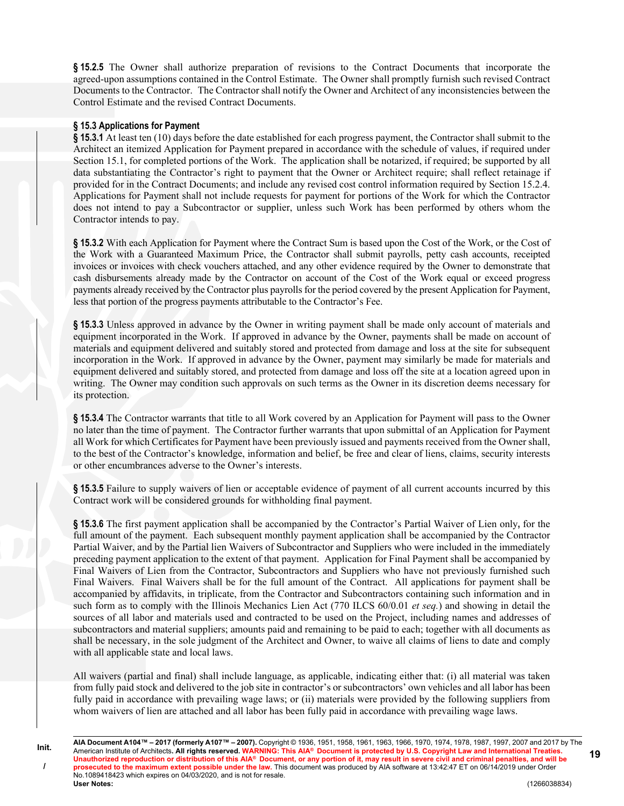**§ 15.2.5** The Owner shall authorize preparation of revisions to the Contract Documents that incorporate the agreed-upon assumptions contained in the Control Estimate. The Owner shall promptly furnish such revised Contract Documents to the Contractor. The Contractor shall notify the Owner and Architect of any inconsistencies between the Control Estimate and the revised Contract Documents.

# **§ 15.3 Applications for Payment**

**Init. /**

**§ 15.3.1** At least ten (10) days before the date established for each progress payment, the Contractor shall submit to the Architect an itemized Application for Payment prepared in accordance with the schedule of values, if required under Section 15.1, for completed portions of the Work. The application shall be notarized, if required; be supported by all data substantiating the Contractor's right to payment that the Owner or Architect require; shall reflect retainage if provided for in the Contract Documents; and include any revised cost control information required by Section 15.2.4. Applications for Payment shall not include requests for payment for portions of the Work for which the Contractor does not intend to pay a Subcontractor or supplier, unless such Work has been performed by others whom the Contractor intends to pay.

**§ 15.3.2** With each Application for Payment where the Contract Sum is based upon the Cost of the Work, or the Cost of the Work with a Guaranteed Maximum Price, the Contractor shall submit payrolls, petty cash accounts, receipted invoices or invoices with check vouchers attached, and any other evidence required by the Owner to demonstrate that cash disbursements already made by the Contractor on account of the Cost of the Work equal or exceed progress payments already received by the Contractor plus payrolls for the period covered by the present Application for Payment, less that portion of the progress payments attributable to the Contractor's Fee.

**§ 15.3.3** Unless approved in advance by the Owner in writing payment shall be made only account of materials and equipment incorporated in the Work. If approved in advance by the Owner, payments shall be made on account of materials and equipment delivered and suitably stored and protected from damage and loss at the site for subsequent incorporation in the Work. If approved in advance by the Owner, payment may similarly be made for materials and equipment delivered and suitably stored, and protected from damage and loss off the site at a location agreed upon in writing. The Owner may condition such approvals on such terms as the Owner in its discretion deems necessary for its protection.

**§ 15.3.4** The Contractor warrants that title to all Work covered by an Application for Payment will pass to the Owner no later than the time of payment. The Contractor further warrants that upon submittal of an Application for Payment all Work for which Certificates for Payment have been previously issued and payments received from the Owner shall, to the best of the Contractor's knowledge, information and belief, be free and clear of liens, claims, security interests or other encumbrances adverse to the Owner's interests.

**§ 15.3.5** Failure to supply waivers of lien or acceptable evidence of payment of all current accounts incurred by this Contract work will be considered grounds for withholding final payment.

**§ 15.3.6** The first payment application shall be accompanied by the Contractor's Partial Waiver of Lien only**,** for the full amount of the payment. Each subsequent monthly payment application shall be accompanied by the Contractor Partial Waiver, and by the Partial lien Waivers of Subcontractor and Suppliers who were included in the immediately preceding payment application to the extent of that payment. Application for Final Payment shall be accompanied by Final Waivers of Lien from the Contractor, Subcontractors and Suppliers who have not previously furnished such Final Waivers. Final Waivers shall be for the full amount of the Contract. All applications for payment shall be accompanied by affidavits, in triplicate, from the Contractor and Subcontractors containing such information and in such form as to comply with the Illinois Mechanics Lien Act (770 ILCS 60/0.01 *et seq.*) and showing in detail the sources of all labor and materials used and contracted to be used on the Project, including names and addresses of subcontractors and material suppliers; amounts paid and remaining to be paid to each; together with all documents as shall be necessary, in the sole judgment of the Architect and Owner, to waive all claims of liens to date and comply with all applicable state and local laws.

All waivers (partial and final) shall include language, as applicable, indicating either that: (i) all material was taken from fully paid stock and delivered to the job site in contractor's or subcontractors' own vehicles and all labor has been fully paid in accordance with prevailing wage laws; or (ii) materials were provided by the following suppliers from whom waivers of lien are attached and all labor has been fully paid in accordance with prevailing wage laws.

**AIA Document A104™ – 2017 (formerly A107™ – 2007).** Copyright © 1936, 1951, 1958, 1961, 1963, 1966, 1970, 1974, 1978, 1987, 1997, 2007 and 2017 by The American Institute of Architects**. All rights reserved. WARNING: This AIA® Document is protected by U.S. Copyright Law and International Treaties. Unauthorized reproduction or distribution of this AIA® Document, or any portion of it, may result in severe civil and criminal penalties, and will be prosecuted to the maximum extent possible under the law.** This document was produced by AIA software at 13:42:47 ET on 06/14/2019 under Order No.1089418423 which expires on 04/03/2020, and is not for resale.<br>User Notes: **19**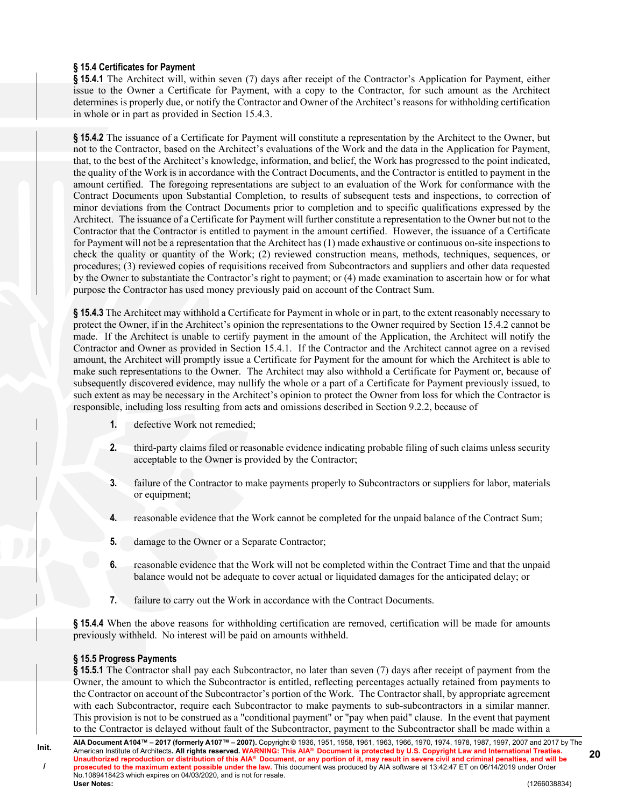# **§ 15.4 Certificates for Payment**

**§ 15.4.1** The Architect will, within seven (7) days after receipt of the Contractor's Application for Payment, either issue to the Owner a Certificate for Payment, with a copy to the Contractor, for such amount as the Architect determines is properly due, or notify the Contractor and Owner of the Architect's reasons for withholding certification in whole or in part as provided in Section 15.4.3.

**§ 15.4.2** The issuance of a Certificate for Payment will constitute a representation by the Architect to the Owner, but not to the Contractor, based on the Architect's evaluations of the Work and the data in the Application for Payment, that, to the best of the Architect's knowledge, information, and belief, the Work has progressed to the point indicated, the quality of the Work is in accordance with the Contract Documents, and the Contractor is entitled to payment in the amount certified. The foregoing representations are subject to an evaluation of the Work for conformance with the Contract Documents upon Substantial Completion, to results of subsequent tests and inspections, to correction of minor deviations from the Contract Documents prior to completion and to specific qualifications expressed by the Architect. The issuance of a Certificate for Payment will further constitute a representation to the Owner but not to the Contractor that the Contractor is entitled to payment in the amount certified. However, the issuance of a Certificate for Payment will not be a representation that the Architect has (1) made exhaustive or continuous on-site inspections to check the quality or quantity of the Work; (2) reviewed construction means, methods, techniques, sequences, or procedures; (3) reviewed copies of requisitions received from Subcontractors and suppliers and other data requested by the Owner to substantiate the Contractor's right to payment; or (4) made examination to ascertain how or for what purpose the Contractor has used money previously paid on account of the Contract Sum.

**§ 15.4.3** The Architect may withhold a Certificate for Payment in whole or in part, to the extent reasonably necessary to protect the Owner, if in the Architect's opinion the representations to the Owner required by Section 15.4.2 cannot be made. If the Architect is unable to certify payment in the amount of the Application, the Architect will notify the Contractor and Owner as provided in Section 15.4.1. If the Contractor and the Architect cannot agree on a revised amount, the Architect will promptly issue a Certificate for Payment for the amount for which the Architect is able to make such representations to the Owner. The Architect may also withhold a Certificate for Payment or, because of subsequently discovered evidence, may nullify the whole or a part of a Certificate for Payment previously issued, to such extent as may be necessary in the Architect's opinion to protect the Owner from loss for which the Contractor is responsible, including loss resulting from acts and omissions described in Section 9.2.2, because of

- **1.** defective Work not remedied;
- **2.** third-party claims filed or reasonable evidence indicating probable filing of such claims unless security acceptable to the Owner is provided by the Contractor;
- **3.** failure of the Contractor to make payments properly to Subcontractors or suppliers for labor, materials or equipment;
- **4.** reasonable evidence that the Work cannot be completed for the unpaid balance of the Contract Sum;
- **5.** damage to the Owner or a Separate Contractor;
- **6.** reasonable evidence that the Work will not be completed within the Contract Time and that the unpaid balance would not be adequate to cover actual or liquidated damages for the anticipated delay; or
- **7.** failure to carry out the Work in accordance with the Contract Documents.

**§ 15.4.4** When the above reasons for withholding certification are removed, certification will be made for amounts previously withheld. No interest will be paid on amounts withheld.

# **§ 15.5 Progress Payments**

**Init. /**

**§ 15.5.1** The Contractor shall pay each Subcontractor, no later than seven (7) days after receipt of payment from the Owner, the amount to which the Subcontractor is entitled, reflecting percentages actually retained from payments to the Contractor on account of the Subcontractor's portion of the Work. The Contractor shall, by appropriate agreement with each Subcontractor, require each Subcontractor to make payments to sub-subcontractors in a similar manner. This provision is not to be construed as a "conditional payment" or "pay when paid" clause. In the event that payment to the Contractor is delayed without fault of the Subcontractor, payment to the Subcontractor shall be made within a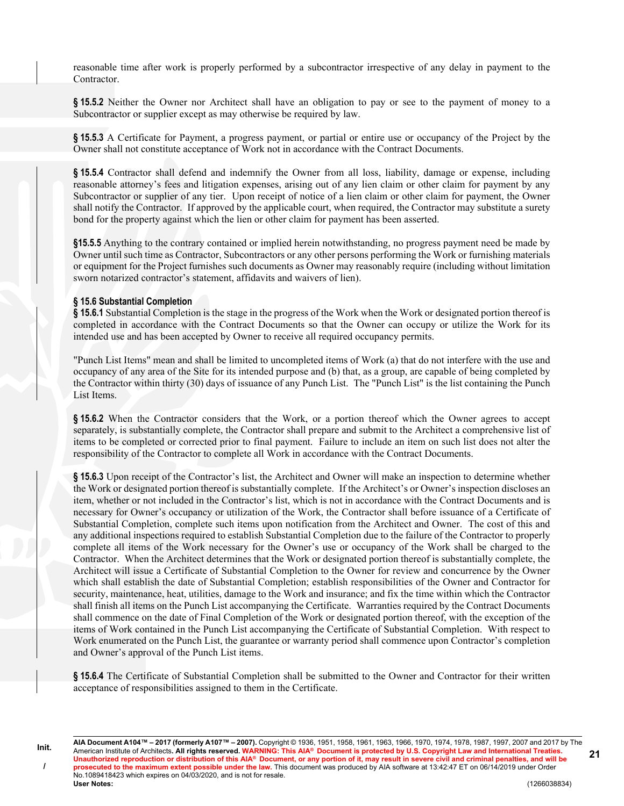reasonable time after work is properly performed by a subcontractor irrespective of any delay in payment to the Contractor.

**§ 15.5.2** Neither the Owner nor Architect shall have an obligation to pay or see to the payment of money to a Subcontractor or supplier except as may otherwise be required by law.

**§ 15.5.3** A Certificate for Payment, a progress payment, or partial or entire use or occupancy of the Project by the Owner shall not constitute acceptance of Work not in accordance with the Contract Documents.

§ 15.5.4 Contractor shall defend and indemnify the Owner from all loss, liability, damage or expense, including reasonable attorney's fees and litigation expenses, arising out of any lien claim or other claim for payment by any Subcontractor or supplier of any tier. Upon receipt of notice of a lien claim or other claim for payment, the Owner shall notify the Contractor. If approved by the applicable court, when required, the Contractor may substitute a surety bond for the property against which the lien or other claim for payment has been asserted.

**§15.5.5** Anything to the contrary contained or implied herein notwithstanding, no progress payment need be made by Owner until such time as Contractor, Subcontractors or any other persons performing the Work or furnishing materials or equipment for the Project furnishes such documents as Owner may reasonably require (including without limitation sworn notarized contractor's statement, affidavits and waivers of lien).

#### **§ 15.6 Substantial Completion**

**§ 15.6.1** Substantial Completion is the stage in the progress of the Work when the Work or designated portion thereof is completed in accordance with the Contract Documents so that the Owner can occupy or utilize the Work for its intended use and has been accepted by Owner to receive all required occupancy permits.

"Punch List Items" mean and shall be limited to uncompleted items of Work (a) that do not interfere with the use and occupancy of any area of the Site for its intended purpose and (b) that, as a group, are capable of being completed by the Contractor within thirty (30) days of issuance of any Punch List. The "Punch List" is the list containing the Punch List Items.

**§ 15.6.2** When the Contractor considers that the Work, or a portion thereof which the Owner agrees to accept separately, is substantially complete, the Contractor shall prepare and submit to the Architect a comprehensive list of items to be completed or corrected prior to final payment. Failure to include an item on such list does not alter the responsibility of the Contractor to complete all Work in accordance with the Contract Documents.

**§ 15.6.3** Upon receipt of the Contractor's list, the Architect and Owner will make an inspection to determine whether the Work or designated portion thereof is substantially complete. If the Architect's or Owner's inspection discloses an item, whether or not included in the Contractor's list, which is not in accordance with the Contract Documents and is necessary for Owner's occupancy or utilization of the Work, the Contractor shall before issuance of a Certificate of Substantial Completion, complete such items upon notification from the Architect and Owner. The cost of this and any additional inspections required to establish Substantial Completion due to the failure of the Contractor to properly complete all items of the Work necessary for the Owner's use or occupancy of the Work shall be charged to the Contractor. When the Architect determines that the Work or designated portion thereof is substantially complete, the Architect will issue a Certificate of Substantial Completion to the Owner for review and concurrence by the Owner which shall establish the date of Substantial Completion; establish responsibilities of the Owner and Contractor for security, maintenance, heat, utilities, damage to the Work and insurance; and fix the time within which the Contractor shall finish all items on the Punch List accompanying the Certificate. Warranties required by the Contract Documents shall commence on the date of Final Completion of the Work or designated portion thereof, with the exception of the items of Work contained in the Punch List accompanying the Certificate of Substantial Completion. With respect to Work enumerated on the Punch List, the guarantee or warranty period shall commence upon Contractor's completion and Owner's approval of the Punch List items.

**§ 15.6.4** The Certificate of Substantial Completion shall be submitted to the Owner and Contractor for their written acceptance of responsibilities assigned to them in the Certificate.

**Init. /**

**AIA Document A104™ – 2017 (formerly A107™ – 2007).** Copyright © 1936, 1951, 1958, 1961, 1963, 1966, 1970, 1974, 1978, 1987, 1997, 2007 and 2017 by The American Institute of Architects**. All rights reserved. WARNING: This AIA® Document is protected by U.S. Copyright Law and International Treaties. Unauthorized reproduction or distribution of this AIA® Document, or any portion of it, may result in severe civil and criminal penalties, and will be prosecuted to the maximum extent possible under the law.** This document was produced by AIA software at 13:42:47 ET on 06/14/2019 under Order No.1089418423 which expires on 04/03/2020, and is not for resale.<br>User Notes: **User Notes:** (1266038834) **21**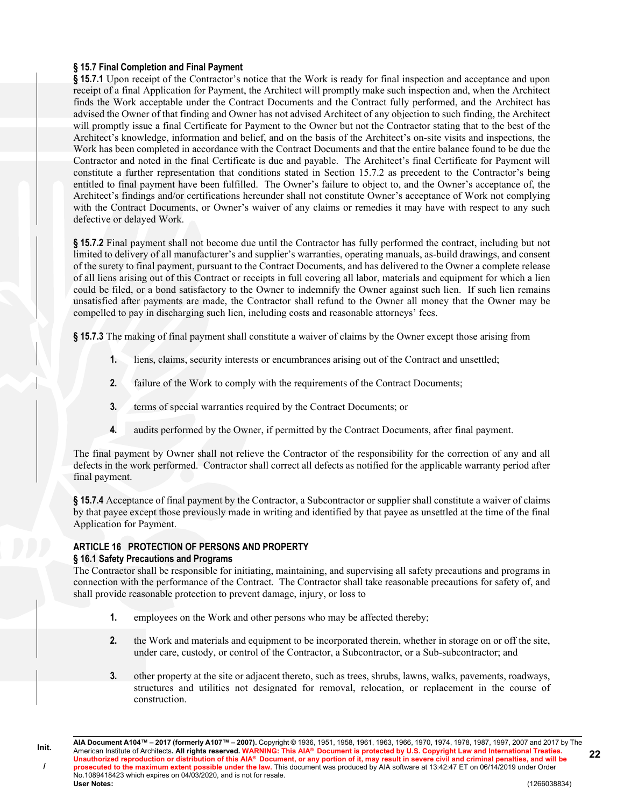# **§ 15.7 Final Completion and Final Payment**

**§ 15.7.1** Upon receipt of the Contractor's notice that the Work is ready for final inspection and acceptance and upon receipt of a final Application for Payment, the Architect will promptly make such inspection and, when the Architect finds the Work acceptable under the Contract Documents and the Contract fully performed, and the Architect has advised the Owner of that finding and Owner has not advised Architect of any objection to such finding, the Architect will promptly issue a final Certificate for Payment to the Owner but not the Contractor stating that to the best of the Architect's knowledge, information and belief, and on the basis of the Architect's on-site visits and inspections, the Work has been completed in accordance with the Contract Documents and that the entire balance found to be due the Contractor and noted in the final Certificate is due and payable. The Architect's final Certificate for Payment will constitute a further representation that conditions stated in Section 15.7.2 as precedent to the Contractor's being entitled to final payment have been fulfilled. The Owner's failure to object to, and the Owner's acceptance of, the Architect's findings and/or certifications hereunder shall not constitute Owner's acceptance of Work not complying with the Contract Documents, or Owner's waiver of any claims or remedies it may have with respect to any such defective or delayed Work.

**§ 15.7.2** Final payment shall not become due until the Contractor has fully performed the contract, including but not limited to delivery of all manufacturer's and supplier's warranties, operating manuals, as-build drawings, and consent of the surety to final payment, pursuant to the Contract Documents, and has delivered to the Owner a complete release of all liens arising out of this Contract or receipts in full covering all labor, materials and equipment for which a lien could be filed, or a bond satisfactory to the Owner to indemnify the Owner against such lien. If such lien remains unsatisfied after payments are made, the Contractor shall refund to the Owner all money that the Owner may be compelled to pay in discharging such lien, including costs and reasonable attorneys' fees.

**§ 15.7.3** The making of final payment shall constitute a waiver of claims by the Owner except those arising from

- **1.** liens, claims, security interests or encumbrances arising out of the Contract and unsettled;
- **2.** failure of the Work to comply with the requirements of the Contract Documents;
- **3.** terms of special warranties required by the Contract Documents; or
- **4.** audits performed by the Owner, if permitted by the Contract Documents, after final payment.

The final payment by Owner shall not relieve the Contractor of the responsibility for the correction of any and all defects in the work performed. Contractor shall correct all defects as notified for the applicable warranty period after final payment.

**§ 15.7.4** Acceptance of final payment by the Contractor, a Subcontractor or supplier shall constitute a waiver of claims by that payee except those previously made in writing and identified by that payee as unsettled at the time of the final Application for Payment.

# **ARTICLE 16 PROTECTION OF PERSONS AND PROPERTY**

# **§ 16.1 Safety Precautions and Programs**

The Contractor shall be responsible for initiating, maintaining, and supervising all safety precautions and programs in connection with the performance of the Contract. The Contractor shall take reasonable precautions for safety of, and shall provide reasonable protection to prevent damage, injury, or loss to

- **1.** employees on the Work and other persons who may be affected thereby;
- **2.** the Work and materials and equipment to be incorporated therein, whether in storage on or off the site, under care, custody, or control of the Contractor, a Subcontractor, or a Sub-subcontractor; and
- **3.** other property at the site or adjacent thereto, such as trees, shrubs, lawns, walks, pavements, roadways, structures and utilities not designated for removal, relocation, or replacement in the course of construction.
- **Init. /**

**AIA Document A104™ – 2017 (formerly A107™ – 2007).** Copyright © 1936, 1951, 1958, 1961, 1963, 1966, 1970, 1974, 1978, 1987, 1997, 2007 and 2017 by The American Institute of Architects**. All rights reserved. WARNING: This AIA® Document is protected by U.S. Copyright Law and International Treaties. Unauthorized reproduction or distribution of this AIA® Document, or any portion of it, may result in severe civil and criminal penalties, and will be prosecuted to the maximum extent possible under the law.** This document was produced by AIA software at 13:42:47 ET on 06/14/2019 under Order No.1089418423 which expires on 04/03/2020, and is not for resale.<br>User Notes: **User Notes:** (1266038834) **22**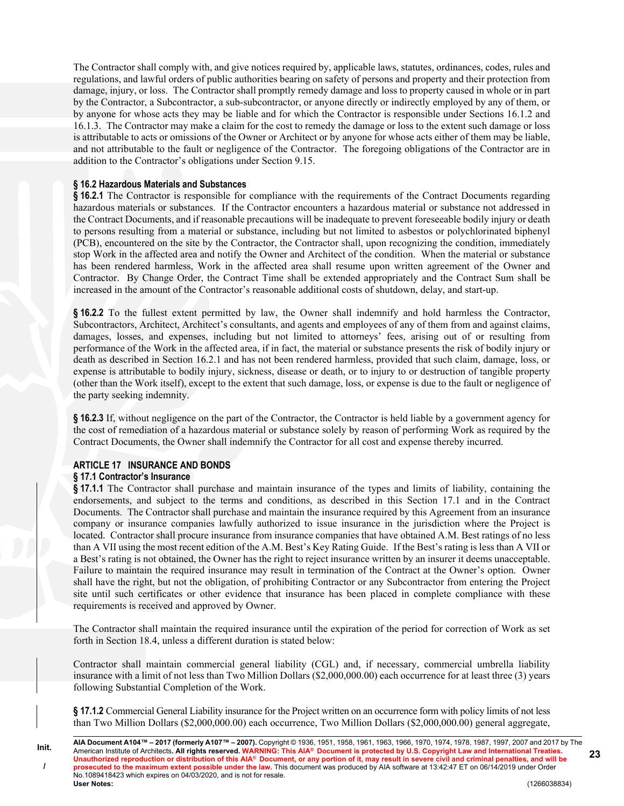The Contractor shall comply with, and give notices required by, applicable laws, statutes, ordinances, codes, rules and regulations, and lawful orders of public authorities bearing on safety of persons and property and their protection from damage, injury, or loss. The Contractor shall promptly remedy damage and loss to property caused in whole or in part by the Contractor, a Subcontractor, a sub-subcontractor, or anyone directly or indirectly employed by any of them, or by anyone for whose acts they may be liable and for which the Contractor is responsible under Sections 16.1.2 and 16.1.3. The Contractor may make a claim for the cost to remedy the damage or loss to the extent such damage or loss is attributable to acts or omissions of the Owner or Architect or by anyone for whose acts either of them may be liable, and not attributable to the fault or negligence of the Contractor. The foregoing obligations of the Contractor are in addition to the Contractor's obligations under Section 9.15.

#### **§ 16.2 Hazardous Materials and Substances**

**§ 16.2.1** The Contractor is responsible for compliance with the requirements of the Contract Documents regarding hazardous materials or substances. If the Contractor encounters a hazardous material or substance not addressed in the Contract Documents, and if reasonable precautions will be inadequate to prevent foreseeable bodily injury or death to persons resulting from a material or substance, including but not limited to asbestos or polychlorinated biphenyl (PCB), encountered on the site by the Contractor, the Contractor shall, upon recognizing the condition, immediately stop Work in the affected area and notify the Owner and Architect of the condition. When the material or substance has been rendered harmless, Work in the affected area shall resume upon written agreement of the Owner and Contractor. By Change Order, the Contract Time shall be extended appropriately and the Contract Sum shall be increased in the amount of the Contractor's reasonable additional costs of shutdown, delay, and start-up.

**§ 16.2.2** To the fullest extent permitted by law, the Owner shall indemnify and hold harmless the Contractor, Subcontractors, Architect, Architect's consultants, and agents and employees of any of them from and against claims, damages, losses, and expenses, including but not limited to attorneys' fees, arising out of or resulting from performance of the Work in the affected area, if in fact, the material or substance presents the risk of bodily injury or death as described in Section 16.2.1 and has not been rendered harmless, provided that such claim, damage, loss, or expense is attributable to bodily injury, sickness, disease or death, or to injury to or destruction of tangible property (other than the Work itself), except to the extent that such damage, loss, or expense is due to the fault or negligence of the party seeking indemnity.

**§ 16.2.3** If, without negligence on the part of the Contractor, the Contractor is held liable by a government agency for the cost of remediation of a hazardous material or substance solely by reason of performing Work as required by the Contract Documents, the Owner shall indemnify the Contractor for all cost and expense thereby incurred.

#### **ARTICLE 17 INSURANCE AND BONDS § 17.1 Contractor's Insurance**

**§ 17.1.1** The Contractor shall purchase and maintain insurance of the types and limits of liability, containing the endorsements, and subject to the terms and conditions, as described in this Section 17.1 and in the Contract Documents. The Contractor shall purchase and maintain the insurance required by this Agreement from an insurance company or insurance companies lawfully authorized to issue insurance in the jurisdiction where the Project is located. Contractor shall procure insurance from insurance companies that have obtained A.M. Best ratings of no less than A VII using the most recent edition of the A.M. Best's Key Rating Guide. If the Best's rating is less than A VII or a Best's rating is not obtained, the Owner has the right to reject insurance written by an insurer it deems unacceptable. Failure to maintain the required insurance may result in termination of the Contract at the Owner's option. Owner shall have the right, but not the obligation, of prohibiting Contractor or any Subcontractor from entering the Project site until such certificates or other evidence that insurance has been placed in complete compliance with these requirements is received and approved by Owner.

The Contractor shall maintain the required insurance until the expiration of the period for correction of Work as set forth in Section 18.4, unless a different duration is stated below:

Contractor shall maintain commercial general liability (CGL) and, if necessary, commercial umbrella liability insurance with a limit of not less than Two Million Dollars (\$2,000,000.00) each occurrence for at least three (3) years following Substantial Completion of the Work.

**§ 17.1.2** Commercial General Liability insurance for the Project written on an occurrence form with policy limits of not less than Two Million Dollars (\$2,000,000.00) each occurrence, Two Million Dollars (\$2,000,000.00) general aggregate,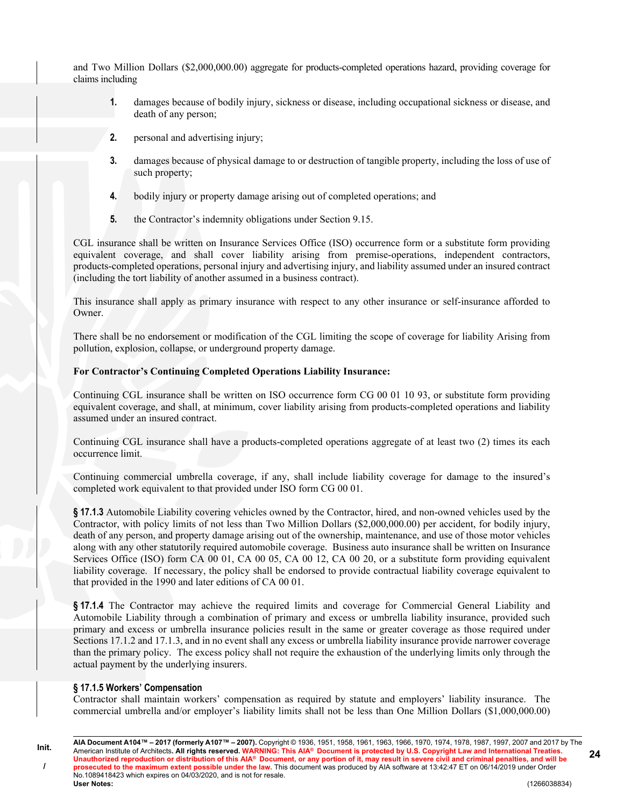and Two Million Dollars (\$2,000,000.00) aggregate for products-completed operations hazard, providing coverage for claims including

- **1.** damages because of bodily injury, sickness or disease, including occupational sickness or disease, and death of any person;
- **2.** personal and advertising injury;
- **3.** damages because of physical damage to or destruction of tangible property, including the loss of use of such property;
- **4.** bodily injury or property damage arising out of completed operations; and
- **5.** the Contractor's indemnity obligations under Section 9.15.

CGL insurance shall be written on Insurance Services Office (ISO) occurrence form or a substitute form providing equivalent coverage, and shall cover liability arising from premise-operations, independent contractors, products-completed operations, personal injury and advertising injury, and liability assumed under an insured contract (including the tort liability of another assumed in a business contract).

This insurance shall apply as primary insurance with respect to any other insurance or self-insurance afforded to Owner.

There shall be no endorsement or modification of the CGL limiting the scope of coverage for liability Arising from pollution, explosion, collapse, or underground property damage.

#### **For Contractor's Continuing Completed Operations Liability Insurance:**

Continuing CGL insurance shall be written on ISO occurrence form CG 00 01 10 93, or substitute form providing equivalent coverage, and shall, at minimum, cover liability arising from products-completed operations and liability assumed under an insured contract.

Continuing CGL insurance shall have a products-completed operations aggregate of at least two (2) times its each occurrence limit.

Continuing commercial umbrella coverage, if any, shall include liability coverage for damage to the insured's completed work equivalent to that provided under ISO form CG 00 01.

**§ 17.1.3** Automobile Liability covering vehicles owned by the Contractor, hired, and non-owned vehicles used by the Contractor, with policy limits of not less than Two Million Dollars (\$2,000,000.00) per accident, for bodily injury, death of any person, and property damage arising out of the ownership, maintenance, and use of those motor vehicles along with any other statutorily required automobile coverage. Business auto insurance shall be written on Insurance Services Office (ISO) form CA 00 01, CA 00 05, CA 00 12, CA 00 20, or a substitute form providing equivalent liability coverage. If necessary, the policy shall be endorsed to provide contractual liability coverage equivalent to that provided in the 1990 and later editions of CA 00 01.

**§ 17.1.4** The Contractor may achieve the required limits and coverage for Commercial General Liability and Automobile Liability through a combination of primary and excess or umbrella liability insurance, provided such primary and excess or umbrella insurance policies result in the same or greater coverage as those required under Sections 17.1.2 and 17.1.3, and in no event shall any excess or umbrella liability insurance provide narrower coverage than the primary policy. The excess policy shall not require the exhaustion of the underlying limits only through the actual payment by the underlying insurers.

# **§ 17.1.5 Workers' Compensation**

Contractor shall maintain workers' compensation as required by statute and employers' liability insurance. The commercial umbrella and/or employer's liability limits shall not be less than One Million Dollars (\$1,000,000.00)

**AIA Document A104™ – 2017 (formerly A107™ – 2007).** Copyright © 1936, 1951, 1958, 1961, 1963, 1966, 1970, 1974, 1978, 1987, 1997, 2007 and 2017 by The American Institute of Architects**. All rights reserved. WARNING: This AIA® Document is protected by U.S. Copyright Law and International Treaties. Unauthorized reproduction or distribution of this AIA® Document, or any portion of it, may result in severe civil and criminal penalties, and will be prosecuted to the maximum extent possible under the law.** This document was produced by AIA software at 13:42:47 ET on 06/14/2019 under Order No.1089418423 which expires on 04/03/2020, and is not for resale.<br>User Notes: **User Notes:** (1266038834) **24**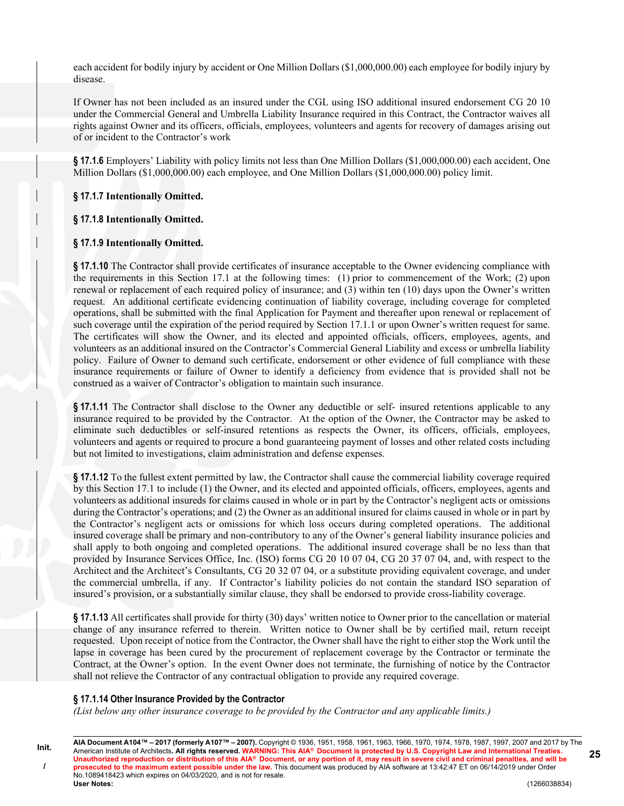each accident for bodily injury by accident or One Million Dollars (\$1,000,000.00) each employee for bodily injury by disease.

If Owner has not been included as an insured under the CGL using ISO additional insured endorsement CG 20 10 under the Commercial General and Umbrella Liability Insurance required in this Contract, the Contractor waives all rights against Owner and its officers, officials, employees, volunteers and agents for recovery of damages arising out of or incident to the Contractor's work

**§ 17.1.6** Employers' Liability with policy limits not less than One Million Dollars (\$1,000,000.00) each accident, One Million Dollars (\$1,000,000.00) each employee, and One Million Dollars (\$1,000,000.00) policy limit.

# **§ 17.1.7 Intentionally Omitted.**

#### **§ 17.1.8 Intentionally Omitted.**

#### **§ 17.1.9 Intentionally Omitted.**

**§ 17.1.10** The Contractor shall provide certificates of insurance acceptable to the Owner evidencing compliance with the requirements in this Section 17.1 at the following times: (1) prior to commencement of the Work; (2) upon renewal or replacement of each required policy of insurance; and (3) within ten (10) days upon the Owner's written request. An additional certificate evidencing continuation of liability coverage, including coverage for completed operations, shall be submitted with the final Application for Payment and thereafter upon renewal or replacement of such coverage until the expiration of the period required by Section 17.1.1 or upon Owner's written request for same. The certificates will show the Owner, and its elected and appointed officials, officers, employees, agents, and volunteers as an additional insured on the Contractor's Commercial General Liability and excess or umbrella liability policy. Failure of Owner to demand such certificate, endorsement or other evidence of full compliance with these insurance requirements or failure of Owner to identify a deficiency from evidence that is provided shall not be construed as a waiver of Contractor's obligation to maintain such insurance.

**§ 17.1.11** The Contractor shall disclose to the Owner any deductible or self- insured retentions applicable to any insurance required to be provided by the Contractor. At the option of the Owner, the Contractor may be asked to eliminate such deductibles or self-insured retentions as respects the Owner, its officers, officials, employees, volunteers and agents or required to procure a bond guaranteeing payment of losses and other related costs including but not limited to investigations, claim administration and defense expenses.

**§ 17.1.12** To the fullest extent permitted by law, the Contractor shall cause the commercial liability coverage required by this Section 17.1 to include (1) the Owner, and its elected and appointed officials, officers, employees, agents and volunteers as additional insureds for claims caused in whole or in part by the Contractor's negligent acts or omissions during the Contractor's operations; and (2) the Owner as an additional insured for claims caused in whole or in part by the Contractor's negligent acts or omissions for which loss occurs during completed operations. The additional insured coverage shall be primary and non-contributory to any of the Owner's general liability insurance policies and shall apply to both ongoing and completed operations. The additional insured coverage shall be no less than that provided by Insurance Services Office, Inc. (ISO) forms CG 20 10 07 04, CG 20 37 07 04, and, with respect to the Architect and the Architect's Consultants, CG 20 32 07 04, or a substitute providing equivalent coverage, and under the commercial umbrella, if any. If Contractor's liability policies do not contain the standard ISO separation of insured's provision, or a substantially similar clause, they shall be endorsed to provide cross-liability coverage.

**§ 17.1.13** All certificates shall provide for thirty (30) days' written notice to Owner prior to the cancellation or material change of any insurance referred to therein. Written notice to Owner shall be by certified mail, return receipt requested. Upon receipt of notice from the Contractor, the Owner shall have the right to either stop the Work until the lapse in coverage has been cured by the procurement of replacement coverage by the Contractor or terminate the Contract, at the Owner's option. In the event Owner does not terminate, the furnishing of notice by the Contractor shall not relieve the Contractor of any contractual obligation to provide any required coverage.

#### **§ 17.1.14 Other Insurance Provided by the Contractor**

*(List below any other insurance coverage to be provided by the Contractor and any applicable limits.)*

**AIA Document A104™ – 2017 (formerly A107™ – 2007).** Copyright © 1936, 1951, 1958, 1961, 1963, 1966, 1970, 1974, 1978, 1987, 1997, 2007 and 2017 by The American Institute of Architects**. All rights reserved. WARNING: This AIA® Document is protected by U.S. Copyright Law and International Treaties. Unauthorized reproduction or distribution of this AIA® Document, or any portion of it, may result in severe civil and criminal penalties, and will be prosecuted to the maximum extent possible under the law.** This document was produced by AIA software at 13:42:47 ET on 06/14/2019 under Order No.1089418423 which expires on 04/03/2020, and is not for resale.<br>User Notes: **User Notes:** (1266038834) **25**

**Init. /**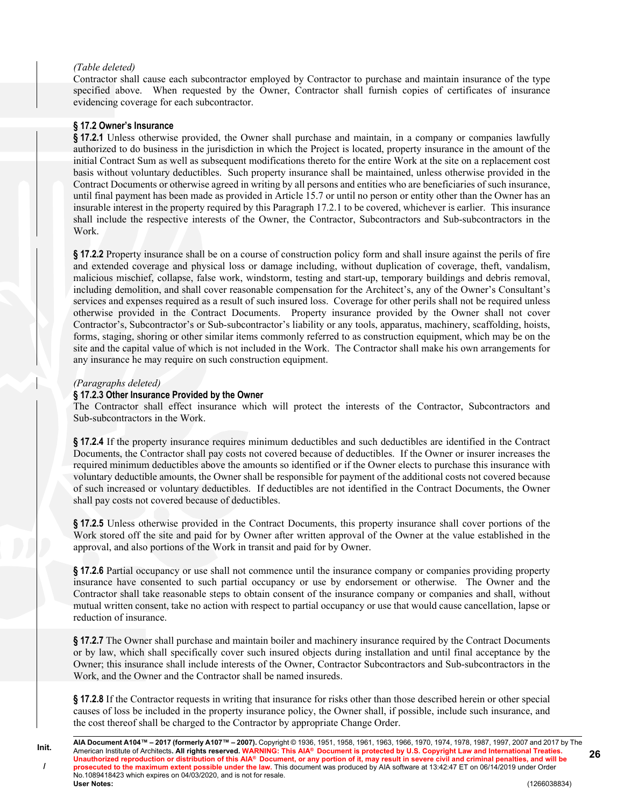# *(Table deleted)*

Contractor shall cause each subcontractor employed by Contractor to purchase and maintain insurance of the type specified above. When requested by the Owner, Contractor shall furnish copies of certificates of insurance evidencing coverage for each subcontractor.

# **§ 17.2 Owner's Insurance**

**§ 17.2.1** Unless otherwise provided, the Owner shall purchase and maintain, in a company or companies lawfully authorized to do business in the jurisdiction in which the Project is located, property insurance in the amount of the initial Contract Sum as well as subsequent modifications thereto for the entire Work at the site on a replacement cost basis without voluntary deductibles. Such property insurance shall be maintained, unless otherwise provided in the Contract Documents or otherwise agreed in writing by all persons and entities who are beneficiaries of such insurance, until final payment has been made as provided in Article 15.7 or until no person or entity other than the Owner has an insurable interest in the property required by this Paragraph 17.2.1 to be covered, whichever is earlier. This insurance shall include the respective interests of the Owner, the Contractor, Subcontractors and Sub-subcontractors in the Work.

**§ 17.2.2** Property insurance shall be on a course of construction policy form and shall insure against the perils of fire and extended coverage and physical loss or damage including, without duplication of coverage, theft, vandalism, malicious mischief, collapse, false work, windstorm, testing and start-up, temporary buildings and debris removal, including demolition, and shall cover reasonable compensation for the Architect's, any of the Owner's Consultant's services and expenses required as a result of such insured loss. Coverage for other perils shall not be required unless otherwise provided in the Contract Documents. Property insurance provided by the Owner shall not cover Contractor's, Subcontractor's or Sub-subcontractor's liability or any tools, apparatus, machinery, scaffolding, hoists, forms, staging, shoring or other similar items commonly referred to as construction equipment, which may be on the site and the capital value of which is not included in the Work. The Contractor shall make his own arrangements for any insurance he may require on such construction equipment.

# *(Paragraphs deleted)*

# **§ 17.2.3 Other Insurance Provided by the Owner**

The Contractor shall effect insurance which will protect the interests of the Contractor, Subcontractors and Sub-subcontractors in the Work.

**§ 17.2.4** If the property insurance requires minimum deductibles and such deductibles are identified in the Contract Documents, the Contractor shall pay costs not covered because of deductibles. If the Owner or insurer increases the required minimum deductibles above the amounts so identified or if the Owner elects to purchase this insurance with voluntary deductible amounts, the Owner shall be responsible for payment of the additional costs not covered because of such increased or voluntary deductibles. If deductibles are not identified in the Contract Documents, the Owner shall pay costs not covered because of deductibles.

**§ 17.2.5** Unless otherwise provided in the Contract Documents, this property insurance shall cover portions of the Work stored off the site and paid for by Owner after written approval of the Owner at the value established in the approval, and also portions of the Work in transit and paid for by Owner.

**§ 17.2.6** Partial occupancy or use shall not commence until the insurance company or companies providing property insurance have consented to such partial occupancy or use by endorsement or otherwise. The Owner and the Contractor shall take reasonable steps to obtain consent of the insurance company or companies and shall, without mutual written consent, take no action with respect to partial occupancy or use that would cause cancellation, lapse or reduction of insurance.

**§ 17.2.7** The Owner shall purchase and maintain boiler and machinery insurance required by the Contract Documents or by law, which shall specifically cover such insured objects during installation and until final acceptance by the Owner; this insurance shall include interests of the Owner, Contractor Subcontractors and Sub-subcontractors in the Work, and the Owner and the Contractor shall be named insureds.

**§ 17.2.8** If the Contractor requests in writing that insurance for risks other than those described herein or other special causes of loss be included in the property insurance policy, the Owner shall, if possible, include such insurance, and the cost thereof shall be charged to the Contractor by appropriate Change Order.

**AIA Document A104™ – 2017 (formerly A107™ – 2007).** Copyright © 1936, 1951, 1958, 1961, 1963, 1966, 1970, 1974, 1978, 1987, 1997, 2007 and 2017 by The American Institute of Architects**. All rights reserved. WARNING: This AIA® Document is protected by U.S. Copyright Law and International Treaties. Unauthorized reproduction or distribution of this AIA® Document, or any portion of it, may result in severe civil and criminal penalties, and will be prosecuted to the maximum extent possible under the law.** This document was produced by AIA software at 13:42:47 ET on 06/14/2019 under Order No.1089418423 which expires on 04/03/2020, and is not for resale.<br>User Notes: **User Notes:** (1266038834) **26**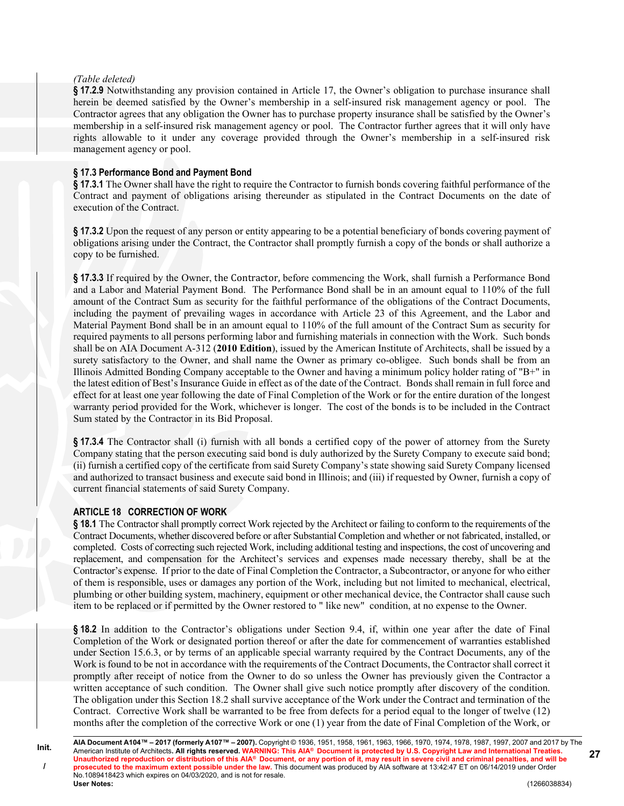#### *(Table deleted)*

**§ 17.2.9** Notwithstanding any provision contained in Article 17, the Owner's obligation to purchase insurance shall herein be deemed satisfied by the Owner's membership in a self-insured risk management agency or pool. The Contractor agrees that any obligation the Owner has to purchase property insurance shall be satisfied by the Owner's membership in a self-insured risk management agency or pool. The Contractor further agrees that it will only have rights allowable to it under any coverage provided through the Owner's membership in a self-insured risk management agency or pool.

#### **§ 17.3 Performance Bond and Payment Bond**

**§ 17.3.1** The Owner shall have the right to require the Contractor to furnish bonds covering faithful performance of the Contract and payment of obligations arising thereunder as stipulated in the Contract Documents on the date of execution of the Contract.

**§ 17.3.2** Upon the request of any person or entity appearing to be a potential beneficiary of bonds covering payment of obligations arising under the Contract, the Contractor shall promptly furnish a copy of the bonds or shall authorize a copy to be furnished.

**§ 17.3.3** If required by the Owner, the Contractor, before commencing the Work, shall furnish a Performance Bond and a Labor and Material Payment Bond. The Performance Bond shall be in an amount equal to 110% of the full amount of the Contract Sum as security for the faithful performance of the obligations of the Contract Documents, including the payment of prevailing wages in accordance with Article 23 of this Agreement, and the Labor and Material Payment Bond shall be in an amount equal to 110% of the full amount of the Contract Sum as security for required payments to all persons performing labor and furnishing materials in connection with the Work. Such bonds shall be on AIA Document A-312 (**2010 Edition**), issued by the American Institute of Architects, shall be issued by a surety satisfactory to the Owner, and shall name the Owner as primary co-obligee. Such bonds shall be from an Illinois Admitted Bonding Company acceptable to the Owner and having a minimum policy holder rating of "B+" in the latest edition of Best's Insurance Guide in effect as of the date of the Contract. Bonds shall remain in full force and effect for at least one year following the date of Final Completion of the Work or for the entire duration of the longest warranty period provided for the Work, whichever is longer. The cost of the bonds is to be included in the Contract Sum stated by the Contractor in its Bid Proposal.

**§ 17.3.4** The Contractor shall (i) furnish with all bonds a certified copy of the power of attorney from the Surety Company stating that the person executing said bond is duly authorized by the Surety Company to execute said bond; (ii) furnish a certified copy of the certificate from said Surety Company's state showing said Surety Company licensed and authorized to transact business and execute said bond in Illinois; and (iii) if requested by Owner, furnish a copy of current financial statements of said Surety Company.

#### **ARTICLE 18 CORRECTION OF WORK**

§ 18.1 The Contractor shall promptly correct Work rejected by the Architect or failing to conform to the requirements of the Contract Documents, whether discovered before or after Substantial Completion and whether or not fabricated, installed, or completed. Costs of correcting such rejected Work, including additional testing and inspections, the cost of uncovering and replacement, and compensation for the Architect's services and expenses made necessary thereby, shall be at the Contractor's expense. If prior to the date of Final Completion the Contractor, a Subcontractor, or anyone for who either of them is responsible, uses or damages any portion of the Work, including but not limited to mechanical, electrical, plumbing or other building system, machinery, equipment or other mechanical device, the Contractor shall cause such item to be replaced or if permitted by the Owner restored to " like new" condition, at no expense to the Owner.

**§ 18.2** In addition to the Contractor's obligations under Section 9.4, if, within one year after the date of Final Completion of the Work or designated portion thereof or after the date for commencement of warranties established under Section 15.6.3, or by terms of an applicable special warranty required by the Contract Documents, any of the Work is found to be not in accordance with the requirements of the Contract Documents, the Contractor shall correct it promptly after receipt of notice from the Owner to do so unless the Owner has previously given the Contractor a written acceptance of such condition. The Owner shall give such notice promptly after discovery of the condition. The obligation under this Section 18.2 shall survive acceptance of the Work under the Contract and termination of the Contract. Corrective Work shall be warranted to be free from defects for a period equal to the longer of twelve (12) months after the completion of the corrective Work or one (1) year from the date of Final Completion of the Work, or

**Init. /**

**AIA Document A104™ – 2017 (formerly A107™ – 2007).** Copyright © 1936, 1951, 1958, 1961, 1963, 1966, 1970, 1974, 1978, 1987, 1997, 2007 and 2017 by The American Institute of Architects**. All rights reserved. WARNING: This AIA® Document is protected by U.S. Copyright Law and International Treaties. Unauthorized reproduction or distribution of this AIA® Document, or any portion of it, may result in severe civil and criminal penalties, and will be prosecuted to the maximum extent possible under the law.** This document was produced by AIA software at 13:42:47 ET on 06/14/2019 under Order No.1089418423 which expires on 04/03/2020, and is not for resale.<br>User Notes: **User Notes:** (1266038834) **27**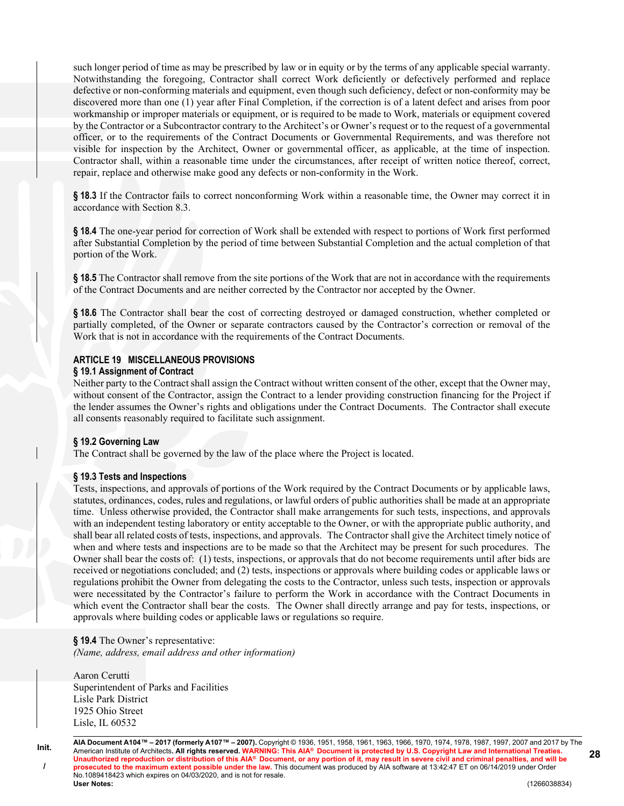such longer period of time as may be prescribed by law or in equity or by the terms of any applicable special warranty. Notwithstanding the foregoing, Contractor shall correct Work deficiently or defectively performed and replace defective or non-conforming materials and equipment, even though such deficiency, defect or non-conformity may be discovered more than one (1) year after Final Completion, if the correction is of a latent defect and arises from poor workmanship or improper materials or equipment, or is required to be made to Work, materials or equipment covered by the Contractor or a Subcontractor contrary to the Architect's or Owner's request or to the request of a governmental officer, or to the requirements of the Contract Documents or Governmental Requirements, and was therefore not visible for inspection by the Architect, Owner or governmental officer, as applicable, at the time of inspection. Contractor shall, within a reasonable time under the circumstances, after receipt of written notice thereof, correct, repair, replace and otherwise make good any defects or non-conformity in the Work.

**§ 18.3** If the Contractor fails to correct nonconforming Work within a reasonable time, the Owner may correct it in accordance with Section 8.3.

**§ 18.4** The one-year period for correction of Work shall be extended with respect to portions of Work first performed after Substantial Completion by the period of time between Substantial Completion and the actual completion of that portion of the Work.

**§ 18.5** The Contractor shall remove from the site portions of the Work that are not in accordance with the requirements of the Contract Documents and are neither corrected by the Contractor nor accepted by the Owner.

§ 18.6 The Contractor shall bear the cost of correcting destroyed or damaged construction, whether completed or partially completed, of the Owner or separate contractors caused by the Contractor's correction or removal of the Work that is not in accordance with the requirements of the Contract Documents.

#### **ARTICLE 19 MISCELLANEOUS PROVISIONS**

#### **§ 19.1 Assignment of Contract**

Neither party to the Contract shall assign the Contract without written consent of the other, except that the Owner may, without consent of the Contractor, assign the Contract to a lender providing construction financing for the Project if the lender assumes the Owner's rights and obligations under the Contract Documents. The Contractor shall execute all consents reasonably required to facilitate such assignment.

#### **§ 19.2 Governing Law**

The Contract shall be governed by the law of the place where the Project is located.

#### **§ 19.3 Tests and Inspections**

Tests, inspections, and approvals of portions of the Work required by the Contract Documents or by applicable laws, statutes, ordinances, codes, rules and regulations, or lawful orders of public authorities shall be made at an appropriate time. Unless otherwise provided, the Contractor shall make arrangements for such tests, inspections, and approvals with an independent testing laboratory or entity acceptable to the Owner, or with the appropriate public authority, and shall bear all related costs of tests, inspections, and approvals. The Contractor shall give the Architect timely notice of when and where tests and inspections are to be made so that the Architect may be present for such procedures. The Owner shall bear the costs of: (1) tests, inspections, or approvals that do not become requirements until after bids are received or negotiations concluded; and (2) tests, inspections or approvals where building codes or applicable laws or regulations prohibit the Owner from delegating the costs to the Contractor, unless such tests, inspection or approvals were necessitated by the Contractor's failure to perform the Work in accordance with the Contract Documents in which event the Contractor shall bear the costs. The Owner shall directly arrange and pay for tests, inspections, or approvals where building codes or applicable laws or regulations so require.

**§ 19.4** The Owner's representative: *(Name, address, email address and other information)*

Aaron Cerutti Superintendent of Parks and Facilities Lisle Park District 1925 Ohio Street Lisle, IL 60532

**AIA Document A104™ – 2017 (formerly A107™ – 2007).** Copyright © 1936, 1951, 1958, 1961, 1963, 1966, 1970, 1974, 1978, 1987, 1997, 2007 and 2017 by The American Institute of Architects**. All rights reserved. WARNING: This AIA® Document is protected by U.S. Copyright Law and International Treaties. Unauthorized reproduction or distribution of this AIA® Document, or any portion of it, may result in severe civil and criminal penalties, and will be prosecuted to the maximum extent possible under the law.** This document was produced by AIA software at 13:42:47 ET on 06/14/2019 under Order No.1089418423 which expires on 04/03/2020, and is not for resale.<br>User Notes: **User Notes:** (1266038834) **28**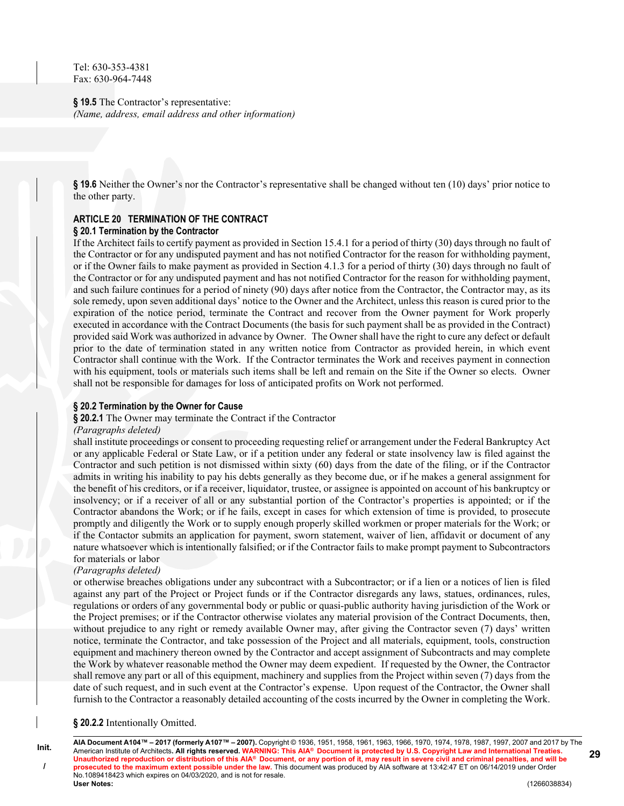Tel: 630-353-4381 Fax: 630-964-7448

**§ 19.5** The Contractor's representative: *(Name, address, email address and other information)*

§ 19.6 Neither the Owner's nor the Contractor's representative shall be changed without ten (10) days' prior notice to the other party.

# **ARTICLE 20 TERMINATION OF THE CONTRACT**

#### **§ 20.1 Termination by the Contractor**

If the Architect fails to certify payment as provided in Section 15.4.1 for a period of thirty (30) days through no fault of the Contractor or for any undisputed payment and has not notified Contractor for the reason for withholding payment, or if the Owner fails to make payment as provided in Section 4.1.3 for a period of thirty (30) days through no fault of the Contractor or for any undisputed payment and has not notified Contractor for the reason for withholding payment, and such failure continues for a period of ninety (90) days after notice from the Contractor, the Contractor may, as its sole remedy, upon seven additional days' notice to the Owner and the Architect, unless this reason is cured prior to the expiration of the notice period, terminate the Contract and recover from the Owner payment for Work properly executed in accordance with the Contract Documents (the basis for such payment shall be as provided in the Contract) provided said Work was authorized in advance by Owner. The Owner shall have the right to cure any defect or default prior to the date of termination stated in any written notice from Contractor as provided herein, in which event Contractor shall continue with the Work. If the Contractor terminates the Work and receives payment in connection with his equipment, tools or materials such items shall be left and remain on the Site if the Owner so elects. Owner shall not be responsible for damages for loss of anticipated profits on Work not performed.

#### **§ 20.2 Termination by the Owner for Cause**

#### **§ 20.2.1** The Owner may terminate the Contract if the Contractor

#### *(Paragraphs deleted)*

shall institute proceedings or consent to proceeding requesting relief or arrangement under the Federal Bankruptcy Act or any applicable Federal or State Law, or if a petition under any federal or state insolvency law is filed against the Contractor and such petition is not dismissed within sixty (60) days from the date of the filing, or if the Contractor admits in writing his inability to pay his debts generally as they become due, or if he makes a general assignment for the benefit of his creditors, or if a receiver, liquidator, trustee, or assignee is appointed on account of his bankruptcy or insolvency; or if a receiver of all or any substantial portion of the Contractor's properties is appointed; or if the Contractor abandons the Work; or if he fails, except in cases for which extension of time is provided, to prosecute promptly and diligently the Work or to supply enough properly skilled workmen or proper materials for the Work; or if the Contactor submits an application for payment, sworn statement, waiver of lien, affidavit or document of any nature whatsoever which is intentionally falsified; or if the Contractor fails to make prompt payment to Subcontractors for materials or labor

#### *(Paragraphs deleted)*

or otherwise breaches obligations under any subcontract with a Subcontractor; or if a lien or a notices of lien is filed against any part of the Project or Project funds or if the Contractor disregards any laws, statues, ordinances, rules, regulations or orders of any governmental body or public or quasi-public authority having jurisdiction of the Work or the Project premises; or if the Contractor otherwise violates any material provision of the Contract Documents, then, without prejudice to any right or remedy available Owner may, after giving the Contractor seven (7) days' written notice, terminate the Contractor, and take possession of the Project and all materials, equipment, tools, construction equipment and machinery thereon owned by the Contractor and accept assignment of Subcontracts and may complete the Work by whatever reasonable method the Owner may deem expedient. If requested by the Owner, the Contractor shall remove any part or all of this equipment, machinery and supplies from the Project within seven (7) days from the date of such request, and in such event at the Contractor's expense. Upon request of the Contractor, the Owner shall furnish to the Contractor a reasonably detailed accounting of the costs incurred by the Owner in completing the Work.

# **§ 20.2.2** Intentionally Omitted.

**AIA Document A104™ – 2017 (formerly A107™ – 2007).** Copyright © 1936, 1951, 1958, 1961, 1963, 1966, 1970, 1974, 1978, 1987, 1997, 2007 and 2017 by The American Institute of Architects**. All rights reserved. WARNING: This AIA® Document is protected by U.S. Copyright Law and International Treaties. Unauthorized reproduction or distribution of this AIA® Document, or any portion of it, may result in severe civil and criminal penalties, and will be prosecuted to the maximum extent possible under the law.** This document was produced by AIA software at 13:42:47 ET on 06/14/2019 under Order No.1089418423 which expires on 04/03/2020, and is not for resale.<br>User Notes: **User Notes:** (1266038834) **29**

**Init. /**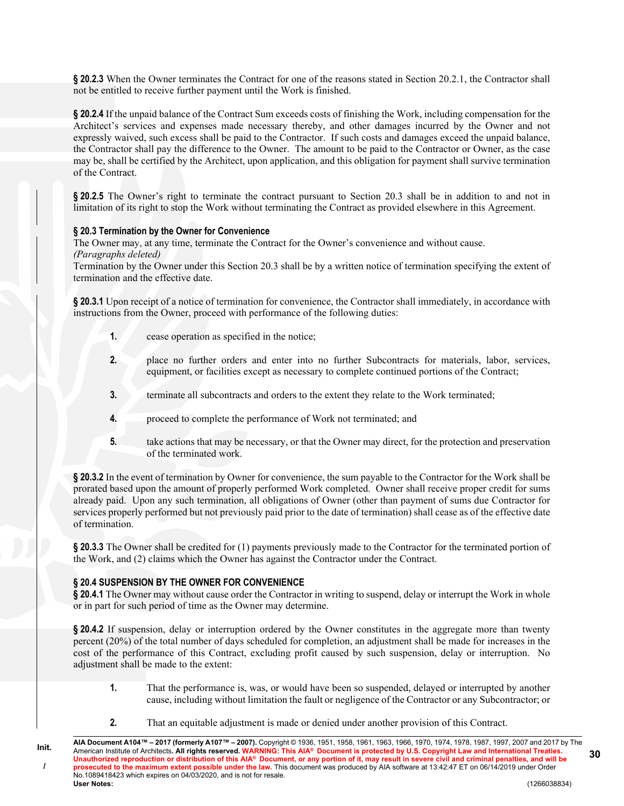**§ 20.2.3** When the Owner terminates the Contract for one of the reasons stated in Section 20.2.1, the Contractor shall not be entitled to receive further payment until the Work is finished.

**§ 20.2.4** If the unpaid balance of the Contract Sum exceeds costs of finishing the Work, including compensation for the Architect's services and expenses made necessary thereby, and other damages incurred by the Owner and not expressly waived, such excess shall be paid to the Contractor. If such costs and damages exceed the unpaid balance, the Contractor shall pay the difference to the Owner. The amount to be paid to the Contractor or Owner, as the case may be, shall be certified by the Architect, upon application, and this obligation for payment shall survive termination of the Contract.

**§ 20.2.5** The Owner's right to terminate the contract pursuant to Section 20.3 shall be in addition to and not in limitation of its right to stop the Work without terminating the Contract as provided elsewhere in this Agreement.

#### **§ 20.3 Termination by the Owner for Convenience**

The Owner may, at any time, terminate the Contract for the Owner's convenience and without cause.

*(Paragraphs deleted)*

**Init. /**

Termination by the Owner under this Section 20.3 shall be by a written notice of termination specifying the extent of termination and the effective date.

**§ 20.3.1** Upon receipt of a notice of termination for convenience, the Contractor shall immediately, in accordance with instructions from the Owner, proceed with performance of the following duties:

- **1.** cease operation as specified in the notice;
- **2.** place no further orders and enter into no further Subcontracts for materials, labor, services, equipment, or facilities except as necessary to complete continued portions of the Contract;
- **3.** terminate all subcontracts and orders to the extent they relate to the Work terminated;
- **4.** proceed to complete the performance of Work not terminated; and
- **5.** take actions that may be necessary, or that the Owner may direct, for the protection and preservation of the terminated work.

**§ 20.3.2** In the event of termination by Owner for convenience, the sum payable to the Contractor for the Work shall be prorated based upon the amount of properly performed Work completed. Owner shall receive proper credit for sums already paid. Upon any such termination, all obligations of Owner (other than payment of sums due Contractor for services properly performed but not previously paid prior to the date of termination) shall cease as of the effective date of termination.

**§ 20.3.3** The Owner shall be credited for (1) payments previously made to the Contractor for the terminated portion of the Work, and (2) claims which the Owner has against the Contractor under the Contract.

# **§ 20.4 SUSPENSION BY THE OWNER FOR CONVENIENCE**

**§ 20.4.1** The Owner may without cause order the Contractor in writing to suspend, delay or interrupt the Work in whole or in part for such period of time as the Owner may determine.

**§ 20.4.2** If suspension, delay or interruption ordered by the Owner constitutes in the aggregate more than twenty percent (20%) of the total number of days scheduled for completion, an adjustment shall be made for increases in the cost of the performance of this Contract, excluding profit caused by such suspension, delay or interruption. No adjustment shall be made to the extent:

- **1.** That the performance is, was, or would have been so suspended, delayed or interrupted by another cause, including without limitation the fault or negligence of the Contractor or any Subcontractor; or
- **2.** That an equitable adjustment is made or denied under another provision of this Contract.

**AIA Document A104™ – 2017 (formerly A107™ – 2007).** Copyright © 1936, 1951, 1958, 1961, 1963, 1966, 1970, 1974, 1978, 1987, 1997, 2007 and 2017 by The American Institute of Architects**. All rights reserved. WARNING: This AIA® Document is protected by U.S. Copyright Law and International Treaties. Unauthorized reproduction or distribution of this AIA® Document, or any portion of it, may result in severe civil and criminal penalties, and will be prosecuted to the maximum extent possible under the law.** This document was produced by AIA software at 13:42:47 ET on 06/14/2019 under Order No.1089418423 which expires on 04/03/2020, and is not for resale. **User Notes:** (1266038834) **30**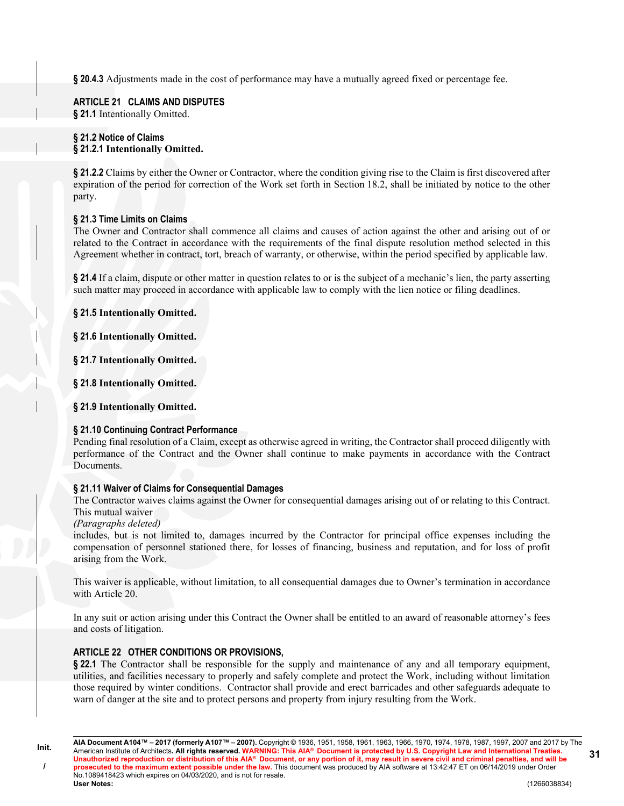**§ 20.4.3** Adjustments made in the cost of performance may have a mutually agreed fixed or percentage fee.

**ARTICLE 21 CLAIMS AND DISPUTES § 21.1** Intentionally Omitted.

# **§ 21.2 Notice of Claims § 21.2.1 Intentionally Omitted.**

§ 21.2.2 Claims by either the Owner or Contractor, where the condition giving rise to the Claim is first discovered after expiration of the period for correction of the Work set forth in Section 18.2, shall be initiated by notice to the other party.

# **§ 21.3 Time Limits on Claims**

The Owner and Contractor shall commence all claims and causes of action against the other and arising out of or related to the Contract in accordance with the requirements of the final dispute resolution method selected in this Agreement whether in contract, tort, breach of warranty, or otherwise, within the period specified by applicable law.

**§ 21.4** If a claim, dispute or other matter in question relates to or is the subject of a mechanic's lien, the party asserting such matter may proceed in accordance with applicable law to comply with the lien notice or filing deadlines.

**§ 21.5 Intentionally Omitted.**

**§ 21.6 Intentionally Omitted.**

**§ 21.7 Intentionally Omitted.**

**§ 21.8 Intentionally Omitted.**

**§ 21.9 Intentionally Omitted.**

# **§ 21.10 Continuing Contract Performance**

Pending final resolution of a Claim, except as otherwise agreed in writing, the Contractor shall proceed diligently with performance of the Contract and the Owner shall continue to make payments in accordance with the Contract Documents.

# **§ 21.11 Waiver of Claims for Consequential Damages**

The Contractor waives claims against the Owner for consequential damages arising out of or relating to this Contract. This mutual waiver

*(Paragraphs deleted)*

includes, but is not limited to, damages incurred by the Contractor for principal office expenses including the compensation of personnel stationed there, for losses of financing, business and reputation, and for loss of profit arising from the Work.

This waiver is applicable, without limitation, to all consequential damages due to Owner's termination in accordance with Article 20.

In any suit or action arising under this Contract the Owner shall be entitled to an award of reasonable attorney's fees and costs of litigation.

# **ARTICLE 22 OTHER CONDITIONS OR PROVISIONS,**

**§ 22.1** The Contractor shall be responsible for the supply and maintenance of any and all temporary equipment, utilities, and facilities necessary to properly and safely complete and protect the Work, including without limitation those required by winter conditions. Contractor shall provide and erect barricades and other safeguards adequate to warn of danger at the site and to protect persons and property from injury resulting from the Work.

**Init. /**

**AIA Document A104™ – 2017 (formerly A107™ – 2007).** Copyright © 1936, 1951, 1958, 1961, 1963, 1966, 1970, 1974, 1978, 1987, 1997, 2007 and 2017 by The American Institute of Architects**. All rights reserved. WARNING: This AIA® Document is protected by U.S. Copyright Law and International Treaties. Unauthorized reproduction or distribution of this AIA® Document, or any portion of it, may result in severe civil and criminal penalties, and will be prosecuted to the maximum extent possible under the law.** This document was produced by AIA software at 13:42:47 ET on 06/14/2019 under Order No.1089418423 which expires on 04/03/2020, and is not for resale.<br>User Notes: **User Notes:** (1266038834) **31**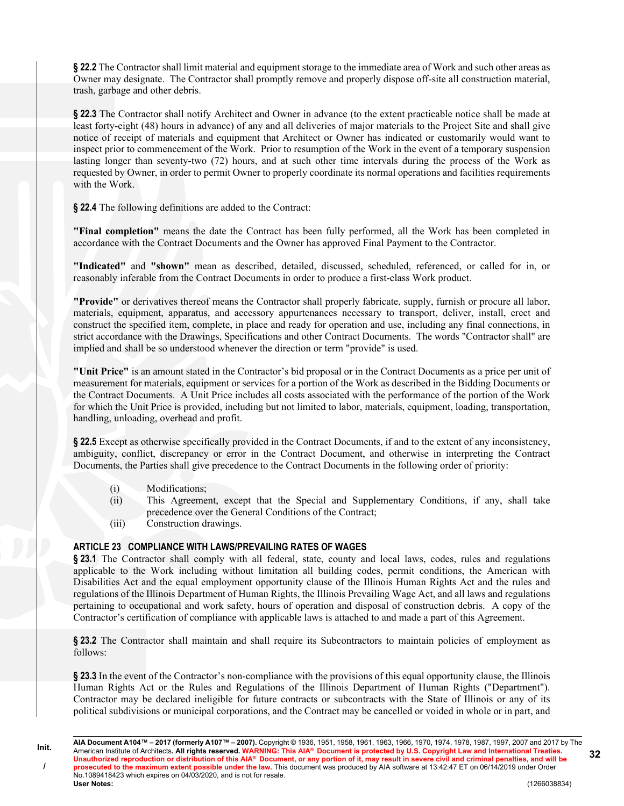**§ 22.2** The Contractor shall limit material and equipment storage to the immediate area of Work and such other areas as Owner may designate. The Contractor shall promptly remove and properly dispose off-site all construction material, trash, garbage and other debris.

**§ 22.3** The Contractor shall notify Architect and Owner in advance (to the extent practicable notice shall be made at least forty-eight (48) hours in advance) of any and all deliveries of major materials to the Project Site and shall give notice of receipt of materials and equipment that Architect or Owner has indicated or customarily would want to inspect prior to commencement of the Work. Prior to resumption of the Work in the event of a temporary suspension lasting longer than seventy-two (72) hours, and at such other time intervals during the process of the Work as requested by Owner, in order to permit Owner to properly coordinate its normal operations and facilities requirements with the Work.

**§ 22.4** The following definitions are added to the Contract:

**"Final completion"** means the date the Contract has been fully performed, all the Work has been completed in accordance with the Contract Documents and the Owner has approved Final Payment to the Contractor.

**"Indicated"** and **"shown"** mean as described, detailed, discussed, scheduled, referenced, or called for in, or reasonably inferable from the Contract Documents in order to produce a first-class Work product.

**"Provide"** or derivatives thereof means the Contractor shall properly fabricate, supply, furnish or procure all labor, materials, equipment, apparatus, and accessory appurtenances necessary to transport, deliver, install, erect and construct the specified item, complete, in place and ready for operation and use, including any final connections, in strict accordance with the Drawings, Specifications and other Contract Documents. The words "Contractor shall" are implied and shall be so understood whenever the direction or term "provide" is used.

**"Unit Price"** is an amount stated in the Contractor's bid proposal or in the Contract Documents as a price per unit of measurement for materials, equipment or services for a portion of the Work as described in the Bidding Documents or the Contract Documents. A Unit Price includes all costs associated with the performance of the portion of the Work for which the Unit Price is provided, including but not limited to labor, materials, equipment, loading, transportation, handling, unloading, overhead and profit.

**§ 22.5** Except as otherwise specifically provided in the Contract Documents, if and to the extent of any inconsistency, ambiguity, conflict, discrepancy or error in the Contract Document, and otherwise in interpreting the Contract Documents, the Parties shall give precedence to the Contract Documents in the following order of priority:

- (i) Modifications;
- (ii) This Agreement, except that the Special and Supplementary Conditions, if any, shall take precedence over the General Conditions of the Contract;
- (iii) Construction drawings.

# **ARTICLE 23 COMPLIANCE WITH LAWS/PREVAILING RATES OF WAGES**

§ 23.1 The Contractor shall comply with all federal, state, county and local laws, codes, rules and regulations applicable to the Work including without limitation all building codes, permit conditions, the American with Disabilities Act and the equal employment opportunity clause of the Illinois Human Rights Act and the rules and regulations of the Illinois Department of Human Rights, the Illinois Prevailing Wage Act, and all laws and regulations pertaining to occupational and work safety, hours of operation and disposal of construction debris. A copy of the Contractor's certification of compliance with applicable laws is attached to and made a part of this Agreement.

§ 23.2 The Contractor shall maintain and shall require its Subcontractors to maintain policies of employment as follows:

**§ 23.3** In the event of the Contractor's non-compliance with the provisions of this equal opportunity clause, the Illinois Human Rights Act or the Rules and Regulations of the Illinois Department of Human Rights ("Department"). Contractor may be declared ineligible for future contracts or subcontracts with the State of Illinois or any of its political subdivisions or municipal corporations, and the Contract may be cancelled or voided in whole or in part, and

**AIA Document A104™ – 2017 (formerly A107™ – 2007).** Copyright © 1936, 1951, 1958, 1961, 1963, 1966, 1970, 1974, 1978, 1987, 1997, 2007 and 2017 by The American Institute of Architects**. All rights reserved. WARNING: This AIA® Document is protected by U.S. Copyright Law and International Treaties. Unauthorized reproduction or distribution of this AIA® Document, or any portion of it, may result in severe civil and criminal penalties, and will be prosecuted to the maximum extent possible under the law.** This document was produced by AIA software at 13:42:47 ET on 06/14/2019 under Order No.1089418423 which expires on 04/03/2020, and is not for resale.<br>User Notes: **User Notes:** (1266038834) **32**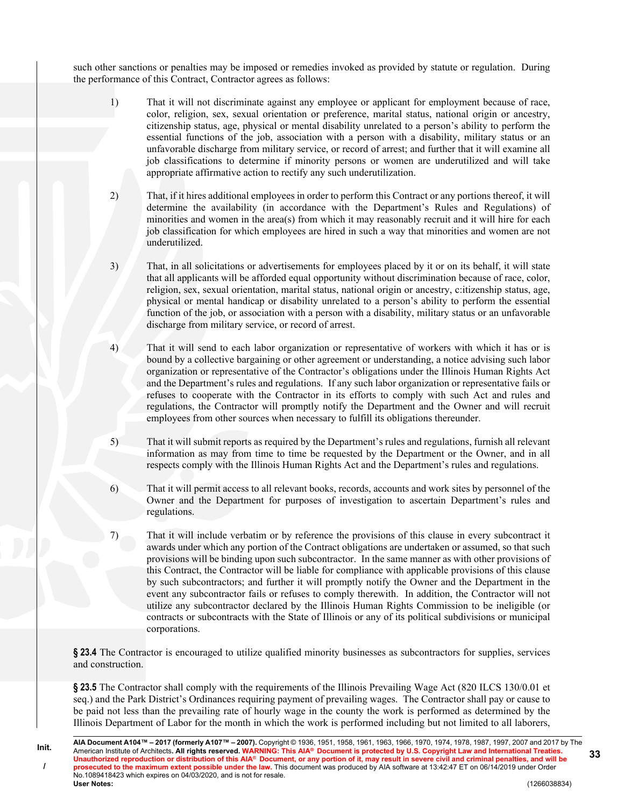such other sanctions or penalties may be imposed or remedies invoked as provided by statute or regulation. During the performance of this Contract, Contractor agrees as follows:

- 1) That it will not discriminate against any employee or applicant for employment because of race, color, religion, sex, sexual orientation or preference, marital status, national origin or ancestry, citizenship status, age, physical or mental disability unrelated to a person's ability to perform the essential functions of the job, association with a person with a disability, military status or an unfavorable discharge from military service, or record of arrest; and further that it will examine all job classifications to determine if minority persons or women are underutilized and will take appropriate affirmative action to rectify any such underutilization.
- 2) That, if it hires additional employees in order to perform this Contract or any portions thereof, it will determine the availability (in accordance with the Department's Rules and Regulations) of minorities and women in the area(s) from which it may reasonably recruit and it will hire for each job classification for which employees are hired in such a way that minorities and women are not underutilized.
- 3) That, in all solicitations or advertisements for employees placed by it or on its behalf, it will state that all applicants will be afforded equal opportunity without discrimination because of race, color, religion, sex, sexual orientation, marital status, national origin or ancestry, c:itizenship status, age, physical or mental handicap or disability unrelated to a person's ability to perform the essential function of the job, or association with a person with a disability, military status or an unfavorable discharge from military service, or record of arrest.
- 4) That it will send to each labor organization or representative of workers with which it has or is bound by a collective bargaining or other agreement or understanding, a notice advising such labor organization or representative of the Contractor's obligations under the Illinois Human Rights Act and the Department's rules and regulations. If any such labor organization or representative fails or refuses to cooperate with the Contractor in its efforts to comply with such Act and rules and regulations, the Contractor will promptly notify the Department and the Owner and will recruit employees from other sources when necessary to fulfill its obligations thereunder.
- 5) That it will submit reports as required by the Department's rules and regulations, furnish all relevant information as may from time to time be requested by the Department or the Owner, and in all respects comply with the Illinois Human Rights Act and the Department's rules and regulations.
- 6) That it will permit access to all relevant books, records, accounts and work sites by personnel of the Owner and the Department for purposes of investigation to ascertain Department's rules and regulations.
- 7) That it will include verbatim or by reference the provisions of this clause in every subcontract it awards under which any portion of the Contract obligations are undertaken or assumed, so that such provisions will be binding upon such subcontractor. In the same manner as with other provisions of this Contract, the Contractor will be liable for compliance with applicable provisions of this clause by such subcontractors; and further it will promptly notify the Owner and the Department in the event any subcontractor fails or refuses to comply therewith. In addition, the Contractor will not utilize any subcontractor declared by the Illinois Human Rights Commission to be ineligible (or contracts or subcontracts with the State of Illinois or any of its political subdivisions or municipal corporations.

**§ 23.4** The Contractor is encouraged to utilize qualified minority businesses as subcontractors for supplies, services and construction.

§ 23.5 The Contractor shall comply with the requirements of the Illinois Prevailing Wage Act (820 ILCS 130/0.01 et seq.) and the Park District's Ordinances requiring payment of prevailing wages. The Contractor shall pay or cause to be paid not less than the prevailing rate of hourly wage in the county the work is performed as determined by the Illinois Department of Labor for the month in which the work is performed including but not limited to all laborers,

**AIA Document A104™ – 2017 (formerly A107™ – 2007).** Copyright © 1936, 1951, 1958, 1961, 1963, 1966, 1970, 1974, 1978, 1987, 1997, 2007 and 2017 by The American Institute of Architects**. All rights reserved. WARNING: This AIA® Document is protected by U.S. Copyright Law and International Treaties. Unauthorized reproduction or distribution of this AIA® Document, or any portion of it, may result in severe civil and criminal penalties, and will be prosecuted to the maximum extent possible under the law.** This document was produced by AIA software at 13:42:47 ET on 06/14/2019 under Order No.1089418423 which expires on 04/03/2020, and is not for resale.<br>User Notes: **User Notes:** (1266038834)

**33**

**Init. /**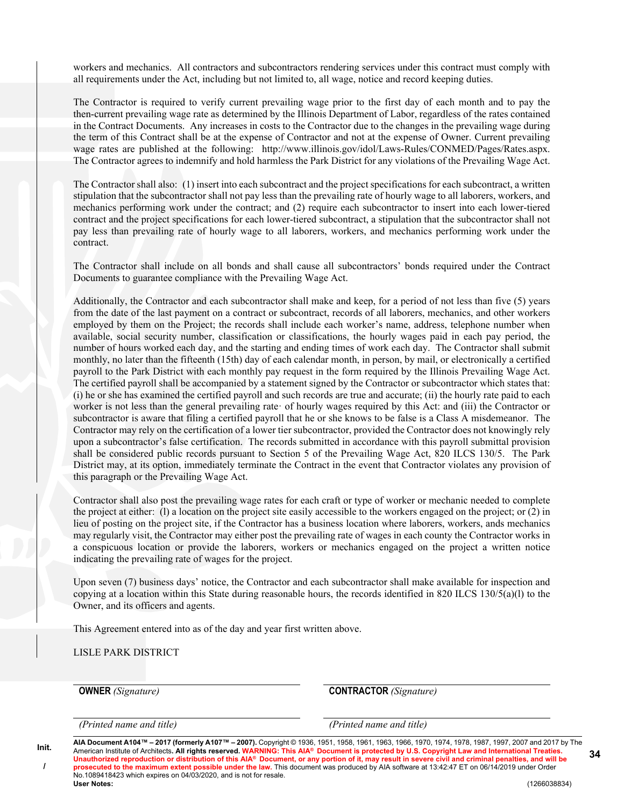workers and mechanics. All contractors and subcontractors rendering services under this contract must comply with all requirements under the Act, including but not limited to, all wage, notice and record keeping duties.

The Contractor is required to verify current prevailing wage prior to the first day of each month and to pay the then-current prevailing wage rate as determined by the Illinois Department of Labor, regardless of the rates contained in the Contract Documents. Any increases in costs to the Contractor due to the changes in the prevailing wage during the term of this Contract shall be at the expense of Contractor and not at the expense of Owner. Current prevailing wage rates are published at the following: http://www.illinois.gov/idol/Laws-Rules/CONMED/Pages/Rates.aspx. The Contractor agrees to indemnify and hold harmless the Park District for any violations of the Prevailing Wage Act.

The Contractor shall also: (1) insert into each subcontract and the project specifications for each subcontract, a written stipulation that the subcontractor shall not pay less than the prevailing rate of hourly wage to all laborers, workers, and mechanics performing work under the contract; and (2) require each subcontractor to insert into each lower-tiered contract and the project specifications for each lower-tiered subcontract, a stipulation that the subcontractor shall not pay less than prevailing rate of hourly wage to all laborers, workers, and mechanics performing work under the contract.

The Contractor shall include on all bonds and shall cause all subcontractors' bonds required under the Contract Documents to guarantee compliance with the Prevailing Wage Act.

Additionally, the Contractor and each subcontractor shall make and keep, for a period of not less than five (5) years from the date of the last payment on a contract or subcontract, records of all laborers, mechanics, and other workers employed by them on the Project; the records shall include each worker's name, address, telephone number when available, social security number, classification or classifications, the hourly wages paid in each pay period, the number of hours worked each day, and the starting and ending times of work each day. The Contractor shall submit monthly, no later than the fifteenth (15th) day of each calendar month, in person, by mail, or electronically a certified payroll to the Park District with each monthly pay request in the form required by the Illinois Prevailing Wage Act. The certified payroll shall be accompanied by a statement signed by the Contractor or subcontractor which states that: (i) he or she has examined the certified payroll and such records are true and accurate; (ii) the hourly rate paid to each worker is not less than the general prevailing rate· of hourly wages required by this Act: and (iii) the Contractor or subcontractor is aware that filing a certified payroll that he or she knows to be false is a Class A misdemeanor. The Contractor may rely on the certification of a lower tier subcontractor, provided the Contractor does not knowingly rely upon a subcontractor's false certification. The records submitted in accordance with this payroll submittal provision shall be considered public records pursuant to Section 5 of the Prevailing Wage Act, 820 ILCS 130/5. The Park District may, at its option, immediately terminate the Contract in the event that Contractor violates any provision of this paragraph or the Prevailing Wage Act.

Contractor shall also post the prevailing wage rates for each craft or type of worker or mechanic needed to complete the project at either: (l) a location on the project site easily accessible to the workers engaged on the project; or (2) in lieu of posting on the project site, if the Contractor has a business location where laborers, workers, ands mechanics may regularly visit, the Contractor may either post the prevailing rate of wages in each county the Contractor works in a conspicuous location or provide the laborers, workers or mechanics engaged on the project a written notice indicating the prevailing rate of wages for the project.

Upon seven (7) business days' notice, the Contractor and each subcontractor shall make available for inspection and copying at a location within this State during reasonable hours, the records identified in 820 ILCS 130/5(a)(l) to the Owner, and its officers and agents.

This Agreement entered into as of the day and year first written above.

LISLE PARK DISTRICT

| <b>OWNER</b> (Signature) |  |
|--------------------------|--|
|--------------------------|--|

**OWNER** *(Signature)* **CONTRACTOR** *(Signature)*

| (Printed name and title) | (Printed name and title) |
|--------------------------|--------------------------|
|--------------------------|--------------------------|

**AIA Document A104™ – 2017 (formerly A107™ – 2007).** Copyright © 1936, 1951, 1958, 1961, 1963, 1966, 1970, 1974, 1978, 1987, 1997, 2007 and 2017 by The American Institute of Architects**. All rights reserved. WARNING: This AIA® Document is protected by U.S. Copyright Law and International Treaties. Unauthorized reproduction or distribution of this AIA® Document, or any portion of it, may result in severe civil and criminal penalties, and will be prosecuted to the maximum extent possible under the law.** This document was produced by AIA software at 13:42:47 ET on 06/14/2019 under Order No.1089418423 which expires on 04/03/2020, and is not for resale.<br>User Notes: **User Notes:** (1266038834) **34**

**Init.**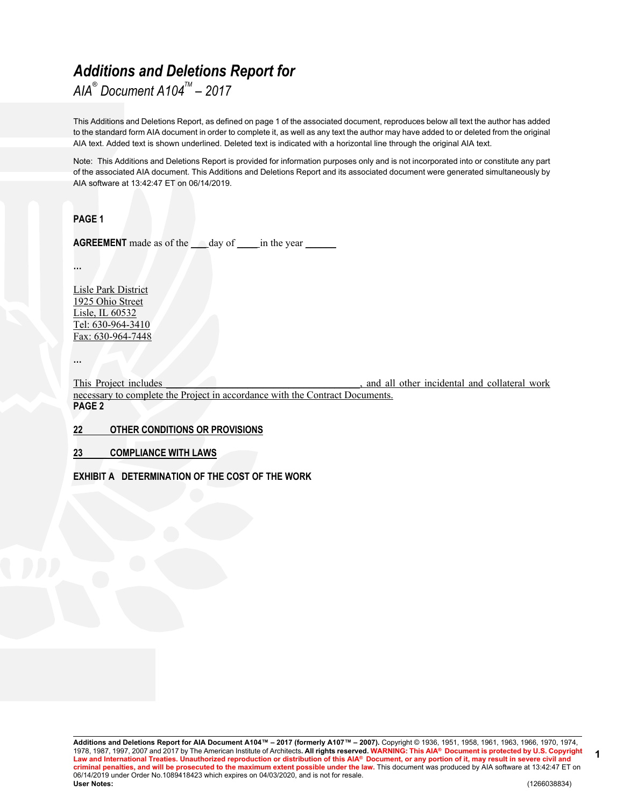# *Additions and Deletions Report for*

*AIA® Document A104TM – 2017*

This Additions and Deletions Report, as defined on page 1 of the associated document, reproduces below all text the author has added to the standard form AIA document in order to complete it, as well as any text the author may have added to or deleted from the original AIA text. Added text is shown underlined. Deleted text is indicated with a horizontal line through the original AIA text.

Note: This Additions and Deletions Report is provided for information purposes only and is not incorporated into or constitute any part of the associated AIA document. This Additions and Deletions Report and its associated document were generated simultaneously by AIA software at 13:42:47 ET on 06/14/2019.

**PAGE 1**

**AGREEMENT** made as of the day of in the year  $\frac{1}{\sqrt{2\pi}}$ 

**…**

Lisle Park District 1925 Ohio Street Lisle, IL 60532 Tel: 630-964-3410 Fax: 630-964-7448

**…**

This Project includes and all other incidental and collateral work necessary to complete the Project in accordance with the Contract Documents. **PAGE 2**

# **22 OTHER CONDITIONS OR PROVISIONS**

**23 COMPLIANCE WITH LAWS**

**EXHIBIT A DETERMINATION OF THE COST OF THE WORK**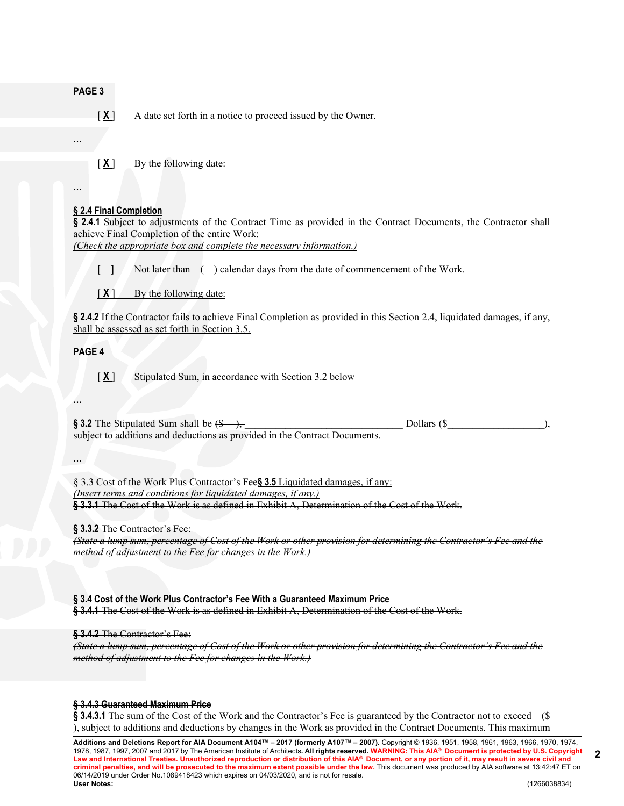## **PAGE 3**

**[X]** A date set forth in a notice to proceed issued by the Owner.

**…**

[ $X$ ] By the following date:

#### **…**

# **§ 2.4 Final Completion**

**§ 2.4.1** Subject to adjustments of the Contract Time as provided in the Contract Documents, the Contractor shall achieve Final Completion of the entire Work:

*(Check the appropriate box and complete the necessary information.)*

Not later than ( ) calendar days from the date of commencement of the Work.

[ $X$ ] By the following date:

**§ 2.4.2** If the Contractor fails to achieve Final Completion as provided in this Section 2.4, liquidated damages, if any, shall be assessed as set forth in Section 3.5.

# **PAGE 4**

**[X]** Stipulated Sum, in accordance with Section 3.2 below

**…**

**§ 3.2** The Stipulated Sum shall be (\$ ), \_\_\_\_\_\_\_\_\_\_\_\_\_\_\_\_\_\_\_\_\_\_\_\_\_\_\_\_\_\_\_ Dollars (\$\_\_\_\_\_\_\_\_\_\_\_\_\_\_\_\_\_\_\_), subject to additions and deductions as provided in the Contract Documents.

**…**

§ 3.3 Cost of the Work Plus Contractor's Fee**§ 3.5** Liquidated damages, if any: *(Insert terms and conditions for liquidated damages, if any.)* **§ 3.3.1** The Cost of the Work is as defined in Exhibit A, Determination of the Cost of the Work.

**§ 3.3.2** The Contractor's Fee:

*(State a lump sum, percentage of Cost of the Work or other provision for determining the Contractor's Fee and the method of adjustment to the Fee for changes in the Work.)*

# **§ 3.4 Cost of the Work Plus Contractor's Fee With a Guaranteed Maximum Price**

**§ 3.4.1** The Cost of the Work is as defined in Exhibit A, Determination of the Cost of the Work.

#### **§ 3.4.2** The Contractor's Fee:

*(State a lump sum, percentage of Cost of the Work or other provision for determining the Contractor's Fee and the method of adjustment to the Fee for changes in the Work.)*

#### **§ 3.4.3 Guaranteed Maximum Price**

**§ 3.4.3.1** The sum of the Cost of the Work and the Contractor's Fee is guaranteed by the Contractor not to exceed (\$ ), subject to additions and deductions by changes in the Work as provided in the Contract Documents. This maximum

**Additions and Deletions Report for AIA Document A104™ – 2017 (formerly A107™ – 2007).** Copyright © 1936, 1951, 1958, 1961, 1963, 1966, 1970, 1974, 1978, 1987, 1997, 2007 and 2017 by The American Institute of Architects**. All rights reserved. WARNING: This AIA® Document is protected by U.S. Copyright Law and International Treaties. Unauthorized reproduction or distribution of this AIA® Document, or any portion of it, may result in severe civil and criminal penalties, and will be prosecuted to the maximum extent possible under the law.** This document was produced by AIA software at 13:42:47 ET on 06/14/2019 under Order No.1089418423 which expires on 04/03/2020, and is not for resale.<br>User Notes: **User Notes:** (1266038834)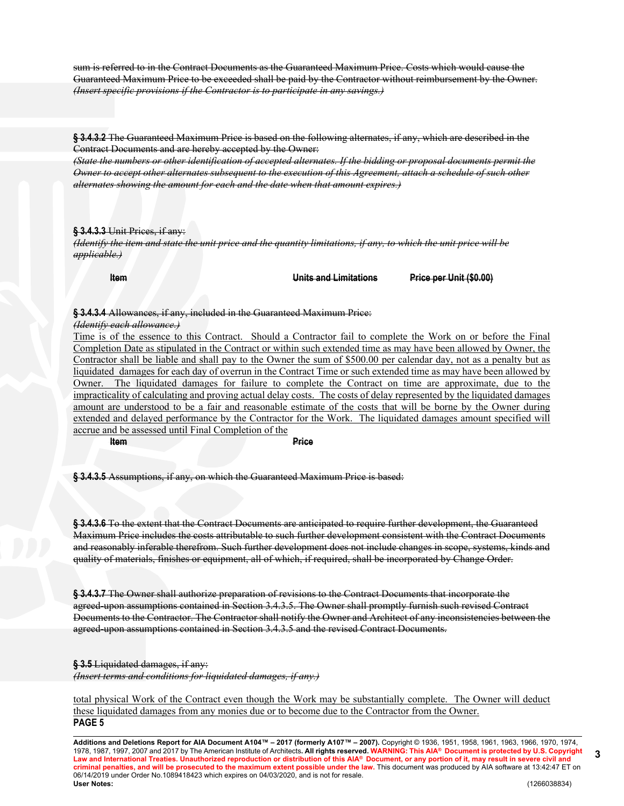sum is referred to in the Contract Documents as the Guaranteed Maximum Price. Costs which would cause the Guaranteed Maximum Price to be exceeded shall be paid by the Contractor without reimbursement by the Owner. *(Insert specific provisions if the Contractor is to participate in any savings.)*

**§ 3.4.3.2** The Guaranteed Maximum Price is based on the following alternates, if any, which are described in the Contract Documents and are hereby accepted by the Owner:

*(State the numbers or other identification of accepted alternates. If the bidding or proposal documents permit the Owner to accept other alternates subsequent to the execution of this Agreement, attach a schedule of such other alternates showing the amount for each and the date when that amount expires.)*

#### **§ 3.4.3.3** Unit Prices, if any:

*(Identify the item and state the unit price and the quantity limitations, if any, to which the unit price will be applicable.)*

**Item Units and Limitations Price per Unit (\$0.00)**

**3**

# **§ 3.4.3.4** Allowances, if any, included in the Guaranteed Maximum Price:

*(Identify each allowance.)*

Time is of the essence to this Contract. Should a Contractor fail to complete the Work on or before the Final Completion Date as stipulated in the Contract or within such extended time as may have been allowed by Owner, the Contractor shall be liable and shall pay to the Owner the sum of \$500.00 per calendar day, not as a penalty but as liquidated damages for each day of overrun in the Contract Time or such extended time as may have been allowed by Owner. The liquidated damages for failure to complete the Contract on time are approximate, due to the impracticality of calculating and proving actual delay costs. The costs of delay represented by the liquidated damages amount are understood to be a fair and reasonable estimate of the costs that will be borne by the Owner during extended and delayed performance by the Contractor for the Work. The liquidated damages amount specified will accrue and be assessed until Final Completion of the

**Item Price**

**§ 3.4.3.5** Assumptions, if any, on which the Guaranteed Maximum Price is based:

**§ 3.4.3.6** To the extent that the Contract Documents are anticipated to require further development, the Guaranteed Maximum Price includes the costs attributable to such further development consistent with the Contract Documents and reasonably inferable therefrom. Such further development does not include changes in scope, systems, kinds and quality of materials, finishes or equipment, all of which, if required, shall be incorporated by Change Order.

**§ 3.4.3.7** The Owner shall authorize preparation of revisions to the Contract Documents that incorporate the agreed-upon assumptions contained in Section 3.4.3.5. The Owner shall promptly furnish such revised Contract Documents to the Contractor. The Contractor shall notify the Owner and Architect of any inconsistencies between the agreed-upon assumptions contained in Section 3.4.3.5 and the revised Contract Documents.

#### **§ 3.5** Liquidated damages, if any: *(Insert terms and conditions for liquidated damages, if any.)*

total physical Work of the Contract even though the Work may be substantially complete. The Owner will deduct these liquidated damages from any monies due or to become due to the Contractor from the Owner. **PAGE 5**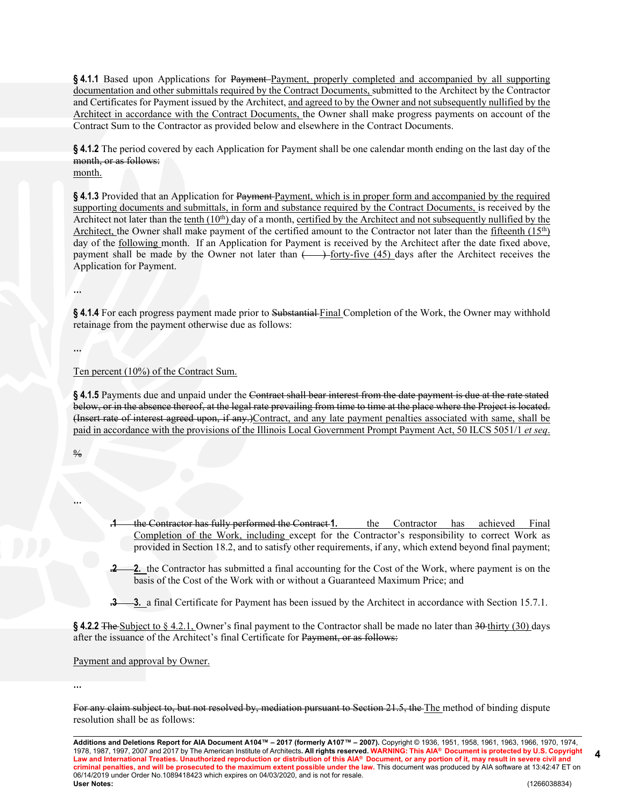§ 4.1.1 Based upon Applications for Payment-Payment, properly completed and accompanied by all supporting documentation and other submittals required by the Contract Documents, submitted to the Architect by the Contractor and Certificates for Payment issued by the Architect, and agreed to by the Owner and not subsequently nullified by the Architect in accordance with the Contract Documents, the Owner shall make progress payments on account of the Contract Sum to the Contractor as provided below and elsewhere in the Contract Documents.

**§ 4.1.2** The period covered by each Application for Payment shall be one calendar month ending on the last day of the month, or as follows:

month.

§ 4.1.3 Provided that an Application for Payment Payment, which is in proper form and accompanied by the required supporting documents and submittals, in form and substance required by the Contract Documents, is received by the Architect not later than the tenth (10<sup>th</sup>) day of a month, certified by the Architect and not subsequently nullified by the Architect, the Owner shall make payment of the certified amount to the Contractor not later than the fifteenth (15<sup>th</sup>) day of the following month. If an Application for Payment is received by the Architect after the date fixed above, payment shall be made by the Owner not later than  $\longleftrightarrow$  forty-five (45) days after the Architect receives the Application for Payment.

**…**

**§ 4.1.4** For each progress payment made prior to Substantial Final Completion of the Work, the Owner may withhold retainage from the payment otherwise due as follows:

**…**

Ten percent (10%) of the Contract Sum.

**§ 4.1.5** Payments due and unpaid under the Contract shall bear interest from the date payment is due at the rate stated below, or in the absence thereof, at the legal rate prevailing from time to time at the place where the Project is located. (Insert rate of interest agreed upon, if any.)Contract, and any late payment penalties associated with same, shall be paid in accordance with the provisions of the Illinois Local Government Prompt Payment Act, 50 ILCS 5051/1 *et seq*.

 $\frac{0}{6}$ 

**…**

- **.1** the Contractor has fully performed the Contract **1.** the Contractor has achieved Final Completion of the Work, including except for the Contractor's responsibility to correct Work as provided in Section 18.2, and to satisfy other requirements, if any, which extend beyond final payment;
- **.2 2.** the Contractor has submitted a final accounting for the Cost of the Work, where payment is on the basis of the Cost of the Work with or without a Guaranteed Maximum Price; and
- **.3** 3. a final Certificate for Payment has been issued by the Architect in accordance with Section 15.7.1.

**§ 4.2.2** The Subject to § 4.2.1, Owner's final payment to the Contractor shall be made no later than 30 thirty (30) days after the issuance of the Architect's final Certificate for Payment, or as follows:

Payment and approval by Owner.

**…**

For any claim subject to, but not resolved by, mediation pursuant to Section 21.5, the The method of binding dispute resolution shall be as follows:

**Additions and Deletions Report for AIA Document A104™ – 2017 (formerly A107™ – 2007).** Copyright © 1936, 1951, 1958, 1961, 1963, 1966, 1970, 1974, 1978, 1987, 1997, 2007 and 2017 by The American Institute of Architects**. All rights reserved. WARNING: This AIA® Document is protected by U.S. Copyright Law and International Treaties. Unauthorized reproduction or distribution of this AIA® Document, or any portion of it, may result in severe civil and criminal penalties, and will be prosecuted to the maximum extent possible under the law.** This document was produced by AIA software at 13:42:47 ET on 06/14/2019 under Order No.1089418423 which expires on 04/03/2020, and is not for resale.<br>User Notes: **User Notes:** (1266038834)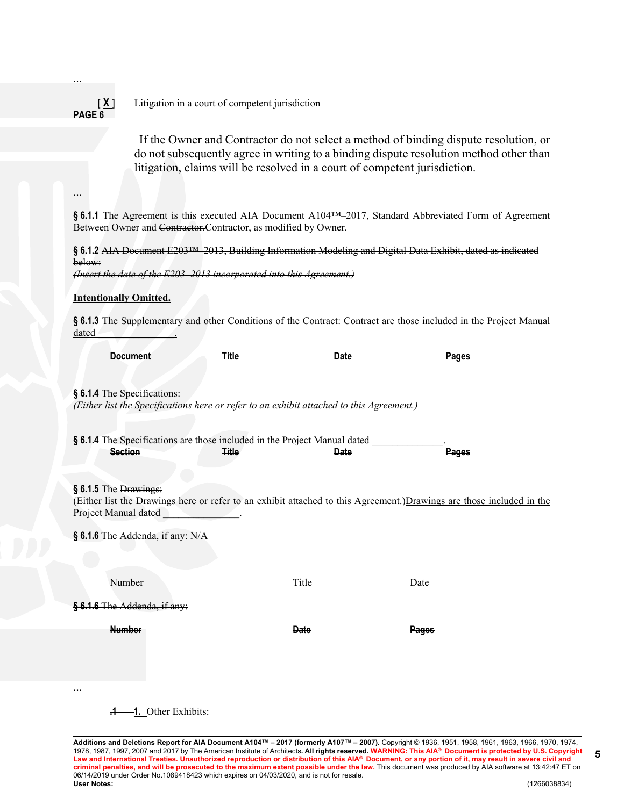**PAGE 6**

**…**

[ $X$ ] Litigation in a court of competent jurisdiction

 If the Owner and Contractor do not select a method of binding dispute resolution, or do not subsequently agree in writing to a binding dispute resolution method other than litigation, claims will be resolved in a court of competent jurisdiction.

**…**

§ 6.1.1 The Agreement is this executed AIA Document A104<sup>™</sup>–2017, Standard Abbreviated Form of Agreement Between Owner and Contractor.Contractor, as modified by Owner.

§ 6.1.2 AIA Document E203<sup>™</sup>–2013, Building Information Modeling and Digital Data Exhibit, dated as indicated below:

*(Insert the date of the E203–2013 incorporated into this Agreement.)*

#### **Intentionally Omitted.**

**§ 6.1.3** The Supplementary and other Conditions of the Contract: Contract are those included in the Project Manual dated \_\_\_\_\_\_\_\_\_\_\_\_\_\_\_.

|  | <b>Document</b> | Fitle | <b>Date</b> | Pages |
|--|-----------------|-------|-------------|-------|
|--|-----------------|-------|-------------|-------|

**§ 6.1.4** The Specifications:

*(Either list the Specifications here or refer to an exhibit attached to this Agreement.)*

§ 6.1.4 The Specifications are those included in the Project Manual dated **Section Title Date Pages**

**§ 6.1.5** The Drawings:

(Either list the Drawings here or refer to an exhibit attached to this Agreement.)Drawings are those included in the Project Manual dated

# **§ 6.1.6** The Addenda, if any: N/A

Number Date **§ 6.1.6** The Addenda, if any: **Number Date Pages**

**…**

**.1 1.** Other Exhibits:

**Additions and Deletions Report for AIA Document A104™ – 2017 (formerly A107™ – 2007).** Copyright © 1936, 1951, 1958, 1961, 1963, 1966, 1970, 1974, 1978, 1987, 1997, 2007 and 2017 by The American Institute of Architects**. All rights reserved. WARNING: This AIA® Document is protected by U.S. Copyright Law and International Treaties. Unauthorized reproduction or distribution of this AIA® Document, or any portion of it, may result in severe civil and criminal penalties, and will be prosecuted to the maximum extent possible under the law.** This document was produced by AIA software at 13:42:47 ET on 06/14/2019 under Order No.1089418423 which expires on 04/03/2020, and is not for resale.<br>User Notes: **User Notes:** (1266038834)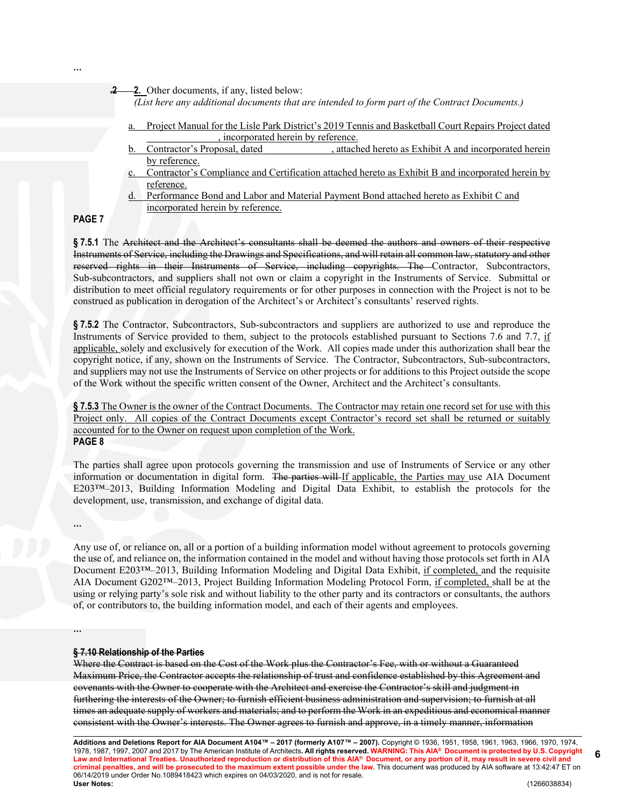**2** 2. Other documents, if any, listed below:

*(List here any additional documents that are intended to form part of the Contract Documents.)*

- a. Project Manual for the Lisle Park District's 2019 Tennis and Basketball Court Repairs Project dated \_\_\_\_\_\_\_\_\_\_\_\_\_\_, incorporated herein by reference.
- b. Contractor's Proposal, dated  $\blacksquare$ , attached hereto as Exhibit A and incorporated herein by reference.
- c. Contractor's Compliance and Certification attached hereto as Exhibit B and incorporated herein by reference.
- d. Performance Bond and Labor and Material Payment Bond attached hereto as Exhibit C and incorporated herein by reference.

#### **PAGE 7**

**…**

**§ 7.5.1** The Architect and the Architect's consultants shall be deemed the authors and owners of their respective Instruments of Service, including the Drawings and Specifications, and will retain all common law, statutory and other reserved rights in their Instruments of Service, including copyrights. The Contractor, Subcontractors, Sub-subcontractors, and suppliers shall not own or claim a copyright in the Instruments of Service. Submittal or distribution to meet official regulatory requirements or for other purposes in connection with the Project is not to be construed as publication in derogation of the Architect's or Architect's consultants' reserved rights.

**§ 7.5.2** The Contractor, Subcontractors, Sub-subcontractors and suppliers are authorized to use and reproduce the Instruments of Service provided to them, subject to the protocols established pursuant to Sections 7.6 and 7.7, if applicable, solely and exclusively for execution of the Work. All copies made under this authorization shall bear the copyright notice, if any, shown on the Instruments of Service. The Contractor, Subcontractors, Sub-subcontractors, and suppliers may not use the Instruments of Service on other projects or for additions to this Project outside the scope of the Work without the specific written consent of the Owner, Architect and the Architect's consultants.

**§ 7.5.3** The Owner is the owner of the Contract Documents. The Contractor may retain one record set for use with this Project only. All copies of the Contract Documents except Contractor's record set shall be returned or suitably accounted for to the Owner on request upon completion of the Work. **PAGE 8**

The parties shall agree upon protocols governing the transmission and use of Instruments of Service or any other information or documentation in digital form. The parties will If applicable, the Parties may use AIA Document E203™–2013, Building Information Modeling and Digital Data Exhibit, to establish the protocols for the development, use, transmission, and exchange of digital data.

**…**

**…**

Any use of, or reliance on, all or a portion of a building information model without agreement to protocols governing the use of, and reliance on, the information contained in the model and without having those protocols set forth in AIA Document E203™–2013, Building Information Modeling and Digital Data Exhibit, if completed, and the requisite AIA Document G202™–2013, Project Building Information Modeling Protocol Form, if completed, shall be at the using or relying party's sole risk and without liability to the other party and its contractors or consultants, the authors of, or contributors to, the building information model, and each of their agents and employees.

# **§ 7.10 Relationship of the Parties**

Where the Contract is based on the Cost of the Work plus the Contractor's Fee, with or without a Guaranteed Maximum Price, the Contractor accepts the relationship of trust and confidence established by this Agreement and covenants with the Owner to cooperate with the Architect and exercise the Contractor's skill and judgment in furthering the interests of the Owner; to furnish efficient business administration and supervision; to furnish at all times an adequate supply of workers and materials; and to perform the Work in an expeditious and economical manner consistent with the Owner's interests. The Owner agrees to furnish and approve, in a timely manner, information

**Additions and Deletions Report for AIA Document A104™ – 2017 (formerly A107™ – 2007).** Copyright © 1936, 1951, 1958, 1961, 1963, 1966, 1970, 1974, 1978, 1987, 1997, 2007 and 2017 by The American Institute of Architects**. All rights reserved. WARNING: This AIA® Document is protected by U.S. Copyright Law and International Treaties. Unauthorized reproduction or distribution of this AIA® Document, or any portion of it, may result in severe civil and criminal penalties, and will be prosecuted to the maximum extent possible under the law.** This document was produced by AIA software at 13:42:47 ET on 06/14/2019 under Order No.1089418423 which expires on 04/03/2020, and is not for resale.<br>User Notes: **User Notes:** (1266038834)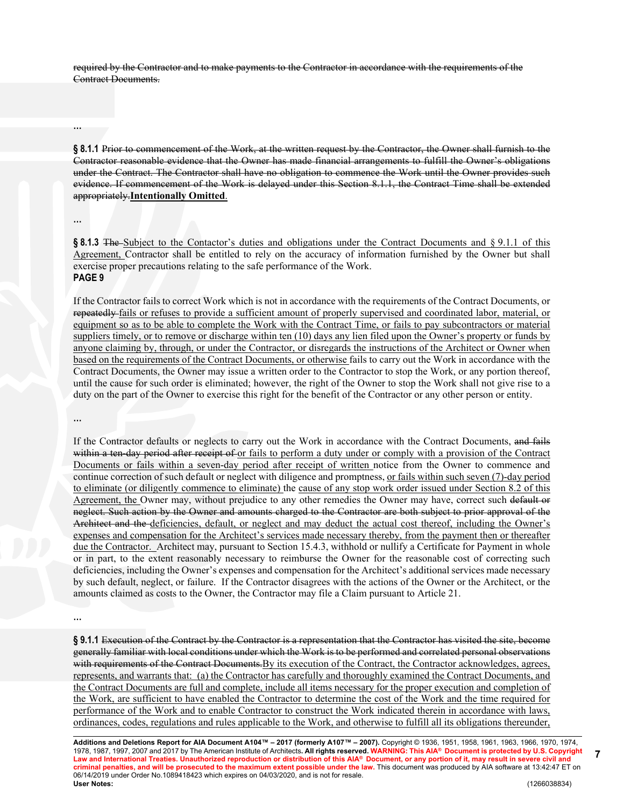required by the Contractor and to make payments to the Contractor in accordance with the requirements of the Contract Documents.

**§ 8.1.1** Prior to commencement of the Work, at the written request by the Contractor, the Owner shall furnish to the Contractor reasonable evidence that the Owner has made financial arrangements to fulfill the Owner's obligations under the Contract. The Contractor shall have no obligation to commence the Work until the Owner provides such evidence. If commencement of the Work is delayed under this Section 8.1.1, the Contract Time shall be extended appropriately.**Intentionally Omitted**.

**…**

**…**

**§ 8.1.3** The–Subject to the Contactor's duties and obligations under the Contract Documents and § 9.1.1 of this Agreement, Contractor shall be entitled to rely on the accuracy of information furnished by the Owner but shall exercise proper precautions relating to the safe performance of the Work. **PAGE 9**

If the Contractor fails to correct Work which is not in accordance with the requirements of the Contract Documents, or repeatedly fails or refuses to provide a sufficient amount of properly supervised and coordinated labor, material, or equipment so as to be able to complete the Work with the Contract Time, or fails to pay subcontractors or material suppliers timely, or to remove or discharge within ten (10) days any lien filed upon the Owner's property or funds by anyone claiming by, through, or under the Contractor, or disregards the instructions of the Architect or Owner when based on the requirements of the Contract Documents, or otherwise fails to carry out the Work in accordance with the Contract Documents, the Owner may issue a written order to the Contractor to stop the Work, or any portion thereof, until the cause for such order is eliminated; however, the right of the Owner to stop the Work shall not give rise to a duty on the part of the Owner to exercise this right for the benefit of the Contractor or any other person or entity.

#### **…**

If the Contractor defaults or neglects to carry out the Work in accordance with the Contract Documents, and fails within a ten-day period after receipt of or fails to perform a duty under or comply with a provision of the Contract Documents or fails within a seven-day period after receipt of written notice from the Owner to commence and continue correction of such default or neglect with diligence and promptness, or fails within such seven (7)-day period to eliminate (or diligently commence to eliminate) the cause of any stop work order issued under Section 8.2 of this Agreement, the Owner may, without prejudice to any other remedies the Owner may have, correct such default or neglect. Such action by the Owner and amounts charged to the Contractor are both subject to prior approval of the Architect and the deficiencies, default, or neglect and may deduct the actual cost thereof, including the Owner's expenses and compensation for the Architect's services made necessary thereby, from the payment then or thereafter due the Contractor. Architect may, pursuant to Section 15.4.3, withhold or nullify a Certificate for Payment in whole or in part, to the extent reasonably necessary to reimburse the Owner for the reasonable cost of correcting such deficiencies, including the Owner's expenses and compensation for the Architect's additional services made necessary by such default, neglect, or failure. If the Contractor disagrees with the actions of the Owner or the Architect, or the amounts claimed as costs to the Owner, the Contractor may file a Claim pursuant to Article 21.

**…**

**§ 9.1.1** Execution of the Contract by the Contractor is a representation that the Contractor has visited the site, become generally familiar with local conditions under which the Work is to be performed and correlated personal observations with requirements of the Contract Documents. By its execution of the Contract, the Contractor acknowledges, agrees, represents, and warrants that: (a) the Contractor has carefully and thoroughly examined the Contract Documents, and the Contract Documents are full and complete, include all items necessary for the proper execution and completion of the Work, are sufficient to have enabled the Contractor to determine the cost of the Work and the time required for performance of the Work and to enable Contractor to construct the Work indicated therein in accordance with laws, ordinances, codes, regulations and rules applicable to the Work, and otherwise to fulfill all its obligations thereunder,

**Additions and Deletions Report for AIA Document A104™ – 2017 (formerly A107™ – 2007).** Copyright © 1936, 1951, 1958, 1961, 1963, 1966, 1970, 1974, 1978, 1987, 1997, 2007 and 2017 by The American Institute of Architects**. All rights reserved. WARNING: This AIA® Document is protected by U.S. Copyright Law and International Treaties. Unauthorized reproduction or distribution of this AIA® Document, or any portion of it, may result in severe civil and criminal penalties, and will be prosecuted to the maximum extent possible under the law.** This document was produced by AIA software at 13:42:47 ET on 06/14/2019 under Order No.1089418423 which expires on 04/03/2020, and is not for resale.<br>User Notes: **User Notes:** (1266038834)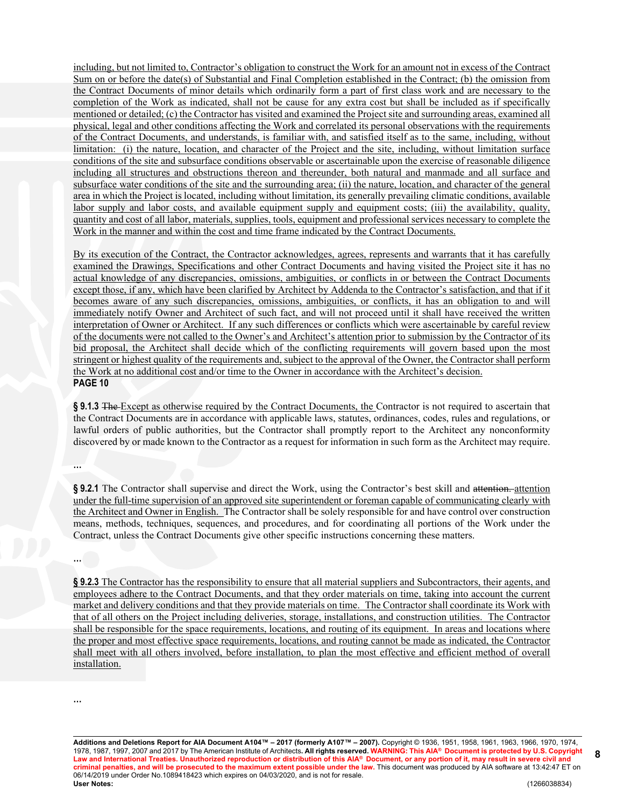including, but not limited to, Contractor's obligation to construct the Work for an amount not in excess of the Contract Sum on or before the date(s) of Substantial and Final Completion established in the Contract; (b) the omission from the Contract Documents of minor details which ordinarily form a part of first class work and are necessary to the completion of the Work as indicated, shall not be cause for any extra cost but shall be included as if specifically mentioned or detailed; (c) the Contractor has visited and examined the Project site and surrounding areas, examined all physical, legal and other conditions affecting the Work and correlated its personal observations with the requirements of the Contract Documents, and understands, is familiar with, and satisfied itself as to the same, including, without limitation: (i) the nature, location, and character of the Project and the site, including, without limitation surface conditions of the site and subsurface conditions observable or ascertainable upon the exercise of reasonable diligence including all structures and obstructions thereon and thereunder, both natural and manmade and all surface and subsurface water conditions of the site and the surrounding area; (ii) the nature, location, and character of the general area in which the Project is located, including without limitation, its generally prevailing climatic conditions, available labor supply and labor costs, and available equipment supply and equipment costs; (iii) the availability, quality, quantity and cost of all labor, materials, supplies, tools, equipment and professional services necessary to complete the Work in the manner and within the cost and time frame indicated by the Contract Documents.

By its execution of the Contract, the Contractor acknowledges, agrees, represents and warrants that it has carefully examined the Drawings, Specifications and other Contract Documents and having visited the Project site it has no actual knowledge of any discrepancies, omissions, ambiguities, or conflicts in or between the Contract Documents except those, if any, which have been clarified by Architect by Addenda to the Contractor's satisfaction, and that if it becomes aware of any such discrepancies, omissions, ambiguities, or conflicts, it has an obligation to and will immediately notify Owner and Architect of such fact, and will not proceed until it shall have received the written interpretation of Owner or Architect. If any such differences or conflicts which were ascertainable by careful review of the documents were not called to the Owner's and Architect's attention prior to submission by the Contractor of its bid proposal, the Architect shall decide which of the conflicting requirements will govern based upon the most stringent or highest quality of the requirements and, subject to the approval of the Owner, the Contractor shall perform the Work at no additional cost and/or time to the Owner in accordance with the Architect's decision. **PAGE 10**

**§ 9.1.3** The Except as otherwise required by the Contract Documents, the Contractor is not required to ascertain that the Contract Documents are in accordance with applicable laws, statutes, ordinances, codes, rules and regulations, or lawful orders of public authorities, but the Contractor shall promptly report to the Architect any nonconformity discovered by or made known to the Contractor as a request for information in such form as the Architect may require.

# **…**

**§ 9.2.1** The Contractor shall supervise and direct the Work, using the Contractor's best skill and attention. attention under the full-time supervision of an approved site superintendent or foreman capable of communicating clearly with the Architect and Owner in English. The Contractor shall be solely responsible for and have control over construction means, methods, techniques, sequences, and procedures, and for coordinating all portions of the Work under the Contract, unless the Contract Documents give other specific instructions concerning these matters.

**…**

**§ 9.2.3** The Contractor has the responsibility to ensure that all material suppliers and Subcontractors, their agents, and employees adhere to the Contract Documents, and that they order materials on time, taking into account the current market and delivery conditions and that they provide materials on time. The Contractor shall coordinate its Work with that of all others on the Project including deliveries, storage, installations, and construction utilities. The Contractor shall be responsible for the space requirements, locations, and routing of its equipment. In areas and locations where the proper and most effective space requirements, locations, and routing cannot be made as indicated, the Contractor shall meet with all others involved, before installation, to plan the most effective and efficient method of overall installation.

**<sup>…</sup>**

**Additions and Deletions Report for AIA Document A104™ – 2017 (formerly A107™ – 2007).** Copyright © 1936, 1951, 1958, 1961, 1963, 1966, 1970, 1974, 1978, 1987, 1997, 2007 and 2017 by The American Institute of Architects**. All rights reserved. WARNING: This AIA® Document is protected by U.S. Copyright Law and International Treaties. Unauthorized reproduction or distribution of this AIA® Document, or any portion of it, may result in severe civil and criminal penalties, and will be prosecuted to the maximum extent possible under the law.** This document was produced by AIA software at 13:42:47 ET on 06/14/2019 under Order No.1089418423 which expires on 04/03/2020, and is not for resale.<br>User Notes: **User Notes:** (1266038834)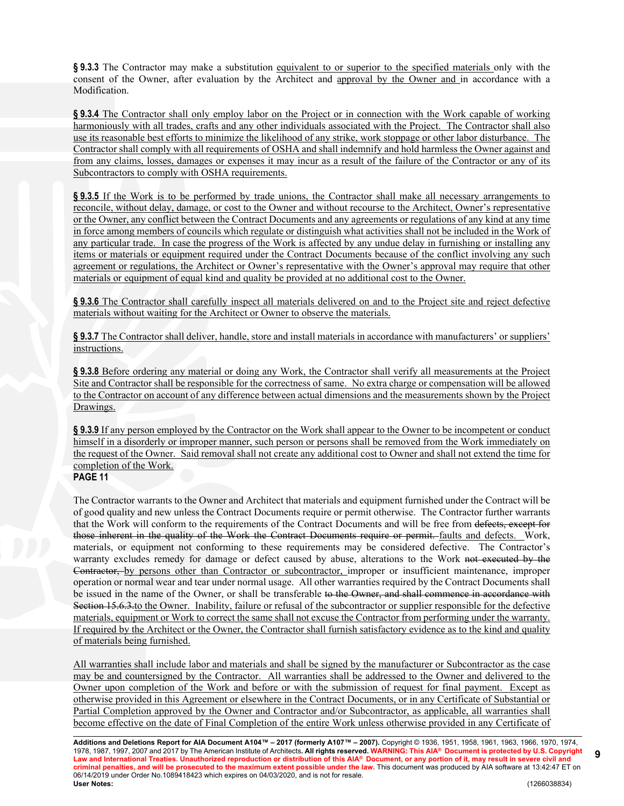**§ 9.3.3** The Contractor may make a substitution equivalent to or superior to the specified materials only with the consent of the Owner, after evaluation by the Architect and approval by the Owner and in accordance with a Modification.

**§ 9.3.4** The Contractor shall only employ labor on the Project or in connection with the Work capable of working harmoniously with all trades, crafts and any other individuals associated with the Project. The Contractor shall also use its reasonable best efforts to minimize the likelihood of any strike, work stoppage or other labor disturbance. The Contractor shall comply with all requirements of OSHA and shall indemnify and hold harmless the Owner against and from any claims, losses, damages or expenses it may incur as a result of the failure of the Contractor or any of its Subcontractors to comply with OSHA requirements.

**§ 9.3.5** If the Work is to be performed by trade unions, the Contractor shall make all necessary arrangements to reconcile, without delay, damage, or cost to the Owner and without recourse to the Architect, Owner's representative or the Owner, any conflict between the Contract Documents and any agreements or regulations of any kind at any time in force among members of councils which regulate or distinguish what activities shall not be included in the Work of any particular trade. In case the progress of the Work is affected by any undue delay in furnishing or installing any items or materials or equipment required under the Contract Documents because of the conflict involving any such agreement or regulations, the Architect or Owner's representative with the Owner's approval may require that other materials or equipment of equal kind and quality be provided at no additional cost to the Owner.

**§ 9.3.6** The Contractor shall carefully inspect all materials delivered on and to the Project site and reject defective materials without waiting for the Architect or Owner to observe the materials.

**§ 9.3.7** The Contractor shall deliver, handle, store and install materials in accordance with manufacturers' or suppliers' instructions.

**§ 9.3.8** Before ordering any material or doing any Work, the Contractor shall verify all measurements at the Project Site and Contractor shall be responsible for the correctness of same. No extra charge or compensation will be allowed to the Contractor on account of any difference between actual dimensions and the measurements shown by the Project Drawings.

**§ 9.3.9** If any person employed by the Contractor on the Work shall appear to the Owner to be incompetent or conduct himself in a disorderly or improper manner, such person or persons shall be removed from the Work immediately on the request of the Owner. Said removal shall not create any additional cost to Owner and shall not extend the time for completion of the Work.

# **PAGE 11**

The Contractor warrants to the Owner and Architect that materials and equipment furnished under the Contract will be of good quality and new unless the Contract Documents require or permit otherwise. The Contractor further warrants that the Work will conform to the requirements of the Contract Documents and will be free from defects, except for those inherent in the quality of the Work the Contract Documents require or permit. faults and defects. Work, materials, or equipment not conforming to these requirements may be considered defective. The Contractor's warranty excludes remedy for damage or defect caused by abuse, alterations to the Work not executed by the Contractor, by persons other than Contractor or subcontractor, improper or insufficient maintenance, improper operation or normal wear and tear under normal usage. All other warranties required by the Contract Documents shall be issued in the name of the Owner, or shall be transferable to the Owner, and shall commence in accordance with Section 15.6.3.to the Owner. Inability, failure or refusal of the subcontractor or supplier responsible for the defective materials, equipment or Work to correct the same shall not excuse the Contractor from performing under the warranty. If required by the Architect or the Owner, the Contractor shall furnish satisfactory evidence as to the kind and quality of materials being furnished.

All warranties shall include labor and materials and shall be signed by the manufacturer or Subcontractor as the case may be and countersigned by the Contractor. All warranties shall be addressed to the Owner and delivered to the Owner upon completion of the Work and before or with the submission of request for final payment. Except as otherwise provided in this Agreement or elsewhere in the Contract Documents, or in any Certificate of Substantial or Partial Completion approved by the Owner and Contractor and/or Subcontractor, as applicable, all warranties shall become effective on the date of Final Completion of the entire Work unless otherwise provided in any Certificate of

**Additions and Deletions Report for AIA Document A104™ – 2017 (formerly A107™ – 2007).** Copyright © 1936, 1951, 1958, 1961, 1963, 1966, 1970, 1974, 1978, 1987, 1997, 2007 and 2017 by The American Institute of Architects**. All rights reserved. WARNING: This AIA® Document is protected by U.S. Copyright Law and International Treaties. Unauthorized reproduction or distribution of this AIA® Document, or any portion of it, may result in severe civil and criminal penalties, and will be prosecuted to the maximum extent possible under the law.** This document was produced by AIA software at 13:42:47 ET on 06/14/2019 under Order No.1089418423 which expires on 04/03/2020, and is not for resale.<br>User Notes: **User Notes:** (1266038834)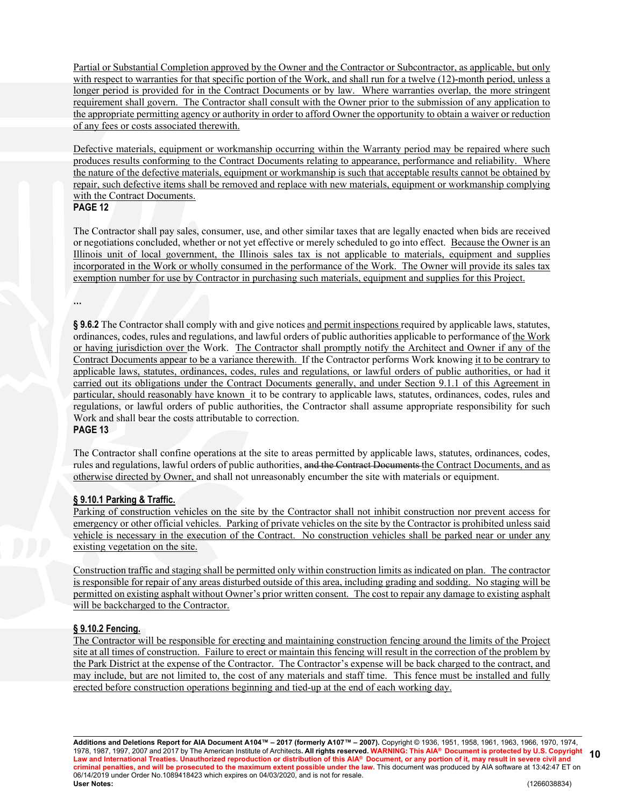Partial or Substantial Completion approved by the Owner and the Contractor or Subcontractor, as applicable, but only with respect to warranties for that specific portion of the Work, and shall run for a twelve (12)-month period, unless a longer period is provided for in the Contract Documents or by law. Where warranties overlap, the more stringent requirement shall govern. The Contractor shall consult with the Owner prior to the submission of any application to the appropriate permitting agency or authority in order to afford Owner the opportunity to obtain a waiver or reduction of any fees or costs associated therewith.

Defective materials, equipment or workmanship occurring within the Warranty period may be repaired where such produces results conforming to the Contract Documents relating to appearance, performance and reliability. Where the nature of the defective materials, equipment or workmanship is such that acceptable results cannot be obtained by repair, such defective items shall be removed and replace with new materials, equipment or workmanship complying with the Contract Documents.

# **PAGE 12**

The Contractor shall pay sales, consumer, use, and other similar taxes that are legally enacted when bids are received or negotiations concluded, whether or not yet effective or merely scheduled to go into effect. Because the Owner is an Illinois unit of local government, the Illinois sales tax is not applicable to materials, equipment and supplies incorporated in the Work or wholly consumed in the performance of the Work. The Owner will provide its sales tax exemption number for use by Contractor in purchasing such materials, equipment and supplies for this Project.

**…**

**§ 9.6.2** The Contractor shall comply with and give notices and permit inspections required by applicable laws, statutes, ordinances, codes, rules and regulations, and lawful orders of public authorities applicable to performance of the Work or having jurisdiction over the Work. The Contractor shall promptly notify the Architect and Owner if any of the Contract Documents appear to be a variance therewith. If the Contractor performs Work knowing it to be contrary to applicable laws, statutes, ordinances, codes, rules and regulations, or lawful orders of public authorities, or had it carried out its obligations under the Contract Documents generally, and under Section 9.1.1 of this Agreement in particular, should reasonably have known it to be contrary to applicable laws, statutes, ordinances, codes, rules and regulations, or lawful orders of public authorities, the Contractor shall assume appropriate responsibility for such Work and shall bear the costs attributable to correction. **PAGE 13**

The Contractor shall confine operations at the site to areas permitted by applicable laws, statutes, ordinances, codes, rules and regulations, lawful orders of public authorities, and the Contract Documents the Contract Documents, and as otherwise directed by Owner, and shall not unreasonably encumber the site with materials or equipment.

# **§ 9.10.1 Parking & Traffic.**

Parking of construction vehicles on the site by the Contractor shall not inhibit construction nor prevent access for emergency or other official vehicles. Parking of private vehicles on the site by the Contractor is prohibited unless said vehicle is necessary in the execution of the Contract. No construction vehicles shall be parked near or under any existing vegetation on the site.

Construction traffic and staging shall be permitted only within construction limits as indicated on plan. The contractor is responsible for repair of any areas disturbed outside of this area, including grading and sodding. No staging will be permitted on existing asphalt without Owner's prior written consent. The cost to repair any damage to existing asphalt will be backcharged to the Contractor.

# **§ 9.10.2 Fencing.**

The Contractor will be responsible for erecting and maintaining construction fencing around the limits of the Project site at all times of construction. Failure to erect or maintain this fencing will result in the correction of the problem by the Park District at the expense of the Contractor. The Contractor's expense will be back charged to the contract, and may include, but are not limited to, the cost of any materials and staff time. This fence must be installed and fully erected before construction operations beginning and tied-up at the end of each working day.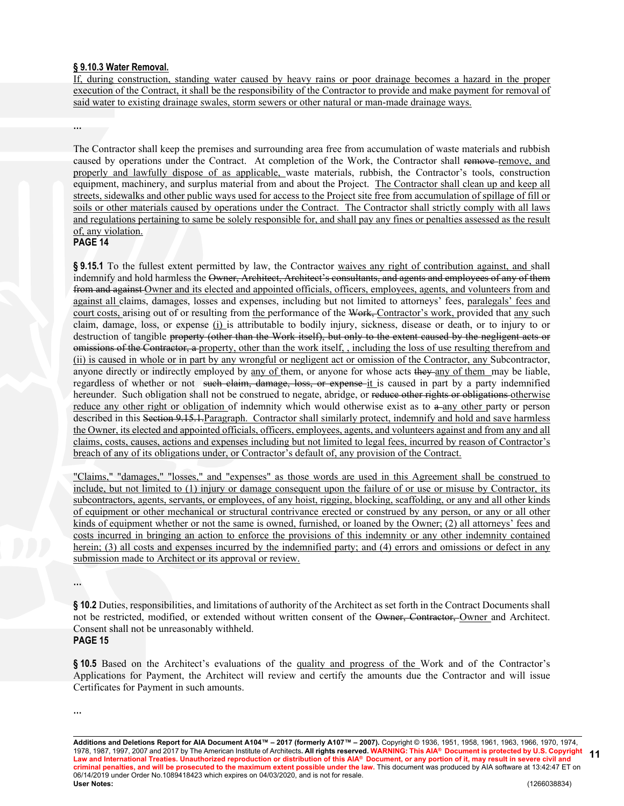#### **§ 9.10.3 Water Removal.**

If, during construction, standing water caused by heavy rains or poor drainage becomes a hazard in the proper execution of the Contract, it shall be the responsibility of the Contractor to provide and make payment for removal of said water to existing drainage swales, storm sewers or other natural or man-made drainage ways.

The Contractor shall keep the premises and surrounding area free from accumulation of waste materials and rubbish caused by operations under the Contract. At completion of the Work, the Contractor shall remove remove, and properly and lawfully dispose of as applicable, waste materials, rubbish, the Contractor's tools, construction equipment, machinery, and surplus material from and about the Project. The Contractor shall clean up and keep all streets, sidewalks and other public ways used for access to the Project site free from accumulation of spillage of fill or soils or other materials caused by operations under the Contract. The Contractor shall strictly comply with all laws and regulations pertaining to same be solely responsible for, and shall pay any fines or penalties assessed as the result of, any violation.

**…**

**§ 9.15.1** To the fullest extent permitted by law, the Contractor waives any right of contribution against, and shall indemnify and hold harmless the Owner, Architect, Architect's consultants, and agents and employees of any of them from and against Owner and its elected and appointed officials, officers, employees, agents, and volunteers from and against all claims, damages, losses and expenses, including but not limited to attorneys' fees, paralegals' fees and court costs, arising out of or resulting from the performance of the Work, Contractor's work, provided that any such claim, damage, loss, or expense (i) is attributable to bodily injury, sickness, disease or death, or to injury to or destruction of tangible property (other than the Work itself), but only to the extent caused by the negligent acts or omissions of the Contractor, a property, other than the work itself, , including the loss of use resulting therefrom and (ii) is caused in whole or in part by any wrongful or negligent act or omission of the Contractor, any Subcontractor, anyone directly or indirectly employed by any of them, or anyone for whose acts they any of them may be liable, regardless of whether or not such claim, damage, loss, or expense it is caused in part by a party indemnified hereunder. Such obligation shall not be construed to negate, abridge, or reduce other rights or obligations otherwise reduce any other right or obligation of indemnity which would otherwise exist as to a-any other party or person described in this Section 9.15.1.Paragraph. Contractor shall similarly protect, indemnify and hold and save harmless the Owner, its elected and appointed officials, officers, employees, agents, and volunteers against and from any and all claims, costs, causes, actions and expenses including but not limited to legal fees, incurred by reason of Contractor's breach of any of its obligations under, or Contractor's default of, any provision of the Contract.

"Claims," "damages," "losses," and "expenses" as those words are used in this Agreement shall be construed to include, but not limited to (1) injury or damage consequent upon the failure of or use or misuse by Contractor, its subcontractors, agents, servants, or employees, of any hoist, rigging, blocking, scaffolding, or any and all other kinds of equipment or other mechanical or structural contrivance erected or construed by any person, or any or all other kinds of equipment whether or not the same is owned, furnished, or loaned by the Owner; (2) all attorneys' fees and costs incurred in bringing an action to enforce the provisions of this indemnity or any other indemnity contained herein; (3) all costs and expenses incurred by the indemnified party; and (4) errors and omissions or defect in any submission made to Architect or its approval or review.

**…**

**§ 10.2** Duties, responsibilities, and limitations of authority of the Architect as set forth in the Contract Documents shall not be restricted, modified, or extended without written consent of the Owner, Contractor, Owner and Architect. Consent shall not be unreasonably withheld. **PAGE 15**

**§ 10.5** Based on the Architect's evaluations of the quality and progress of the Work and of the Contractor's Applications for Payment, the Architect will review and certify the amounts due the Contractor and will issue Certificates for Payment in such amounts.

**…**

**PAGE 14**

**Additions and Deletions Report for AIA Document A104™ – 2017 (formerly A107™ – 2007).** Copyright © 1936, 1951, 1958, 1961, 1963, 1966, 1970, 1974, 1978, 1987, 1997, 2007 and 2017 by The American Institute of Architects**. All rights reserved. WARNING: This AIA® Document is protected by U.S. Copyright Law and International Treaties. Unauthorized reproduction or distribution of this AIA® Document, or any portion of it, may result in severe civil and criminal penalties, and will be prosecuted to the maximum extent possible under the law.** This document was produced by AIA software at 13:42:47 ET on 06/14/2019 under Order No.1089418423 which expires on 04/03/2020, and is not for resale.<br>User Notes: **User Notes:** (1266038834) **11**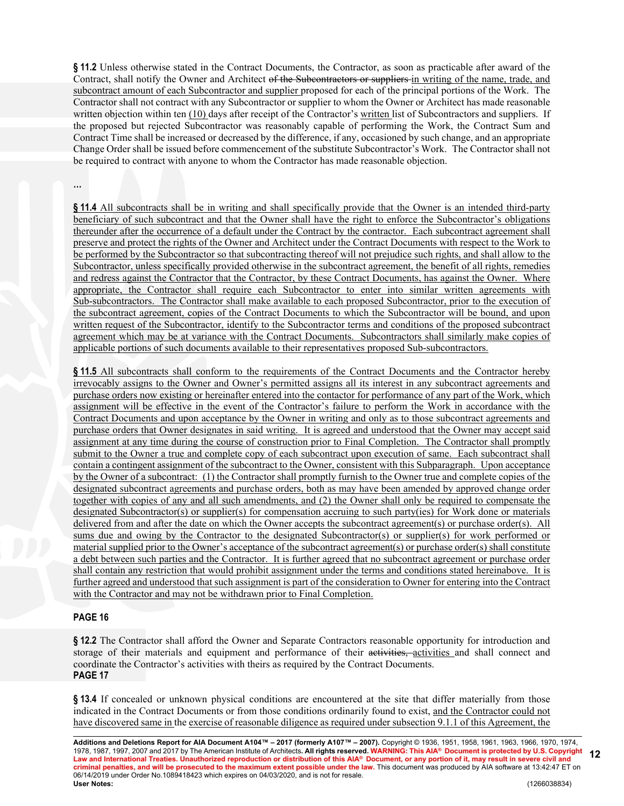**§ 11.2** Unless otherwise stated in the Contract Documents, the Contractor, as soon as practicable after award of the Contract, shall notify the Owner and Architect of the Subcontractors or suppliers in writing of the name, trade, and subcontract amount of each Subcontractor and supplier proposed for each of the principal portions of the Work. The Contractor shall not contract with any Subcontractor or supplier to whom the Owner or Architect has made reasonable written objection within ten (10) days after receipt of the Contractor's written list of Subcontractors and suppliers. If the proposed but rejected Subcontractor was reasonably capable of performing the Work, the Contract Sum and Contract Time shall be increased or decreased by the difference, if any, occasioned by such change, and an appropriate Change Order shall be issued before commencement of the substitute Subcontractor's Work. The Contractor shall not be required to contract with anyone to whom the Contractor has made reasonable objection.

#### **…**

**§ 11.4** All subcontracts shall be in writing and shall specifically provide that the Owner is an intended third-party beneficiary of such subcontract and that the Owner shall have the right to enforce the Subcontractor's obligations thereunder after the occurrence of a default under the Contract by the contractor. Each subcontract agreement shall preserve and protect the rights of the Owner and Architect under the Contract Documents with respect to the Work to be performed by the Subcontractor so that subcontracting thereof will not prejudice such rights, and shall allow to the Subcontractor, unless specifically provided otherwise in the subcontract agreement, the benefit of all rights, remedies and redress against the Contractor that the Contractor, by these Contract Documents, has against the Owner. Where appropriate, the Contractor shall require each Subcontractor to enter into similar written agreements with Sub-subcontractors. The Contractor shall make available to each proposed Subcontractor, prior to the execution of the subcontract agreement, copies of the Contract Documents to which the Subcontractor will be bound, and upon written request of the Subcontractor, identify to the Subcontractor terms and conditions of the proposed subcontract agreement which may be at variance with the Contract Documents. Subcontractors shall similarly make copies of applicable portions of such documents available to their representatives proposed Sub-subcontractors.

§ 11.5 All subcontracts shall conform to the requirements of the Contract Documents and the Contractor hereby irrevocably assigns to the Owner and Owner's permitted assigns all its interest in any subcontract agreements and purchase orders now existing or hereinafter entered into the contactor for performance of any part of the Work, which assignment will be effective in the event of the Contractor's failure to perform the Work in accordance with the Contract Documents and upon acceptance by the Owner in writing and only as to those subcontract agreements and purchase orders that Owner designates in said writing. It is agreed and understood that the Owner may accept said assignment at any time during the course of construction prior to Final Completion. The Contractor shall promptly submit to the Owner a true and complete copy of each subcontract upon execution of same. Each subcontract shall contain a contingent assignment of the subcontract to the Owner, consistent with this Subparagraph. Upon acceptance by the Owner of a subcontract: (1) the Contractor shall promptly furnish to the Owner true and complete copies of the designated subcontract agreements and purchase orders, both as may have been amended by approved change order together with copies of any and all such amendments, and (2) the Owner shall only be required to compensate the designated Subcontractor(s) or supplier(s) for compensation accruing to such party(ies) for Work done or materials delivered from and after the date on which the Owner accepts the subcontract agreement(s) or purchase order(s). All sums due and owing by the Contractor to the designated Subcontractor(s) or supplier(s) for work performed or material supplied prior to the Owner's acceptance of the subcontract agreement(s) or purchase order(s) shall constitute a debt between such parties and the Contractor. It is further agreed that no subcontract agreement or purchase order shall contain any restriction that would prohibit assignment under the terms and conditions stated hereinabove. It is further agreed and understood that such assignment is part of the consideration to Owner for entering into the Contract with the Contractor and may not be withdrawn prior to Final Completion.

# **PAGE 16**

**§ 12.2** The Contractor shall afford the Owner and Separate Contractors reasonable opportunity for introduction and storage of their materials and equipment and performance of their activities, activities and shall connect and coordinate the Contractor's activities with theirs as required by the Contract Documents. **PAGE 17**

§ 13.4 If concealed or unknown physical conditions are encountered at the site that differ materially from those indicated in the Contract Documents or from those conditions ordinarily found to exist, and the Contractor could not have discovered same in the exercise of reasonable diligence as required under subsection 9.1.1 of this Agreement, the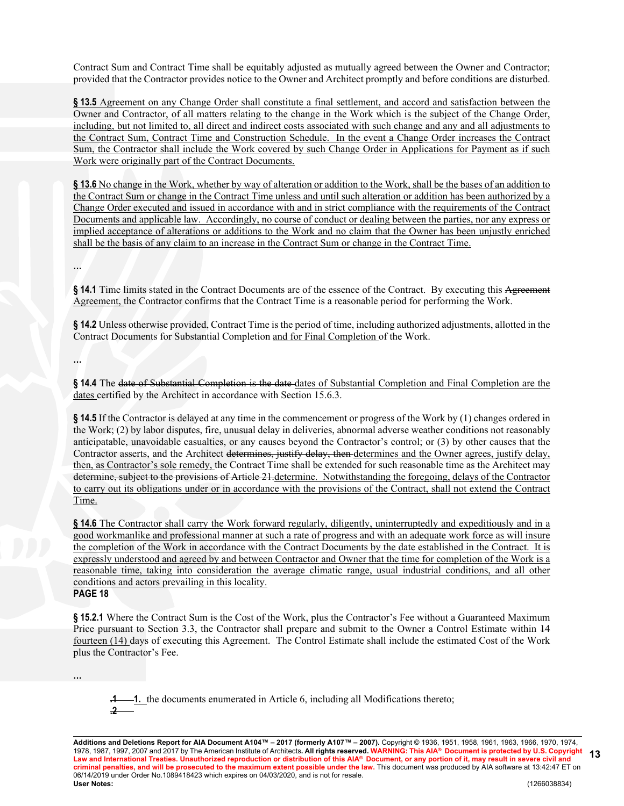Contract Sum and Contract Time shall be equitably adjusted as mutually agreed between the Owner and Contractor; provided that the Contractor provides notice to the Owner and Architect promptly and before conditions are disturbed.

**§ 13.5** Agreement on any Change Order shall constitute a final settlement, and accord and satisfaction between the Owner and Contractor, of all matters relating to the change in the Work which is the subject of the Change Order, including, but not limited to, all direct and indirect costs associated with such change and any and all adjustments to the Contract Sum, Contract Time and Construction Schedule. In the event a Change Order increases the Contract Sum, the Contractor shall include the Work covered by such Change Order in Applications for Payment as if such Work were originally part of the Contract Documents.

**§ 13.6** No change in the Work, whether by way of alteration or addition to the Work, shall be the bases of an addition to the Contract Sum or change in the Contract Time unless and until such alteration or addition has been authorized by a Change Order executed and issued in accordance with and in strict compliance with the requirements of the Contract Documents and applicable law. Accordingly, no course of conduct or dealing between the parties, nor any express or implied acceptance of alterations or additions to the Work and no claim that the Owner has been unjustly enriched shall be the basis of any claim to an increase in the Contract Sum or change in the Contract Time.

**…**

§ **14.1** Time limits stated in the Contract Documents are of the essence of the Contract. By executing this Agreement Agreement, the Contractor confirms that the Contract Time is a reasonable period for performing the Work.

**§ 14.2** Unless otherwise provided, Contract Time is the period of time, including authorized adjustments, allotted in the Contract Documents for Substantial Completion and for Final Completion of the Work.

**…**

**§ 14.4** The date of Substantial Completion is the date dates of Substantial Completion and Final Completion are the dates certified by the Architect in accordance with Section 15.6.3.

**§ 14.5** If the Contractor is delayed at any time in the commencement or progress of the Work by (1) changes ordered in the Work; (2) by labor disputes, fire, unusual delay in deliveries, abnormal adverse weather conditions not reasonably anticipatable, unavoidable casualties, or any causes beyond the Contractor's control; or (3) by other causes that the Contractor asserts, and the Architect determines, justify delay, then determines and the Owner agrees, justify delay, then, as Contractor's sole remedy, the Contract Time shall be extended for such reasonable time as the Architect may determine, subject to the provisions of Article 21.determine. Notwithstanding the foregoing, delays of the Contractor to carry out its obligations under or in accordance with the provisions of the Contract, shall not extend the Contract Time.

**§ 14.6** The Contractor shall carry the Work forward regularly, diligently, uninterruptedly and expeditiously and in a good workmanlike and professional manner at such a rate of progress and with an adequate work force as will insure the completion of the Work in accordance with the Contract Documents by the date established in the Contract. It is expressly understood and agreed by and between Contractor and Owner that the time for completion of the Work is a reasonable time, taking into consideration the average climatic range, usual industrial conditions, and all other conditions and actors prevailing in this locality. **PAGE 18**

**§ 15.2.1** Where the Contract Sum is the Cost of the Work, plus the Contractor's Fee without a Guaranteed Maximum Price pursuant to Section 3.3, the Contractor shall prepare and submit to the Owner a Control Estimate within 14 fourteen (14) days of executing this Agreement. The Control Estimate shall include the estimated Cost of the Work plus the Contractor's Fee.

**…**

**1. 1.** the documents enumerated in Article 6, including all Modifications thereto; **.2**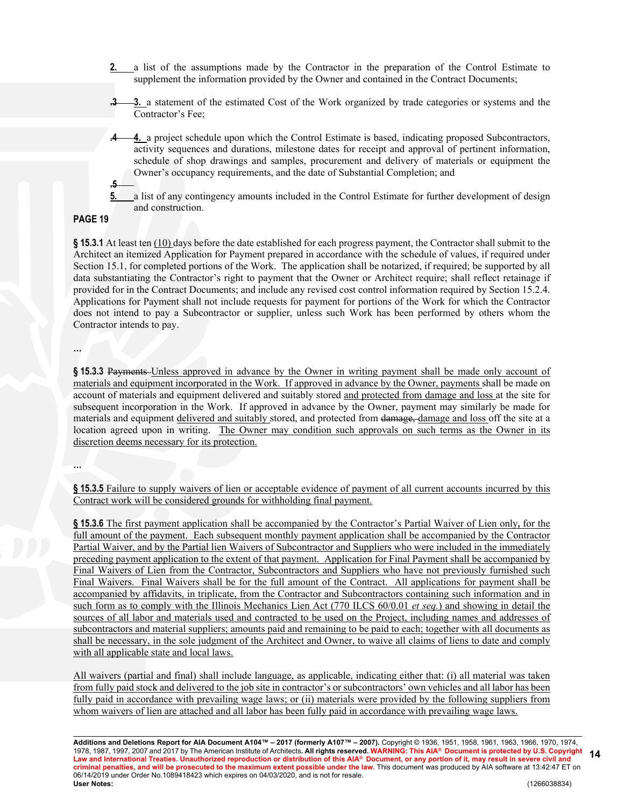- **2.** a list of the assumptions made by the Contractor in the preparation of the Control Estimate to supplement the information provided by the Owner and contained in the Contract Documents;
- **.3** 3. a statement of the estimated Cost of the Work organized by trade categories or systems and the Contractor's Fee;
- **.4 4.** a project schedule upon which the Control Estimate is based, indicating proposed Subcontractors, activity sequences and durations, milestone dates for receipt and approval of pertinent information, schedule of shop drawings and samples, procurement and delivery of materials or equipment the Owner's occupancy requirements, and the date of Substantial Completion; and **.5**
- **5.** a list of any contingency amounts included in the Control Estimate for further development of design and construction.

#### **PAGE 19**

**§ 15.3.1** At least ten (10) days before the date established for each progress payment, the Contractor shall submit to the Architect an itemized Application for Payment prepared in accordance with the schedule of values, if required under Section 15.1, for completed portions of the Work. The application shall be notarized, if required; be supported by all data substantiating the Contractor's right to payment that the Owner or Architect require; shall reflect retainage if provided for in the Contract Documents; and include any revised cost control information required by Section 15.2.4. Applications for Payment shall not include requests for payment for portions of the Work for which the Contractor does not intend to pay a Subcontractor or supplier, unless such Work has been performed by others whom the Contractor intends to pay.

**…**

**§ 15.3.3** Payments Unless approved in advance by the Owner in writing payment shall be made only account of materials and equipment incorporated in the Work. If approved in advance by the Owner, payments shall be made on account of materials and equipment delivered and suitably stored and protected from damage and loss at the site for subsequent incorporation in the Work. If approved in advance by the Owner, payment may similarly be made for materials and equipment delivered and suitably stored, and protected from damage, damage and loss off the site at a location agreed upon in writing. The Owner may condition such approvals on such terms as the Owner in its discretion deems necessary for its protection.

**…**

**§ 15.3.5** Failure to supply waivers of lien or acceptable evidence of payment of all current accounts incurred by this Contract work will be considered grounds for withholding final payment.

**§ 15.3.6** The first payment application shall be accompanied by the Contractor's Partial Waiver of Lien only**,** for the full amount of the payment. Each subsequent monthly payment application shall be accompanied by the Contractor Partial Waiver, and by the Partial lien Waivers of Subcontractor and Suppliers who were included in the immediately preceding payment application to the extent of that payment. Application for Final Payment shall be accompanied by Final Waivers of Lien from the Contractor, Subcontractors and Suppliers who have not previously furnished such Final Waivers. Final Waivers shall be for the full amount of the Contract. All applications for payment shall be accompanied by affidavits, in triplicate, from the Contractor and Subcontractors containing such information and in such form as to comply with the Illinois Mechanics Lien Act (770 ILCS 60/0.01 *et seq.*) and showing in detail the sources of all labor and materials used and contracted to be used on the Project, including names and addresses of subcontractors and material suppliers; amounts paid and remaining to be paid to each; together with all documents as shall be necessary, in the sole judgment of the Architect and Owner, to waive all claims of liens to date and comply with all applicable state and local laws.

All waivers (partial and final) shall include language, as applicable, indicating either that: (i) all material was taken from fully paid stock and delivered to the job site in contractor's or subcontractors' own vehicles and all labor has been fully paid in accordance with prevailing wage laws; or (ii) materials were provided by the following suppliers from whom waivers of lien are attached and all labor has been fully paid in accordance with prevailing wage laws.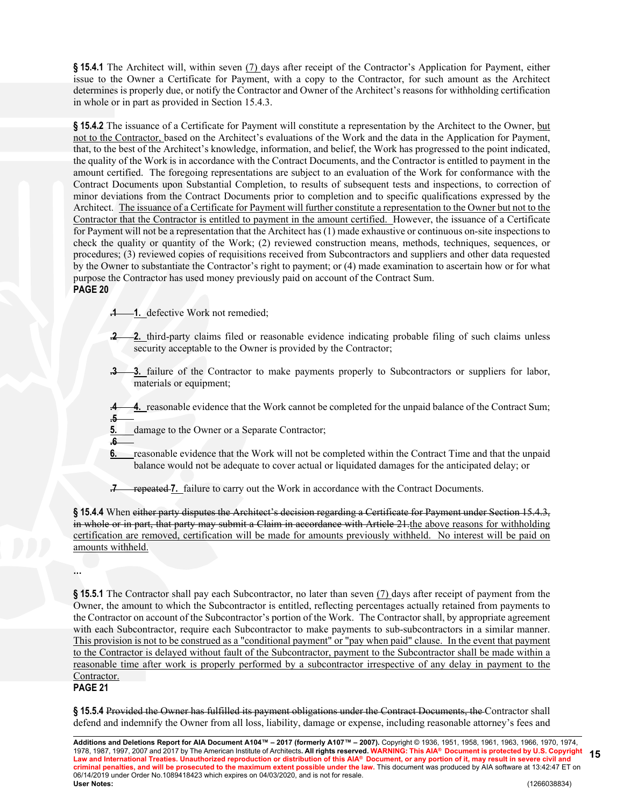**§ 15.4.1** The Architect will, within seven (7) days after receipt of the Contractor's Application for Payment, either issue to the Owner a Certificate for Payment, with a copy to the Contractor, for such amount as the Architect determines is properly due, or notify the Contractor and Owner of the Architect's reasons for withholding certification in whole or in part as provided in Section 15.4.3.

**§ 15.4.2** The issuance of a Certificate for Payment will constitute a representation by the Architect to the Owner, but not to the Contractor, based on the Architect's evaluations of the Work and the data in the Application for Payment, that, to the best of the Architect's knowledge, information, and belief, the Work has progressed to the point indicated, the quality of the Work is in accordance with the Contract Documents, and the Contractor is entitled to payment in the amount certified. The foregoing representations are subject to an evaluation of the Work for conformance with the Contract Documents upon Substantial Completion, to results of subsequent tests and inspections, to correction of minor deviations from the Contract Documents prior to completion and to specific qualifications expressed by the Architect. The issuance of a Certificate for Payment will further constitute a representation to the Owner but not to the Contractor that the Contractor is entitled to payment in the amount certified. However, the issuance of a Certificate for Payment will not be a representation that the Architect has (1) made exhaustive or continuous on-site inspections to check the quality or quantity of the Work; (2) reviewed construction means, methods, techniques, sequences, or procedures; (3) reviewed copies of requisitions received from Subcontractors and suppliers and other data requested by the Owner to substantiate the Contractor's right to payment; or (4) made examination to ascertain how or for what purpose the Contractor has used money previously paid on account of the Contract Sum. **PAGE 20**

**.4** 1. defective Work not remedied;

- **.2 2.** third-party claims filed or reasonable evidence indicating probable filing of such claims unless security acceptable to the Owner is provided by the Contractor;
- **.3** 3. failure of the Contractor to make payments properly to Subcontractors or suppliers for labor, materials or equipment;
- **.4 4.** reasonable evidence that the Work cannot be completed for the unpaid balance of the Contract Sum; **.5**
- **5.** damage to the Owner or a Separate Contractor;
- **.6**
- **6.** reasonable evidence that the Work will not be completed within the Contract Time and that the unpaid balance would not be adequate to cover actual or liquidated damages for the anticipated delay; or

**.7** repeated **7.** failure to carry out the Work in accordance with the Contract Documents.

**§ 15.4.4** When either party disputes the Architect's decision regarding a Certificate for Payment under Section 15.4.3, in whole or in part, that party may submit a Claim in accordance with Article 21.the above reasons for withholding certification are removed, certification will be made for amounts previously withheld. No interest will be paid on amounts withheld.

**…**

§ **15.5.1** The Contractor shall pay each Subcontractor, no later than seven (7) days after receipt of payment from the Owner, the amount to which the Subcontractor is entitled, reflecting percentages actually retained from payments to the Contractor on account of the Subcontractor's portion of the Work. The Contractor shall, by appropriate agreement with each Subcontractor, require each Subcontractor to make payments to sub-subcontractors in a similar manner. This provision is not to be construed as a "conditional payment" or "pay when paid" clause. In the event that payment to the Contractor is delayed without fault of the Subcontractor, payment to the Subcontractor shall be made within a reasonable time after work is properly performed by a subcontractor irrespective of any delay in payment to the Contractor.

# **PAGE 21**

**§ 15.5.4** Provided the Owner has fulfilled its payment obligations under the Contract Documents, the Contractor shall defend and indemnify the Owner from all loss, liability, damage or expense, including reasonable attorney's fees and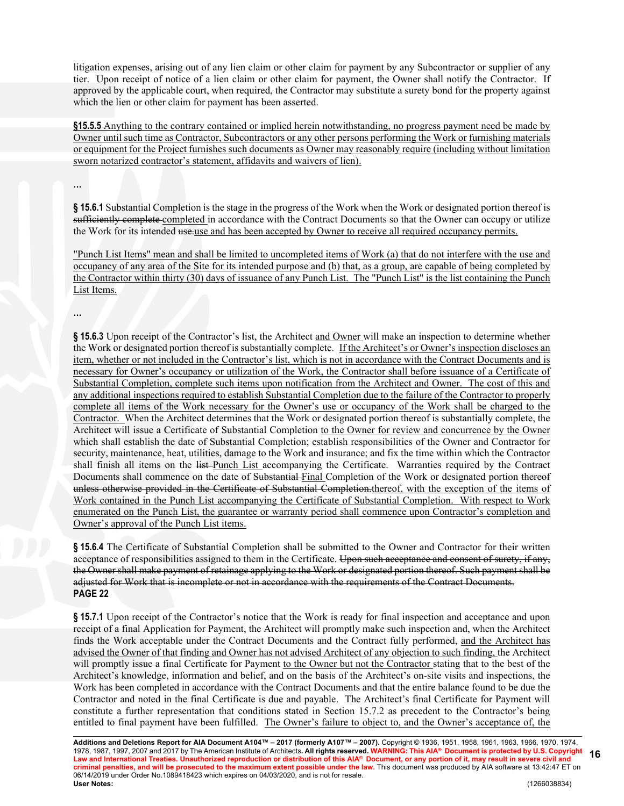litigation expenses, arising out of any lien claim or other claim for payment by any Subcontractor or supplier of any tier. Upon receipt of notice of a lien claim or other claim for payment, the Owner shall notify the Contractor. If approved by the applicable court, when required, the Contractor may substitute a surety bond for the property against which the lien or other claim for payment has been asserted.

**§15.5.5** Anything to the contrary contained or implied herein notwithstanding, no progress payment need be made by Owner until such time as Contractor, Subcontractors or any other persons performing the Work or furnishing materials or equipment for the Project furnishes such documents as Owner may reasonably require (including without limitation sworn notarized contractor's statement, affidavits and waivers of lien).

**…**

**§ 15.6.1** Substantial Completion is the stage in the progress of the Work when the Work or designated portion thereof is sufficiently complete completed in accordance with the Contract Documents so that the Owner can occupy or utilize the Work for its intended use.use and has been accepted by Owner to receive all required occupancy permits.

"Punch List Items" mean and shall be limited to uncompleted items of Work (a) that do not interfere with the use and occupancy of any area of the Site for its intended purpose and (b) that, as a group, are capable of being completed by the Contractor within thirty (30) days of issuance of any Punch List. The "Punch List" is the list containing the Punch List Items.

**…**

**§ 15.6.3** Upon receipt of the Contractor's list, the Architect and Owner will make an inspection to determine whether the Work or designated portion thereof is substantially complete. If the Architect's or Owner's inspection discloses an item, whether or not included in the Contractor's list, which is not in accordance with the Contract Documents and is necessary for Owner's occupancy or utilization of the Work, the Contractor shall before issuance of a Certificate of Substantial Completion, complete such items upon notification from the Architect and Owner. The cost of this and any additional inspections required to establish Substantial Completion due to the failure of the Contractor to properly complete all items of the Work necessary for the Owner's use or occupancy of the Work shall be charged to the Contractor. When the Architect determines that the Work or designated portion thereof is substantially complete, the Architect will issue a Certificate of Substantial Completion to the Owner for review and concurrence by the Owner which shall establish the date of Substantial Completion; establish responsibilities of the Owner and Contractor for security, maintenance, heat, utilities, damage to the Work and insurance; and fix the time within which the Contractor shall finish all items on the list-Punch List accompanying the Certificate. Warranties required by the Contract Documents shall commence on the date of Substantial-Final Completion of the Work or designated portion thereof unless otherwise provided in the Certificate of Substantial Completion.thereof, with the exception of the items of Work contained in the Punch List accompanying the Certificate of Substantial Completion. With respect to Work enumerated on the Punch List, the guarantee or warranty period shall commence upon Contractor's completion and Owner's approval of the Punch List items.

**§ 15.6.4** The Certificate of Substantial Completion shall be submitted to the Owner and Contractor for their written acceptance of responsibilities assigned to them in the Certificate. Upon such acceptance and consent of surety, if any, the Owner shall make payment of retainage applying to the Work or designated portion thereof. Such payment shall be adjusted for Work that is incomplete or not in accordance with the requirements of the Contract Documents. **PAGE 22**

**§ 15.7.1** Upon receipt of the Contractor's notice that the Work is ready for final inspection and acceptance and upon receipt of a final Application for Payment, the Architect will promptly make such inspection and, when the Architect finds the Work acceptable under the Contract Documents and the Contract fully performed, and the Architect has advised the Owner of that finding and Owner has not advised Architect of any objection to such finding, the Architect will promptly issue a final Certificate for Payment to the Owner but not the Contractor stating that to the best of the Architect's knowledge, information and belief, and on the basis of the Architect's on-site visits and inspections, the Work has been completed in accordance with the Contract Documents and that the entire balance found to be due the Contractor and noted in the final Certificate is due and payable. The Architect's final Certificate for Payment will constitute a further representation that conditions stated in Section 15.7.2 as precedent to the Contractor's being entitled to final payment have been fulfilled. The Owner's failure to object to, and the Owner's acceptance of, the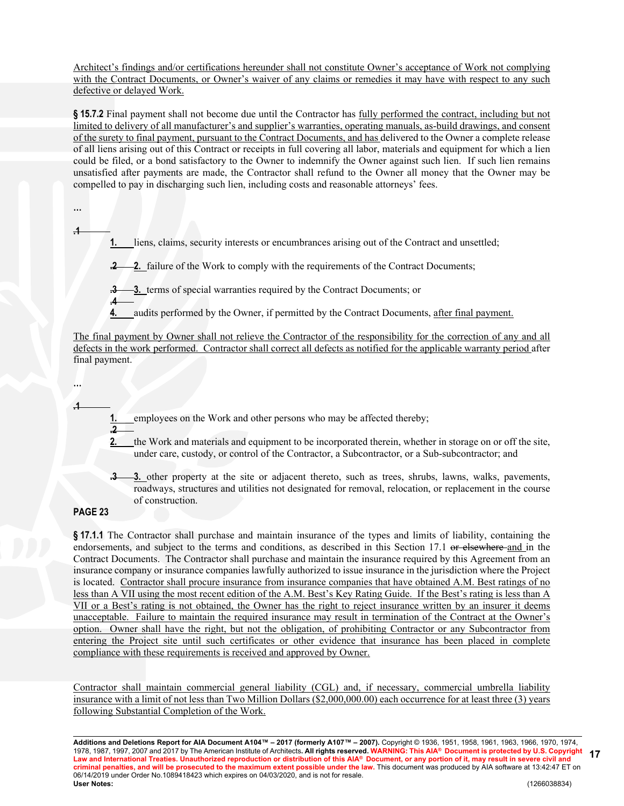Architect's findings and/or certifications hereunder shall not constitute Owner's acceptance of Work not complying with the Contract Documents, or Owner's waiver of any claims or remedies it may have with respect to any such defective or delayed Work.

**§ 15.7.2** Final payment shall not become due until the Contractor has fully performed the contract, including but not limited to delivery of all manufacturer's and supplier's warranties, operating manuals, as-build drawings, and consent of the surety to final payment, pursuant to the Contract Documents, and has delivered to the Owner a complete release of all liens arising out of this Contract or receipts in full covering all labor, materials and equipment for which a lien could be filed, or a bond satisfactory to the Owner to indemnify the Owner against such lien. If such lien remains unsatisfied after payments are made, the Contractor shall refund to the Owner all money that the Owner may be compelled to pay in discharging such lien, including costs and reasonable attorneys' fees.

**…**

**.1**

**…**

**.1**

**1.** liens, claims, security interests or encumbrances arising out of the Contract and unsettled;

**2. 2. h** failure of the Work to comply with the requirements of the Contract Documents;

**.3 3.** terms of special warranties required by the Contract Documents; or

**.4 4.** audits performed by the Owner, if permitted by the Contract Documents, after final payment.

The final payment by Owner shall not relieve the Contractor of the responsibility for the correction of any and all defects in the work performed. Contractor shall correct all defects as notified for the applicable warranty period after final payment.

**1.** employees on the Work and other persons who may be affected thereby;

- **.2 2.** the Work and materials and equipment to be incorporated therein, whether in storage on or off the site, under care, custody, or control of the Contractor, a Subcontractor, or a Sub-subcontractor; and
- **.3** 3. other property at the site or adjacent thereto, such as trees, shrubs, lawns, walks, pavements, roadways, structures and utilities not designated for removal, relocation, or replacement in the course of construction.

# **PAGE 23**

**§ 17.1.1** The Contractor shall purchase and maintain insurance of the types and limits of liability, containing the endorsements, and subject to the terms and conditions, as described in this Section 17.1 or elsewhere and in the Contract Documents. The Contractor shall purchase and maintain the insurance required by this Agreement from an insurance company or insurance companies lawfully authorized to issue insurance in the jurisdiction where the Project is located. Contractor shall procure insurance from insurance companies that have obtained A.M. Best ratings of no less than A VII using the most recent edition of the A.M. Best's Key Rating Guide. If the Best's rating is less than A VII or a Best's rating is not obtained, the Owner has the right to reject insurance written by an insurer it deems unacceptable. Failure to maintain the required insurance may result in termination of the Contract at the Owner's option. Owner shall have the right, but not the obligation, of prohibiting Contractor or any Subcontractor from entering the Project site until such certificates or other evidence that insurance has been placed in complete compliance with these requirements is received and approved by Owner.

Contractor shall maintain commercial general liability (CGL) and, if necessary, commercial umbrella liability insurance with a limit of not less than Two Million Dollars (\$2,000,000.00) each occurrence for at least three (3) years following Substantial Completion of the Work.

**Additions and Deletions Report for AIA Document A104™ – 2017 (formerly A107™ – 2007).** Copyright © 1936, 1951, 1958, 1961, 1963, 1966, 1970, 1974, 1978, 1987, 1997, 2007 and 2017 by The American Institute of Architects**. All rights reserved. WARNING: This AIA® Document is protected by U.S. Copyright Law and International Treaties. Unauthorized reproduction or distribution of this AIA® Document, or any portion of it, may result in severe civil and criminal penalties, and will be prosecuted to the maximum extent possible under the law.** This document was produced by AIA software at 13:42:47 ET on 06/14/2019 under Order No.1089418423 which expires on 04/03/2020, and is not for resale.<br>User Notes: **User Notes:** (1266038834) **17**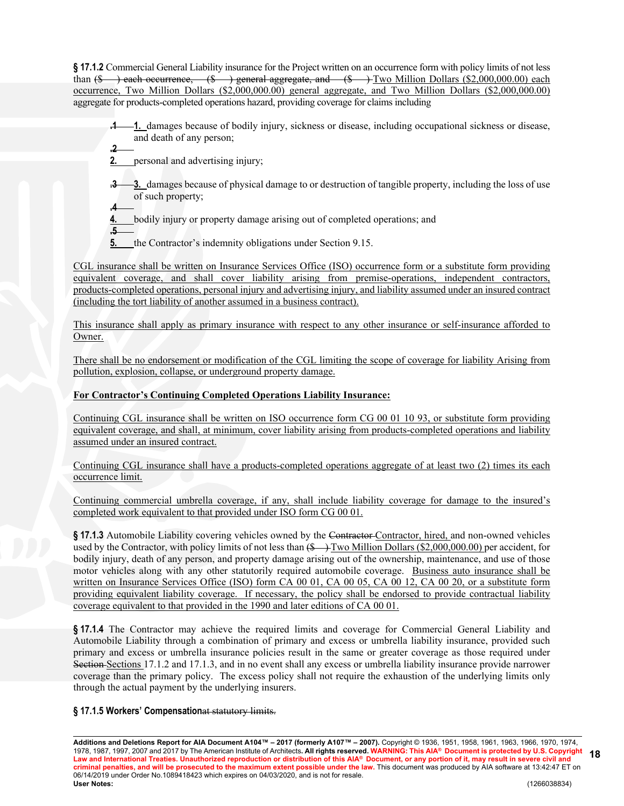**§ 17.1.2** Commercial General Liability insurance for the Project written on an occurrence form with policy limits of not less than (\$ ) each occurrence, (\$ ) general aggregate, and (\$ ) Two Million Dollars (\$2,000,000.00) each occurrence, Two Million Dollars (\$2,000,000.00) general aggregate, and Two Million Dollars (\$2,000,000.00) aggregate for products-completed operations hazard, providing coverage for claims including

**.1 1.** damages because of bodily injury, sickness or disease, including occupational sickness or disease, and death of any person;

$$
\frac{2}{\cdot}
$$

**2.** personal and advertising injury;

**3.** 3. damages because of physical damage to or destruction of tangible property, including the loss of use of such property;

**.4 4.** bodily injury or property damage arising out of completed operations; and

**.5**

**5.** the Contractor's indemnity obligations under Section 9.15.

CGL insurance shall be written on Insurance Services Office (ISO) occurrence form or a substitute form providing equivalent coverage, and shall cover liability arising from premise-operations, independent contractors, products-completed operations, personal injury and advertising injury, and liability assumed under an insured contract (including the tort liability of another assumed in a business contract).

This insurance shall apply as primary insurance with respect to any other insurance or self-insurance afforded to Owner.

There shall be no endorsement or modification of the CGL limiting the scope of coverage for liability Arising from pollution, explosion, collapse, or underground property damage.

# **For Contractor's Continuing Completed Operations Liability Insurance:**

Continuing CGL insurance shall be written on ISO occurrence form CG 00 01 10 93, or substitute form providing equivalent coverage, and shall, at minimum, cover liability arising from products-completed operations and liability assumed under an insured contract.

Continuing CGL insurance shall have a products-completed operations aggregate of at least two (2) times its each occurrence limit.

Continuing commercial umbrella coverage, if any, shall include liability coverage for damage to the insured's completed work equivalent to that provided under ISO form CG 00 01.

§ 17.1.3 Automobile Liability covering vehicles owned by the Contractor-Contractor, hired, and non-owned vehicles used by the Contractor, with policy limits of not less than  $(\frac{1}{2})$  Two Million Dollars (\$2,000,000.00) per accident, for bodily injury, death of any person, and property damage arising out of the ownership, maintenance, and use of those motor vehicles along with any other statutorily required automobile coverage. Business auto insurance shall be written on Insurance Services Office (ISO) form CA 00 01, CA 00 05, CA 00 12, CA 00 20, or a substitute form providing equivalent liability coverage. If necessary, the policy shall be endorsed to provide contractual liability coverage equivalent to that provided in the 1990 and later editions of CA 00 01.

**§ 17.1.4** The Contractor may achieve the required limits and coverage for Commercial General Liability and Automobile Liability through a combination of primary and excess or umbrella liability insurance, provided such primary and excess or umbrella insurance policies result in the same or greater coverage as those required under Section Sections 17.1.2 and 17.1.3, and in no event shall any excess or umbrella liability insurance provide narrower coverage than the primary policy. The excess policy shall not require the exhaustion of the underlying limits only through the actual payment by the underlying insurers.

# **§ 17.1.5 Workers' Compensation**at statutory limits.

**Additions and Deletions Report for AIA Document A104™ – 2017 (formerly A107™ – 2007).** Copyright © 1936, 1951, 1958, 1961, 1963, 1966, 1970, 1974, 1978, 1987, 1997, 2007 and 2017 by The American Institute of Architects**. All rights reserved. WARNING: This AIA® Document is protected by U.S. Copyright Law and International Treaties. Unauthorized reproduction or distribution of this AIA® Document, or any portion of it, may result in severe civil and criminal penalties, and will be prosecuted to the maximum extent possible under the law.** This document was produced by AIA software at 13:42:47 ET on 06/14/2019 under Order No.1089418423 which expires on 04/03/2020, and is not for resale.<br>User Notes: **User Notes:** (1266038834) **18**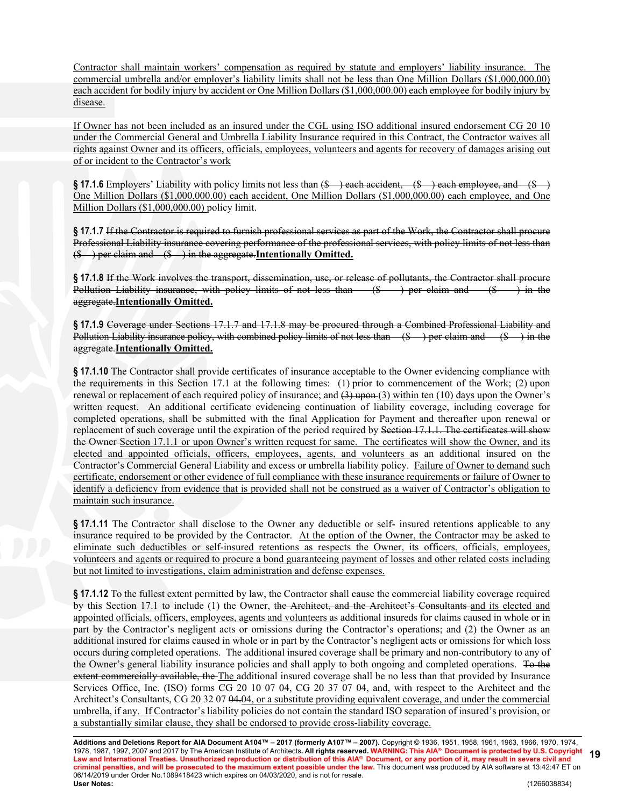Contractor shall maintain workers' compensation as required by statute and employers' liability insurance. The commercial umbrella and/or employer's liability limits shall not be less than One Million Dollars (\$1,000,000.00) each accident for bodily injury by accident or One Million Dollars (\$1,000,000.00) each employee for bodily injury by disease.

If Owner has not been included as an insured under the CGL using ISO additional insured endorsement CG 20 10 under the Commercial General and Umbrella Liability Insurance required in this Contract, the Contractor waives all rights against Owner and its officers, officials, employees, volunteers and agents for recovery of damages arising out of or incident to the Contractor's work

 $§$  17.1.6 Employers' Liability with policy limits not less than  $(\$ \ \)$  each accident,  $(\$ \ \)$  each employee, and  $(\$ \ \)$ One Million Dollars (\$1,000,000.00) each accident, One Million Dollars (\$1,000,000.00) each employee, and One Million Dollars (\$1,000,000.00) policy limit.

**§ 17.1.7** If the Contractor is required to furnish professional services as part of the Work, the Contractor shall procure Professional Liability insurance covering performance of the professional services, with policy limits of not less than (\$ ) per claim and (\$ ) in the aggregate.**Intentionally Omitted.**

**§ 17.1.8** If the Work involves the transport, dissemination, use, or release of pollutants, the Contractor shall procure Pollution Liability insurance, with policy limits of not less than  $(\$\)$  per claim and  $(\$\)$  in the aggregate.**Intentionally Omitted.**

**§ 17.1.9** Coverage under Sections 17.1.7 and 17.1.8 may be procured through a Combined Professional Liability and Pollution Liability insurance policy, with combined policy limits of not less than  $($ \$  $)$  per claim and  $($ \$  $)$  in the aggregate.**Intentionally Omitted.**

**§ 17.1.10** The Contractor shall provide certificates of insurance acceptable to the Owner evidencing compliance with the requirements in this Section 17.1 at the following times: (1) prior to commencement of the Work; (2) upon renewal or replacement of each required policy of insurance; and  $(3)$  upon (3) within ten (10) days upon the Owner's written request. An additional certificate evidencing continuation of liability coverage, including coverage for completed operations, shall be submitted with the final Application for Payment and thereafter upon renewal or replacement of such coverage until the expiration of the period required by Section 17.1.1. The certificates will show the Owner Section 17.1.1 or upon Owner's written request for same. The certificates will show the Owner, and its elected and appointed officials, officers, employees, agents, and volunteers as an additional insured on the Contractor's Commercial General Liability and excess or umbrella liability policy. Failure of Owner to demand such certificate, endorsement or other evidence of full compliance with these insurance requirements or failure of Owner to identify a deficiency from evidence that is provided shall not be construed as a waiver of Contractor's obligation to maintain such insurance.

**§ 17.1.11** The Contractor shall disclose to the Owner any deductible or self- insured retentions applicable to any insurance required to be provided by the Contractor. At the option of the Owner, the Contractor may be asked to eliminate such deductibles or self-insured retentions as respects the Owner, its officers, officials, employees, volunteers and agents or required to procure a bond guaranteeing payment of losses and other related costs including but not limited to investigations, claim administration and defense expenses.

**§ 17.1.12** To the fullest extent permitted by law, the Contractor shall cause the commercial liability coverage required by this Section 17.1 to include (1) the Owner, the Architect, and the Architect's Consultants and its elected and appointed officials, officers, employees, agents and volunteers as additional insureds for claims caused in whole or in part by the Contractor's negligent acts or omissions during the Contractor's operations; and (2) the Owner as an additional insured for claims caused in whole or in part by the Contractor's negligent acts or omissions for which loss occurs during completed operations. The additional insured coverage shall be primary and non-contributory to any of the Owner's general liability insurance policies and shall apply to both ongoing and completed operations. To the extent commercially available, the The additional insured coverage shall be no less than that provided by Insurance Services Office, Inc. (ISO) forms CG 20 10 07 04, CG 20 37 07 04, and, with respect to the Architect and the Architect's Consultants, CG 20 32 07 04.04, or a substitute providing equivalent coverage, and under the commercial umbrella, if any. If Contractor's liability policies do not contain the standard ISO separation of insured's provision, or a substantially similar clause, they shall be endorsed to provide cross-liability coverage.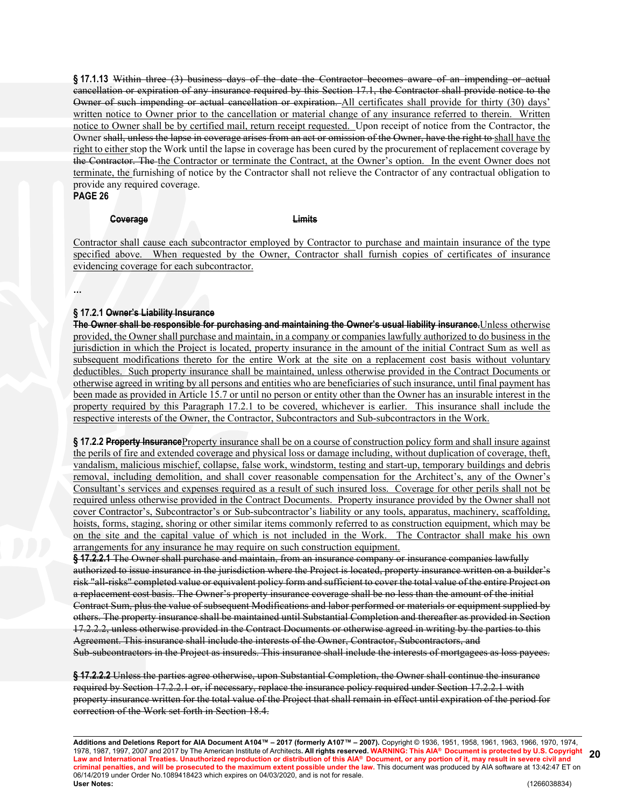**§ 17.1.13** Within three (3) business days of the date the Contractor becomes aware of an impending or actual cancellation or expiration of any insurance required by this Section 17.1, the Contractor shall provide notice to the Owner of such impending or actual cancellation or expiration. All certificates shall provide for thirty (30) days' written notice to Owner prior to the cancellation or material change of any insurance referred to therein. Written notice to Owner shall be by certified mail, return receipt requested. Upon receipt of notice from the Contractor, the Owner shall, unless the lapse in coverage arises from an act or omission of the Owner, have the right to shall have the right to either stop the Work until the lapse in coverage has been cured by the procurement of replacement coverage by the Contractor. The the Contractor or terminate the Contract, at the Owner's option. In the event Owner does not terminate, the furnishing of notice by the Contractor shall not relieve the Contractor of any contractual obligation to provide any required coverage.

**PAGE 26**

# **Coverage Limits**

Contractor shall cause each subcontractor employed by Contractor to purchase and maintain insurance of the type specified above. When requested by the Owner, Contractor shall furnish copies of certificates of insurance evidencing coverage for each subcontractor.

**…**

#### **§ 17.2.1 Owner's Liability Insurance**

**The Owner shall be responsible for purchasing and maintaining the Owner's usual liability insurance.**Unless otherwise provided, the Owner shall purchase and maintain, in a company or companies lawfully authorized to do business in the jurisdiction in which the Project is located, property insurance in the amount of the initial Contract Sum as well as subsequent modifications thereto for the entire Work at the site on a replacement cost basis without voluntary deductibles. Such property insurance shall be maintained, unless otherwise provided in the Contract Documents or otherwise agreed in writing by all persons and entities who are beneficiaries of such insurance, until final payment has been made as provided in Article 15.7 or until no person or entity other than the Owner has an insurable interest in the property required by this Paragraph 17.2.1 to be covered, whichever is earlier. This insurance shall include the respective interests of the Owner, the Contractor, Subcontractors and Sub-subcontractors in the Work.

**§ 17.2.2 Property Insurance**Property insurance shall be on a course of construction policy form and shall insure against the perils of fire and extended coverage and physical loss or damage including, without duplication of coverage, theft, vandalism, malicious mischief, collapse, false work, windstorm, testing and start-up, temporary buildings and debris removal, including demolition, and shall cover reasonable compensation for the Architect's, any of the Owner's Consultant's services and expenses required as a result of such insured loss. Coverage for other perils shall not be required unless otherwise provided in the Contract Documents. Property insurance provided by the Owner shall not cover Contractor's, Subcontractor's or Sub-subcontractor's liability or any tools, apparatus, machinery, scaffolding, hoists, forms, staging, shoring or other similar items commonly referred to as construction equipment, which may be on the site and the capital value of which is not included in the Work. The Contractor shall make his own arrangements for any insurance he may require on such construction equipment.

**§ 17.2.2.1** The Owner shall purchase and maintain, from an insurance company or insurance companies lawfully authorized to issue insurance in the jurisdiction where the Project is located, property insurance written on a builder's risk "all-risks" completed value or equivalent policy form and sufficient to cover the total value of the entire Project on a replacement cost basis. The Owner's property insurance coverage shall be no less than the amount of the initial Contract Sum, plus the value of subsequent Modifications and labor performed or materials or equipment supplied by others. The property insurance shall be maintained until Substantial Completion and thereafter as provided in Section 17.2.2.2, unless otherwise provided in the Contract Documents or otherwise agreed in writing by the parties to this Agreement. This insurance shall include the interests of the Owner, Contractor, Subcontractors, and Sub-subcontractors in the Project as insureds. This insurance shall include the interests of mortgagees as loss payees.

**§ 17.2.2.2** Unless the parties agree otherwise, upon Substantial Completion, the Owner shall continue the insurance required by Section 17.2.2.1 or, if necessary, replace the insurance policy required under Section 17.2.2.1 with property insurance written for the total value of the Project that shall remain in effect until expiration of the period for correction of the Work set forth in Section 18.4.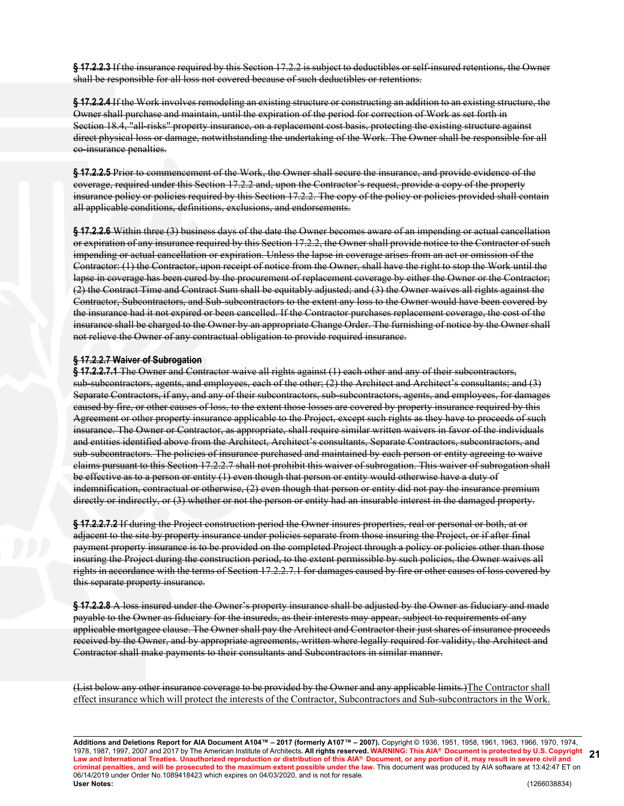**§ 17.2.2.3** If the insurance required by this Section 17.2.2 is subject to deductibles or self-insured retentions, the Owner shall be responsible for all loss not covered because of such deductibles or retentions.

**§ 17.2.2.4** If the Work involves remodeling an existing structure or constructing an addition to an existing structure, the Owner shall purchase and maintain, until the expiration of the period for correction of Work as set forth in Section 18.4, "all-risks" property insurance, on a replacement cost basis, protecting the existing structure against direct physical loss or damage, notwithstanding the undertaking of the Work. The Owner shall be responsible for all co-insurance penalties.

**§ 17.2.2.5** Prior to commencement of the Work, the Owner shall secure the insurance, and provide evidence of the coverage, required under this Section 17.2.2 and, upon the Contractor's request, provide a copy of the property insurance policy or policies required by this Section 17.2.2. The copy of the policy or policies provided shall contain all applicable conditions, definitions, exclusions, and endorsements.

**§ 17.2.2.6** Within three (3) business days of the date the Owner becomes aware of an impending or actual cancellation or expiration of any insurance required by this Section 17.2.2, the Owner shall provide notice to the Contractor of such impending or actual cancellation or expiration. Unless the lapse in coverage arises from an act or omission of the Contractor: (1) the Contractor, upon receipt of notice from the Owner, shall have the right to stop the Work until the lapse in coverage has been cured by the procurement of replacement coverage by either the Owner or the Contractor; (2) the Contract Time and Contract Sum shall be equitably adjusted; and (3) the Owner waives all rights against the Contractor, Subcontractors, and Sub-subcontractors to the extent any loss to the Owner would have been covered by the insurance had it not expired or been cancelled. If the Contractor purchases replacement coverage, the cost of the insurance shall be charged to the Owner by an appropriate Change Order. The furnishing of notice by the Owner shall not relieve the Owner of any contractual obligation to provide required insurance.

#### **§ 17.2.2.7 Waiver of Subrogation**

**§ 17.2.2.7.1** The Owner and Contractor waive all rights against (1) each other and any of their subcontractors, sub-subcontractors, agents, and employees, each of the other; (2) the Architect and Architect's consultants; and (3) Separate Contractors, if any, and any of their subcontractors, sub-subcontractors, agents, and employees, for damages caused by fire, or other causes of loss, to the extent those losses are covered by property insurance required by this Agreement or other property insurance applicable to the Project, except such rights as they have to proceeds of such insurance. The Owner or Contractor, as appropriate, shall require similar written waivers in favor of the individuals and entities identified above from the Architect, Architect's consultants, Separate Contractors, subcontractors, and sub-subcontractors. The policies of insurance purchased and maintained by each person or entity agreeing to waive claims pursuant to this Section 17.2.2.7 shall not prohibit this waiver of subrogation. This waiver of subrogation shall be effective as to a person or entity (1) even though that person or entity would otherwise have a duty of indemnification, contractual or otherwise, (2) even though that person or entity did not pay the insurance premium directly or indirectly, or (3) whether or not the person or entity had an insurable interest in the damaged property.

**§ 17.2.2.7.2** If during the Project construction period the Owner insures properties, real or personal or both, at or adjacent to the site by property insurance under policies separate from those insuring the Project, or if after final payment property insurance is to be provided on the completed Project through a policy or policies other than those insuring the Project during the construction period, to the extent permissible by such policies, the Owner waives all rights in accordance with the terms of Section 17.2.2.7.1 for damages caused by fire or other causes of loss covered by this separate property insurance.

**§ 17.2.2.8** A loss insured under the Owner's property insurance shall be adjusted by the Owner as fiduciary and made payable to the Owner as fiduciary for the insureds, as their interests may appear, subject to requirements of any applicable mortgagee clause. The Owner shall pay the Architect and Contractor their just shares of insurance proceeds received by the Owner, and by appropriate agreements, written where legally required for validity, the Architect and Contractor shall make payments to their consultants and Subcontractors in similar manner.

(List below any other insurance coverage to be provided by the Owner and any applicable limits.)The Contractor shall effect insurance which will protect the interests of the Contractor, Subcontractors and Sub-subcontractors in the Work.

**Additions and Deletions Report for AIA Document A104™ – 2017 (formerly A107™ – 2007).** Copyright © 1936, 1951, 1958, 1961, 1963, 1966, 1970, 1974, 1978, 1987, 1997, 2007 and 2017 by The American Institute of Architects**. All rights reserved. WARNING: This AIA® Document is protected by U.S. Copyright 21 Law and International Treaties. Unauthorized reproduction or distribution of this AIA® Document, or any portion of it, may result in severe civil and criminal penalties, and will be prosecuted to the maximum extent possible under the law.** This document was produced by AIA software at 13:42:47 ET on 06/14/2019 under Order No.1089418423 which expires on 04/03/2020, and is not for resale.<br>User Notes: **User Notes:** (1266038834)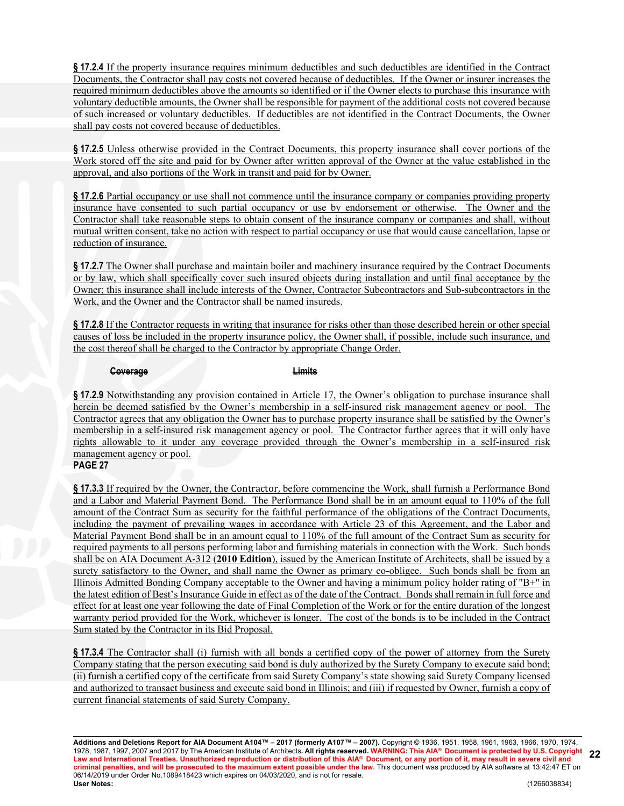**§ 17.2.4** If the property insurance requires minimum deductibles and such deductibles are identified in the Contract Documents, the Contractor shall pay costs not covered because of deductibles. If the Owner or insurer increases the required minimum deductibles above the amounts so identified or if the Owner elects to purchase this insurance with voluntary deductible amounts, the Owner shall be responsible for payment of the additional costs not covered because of such increased or voluntary deductibles. If deductibles are not identified in the Contract Documents, the Owner shall pay costs not covered because of deductibles.

**§ 17.2.5** Unless otherwise provided in the Contract Documents, this property insurance shall cover portions of the Work stored off the site and paid for by Owner after written approval of the Owner at the value established in the approval, and also portions of the Work in transit and paid for by Owner.

**§ 17.2.6** Partial occupancy or use shall not commence until the insurance company or companies providing property insurance have consented to such partial occupancy or use by endorsement or otherwise. The Owner and the Contractor shall take reasonable steps to obtain consent of the insurance company or companies and shall, without mutual written consent, take no action with respect to partial occupancy or use that would cause cancellation, lapse or reduction of insurance.

**§ 17.2.7** The Owner shall purchase and maintain boiler and machinery insurance required by the Contract Documents or by law, which shall specifically cover such insured objects during installation and until final acceptance by the Owner; this insurance shall include interests of the Owner, Contractor Subcontractors and Sub-subcontractors in the Work, and the Owner and the Contractor shall be named insureds.

**§ 17.2.8** If the Contractor requests in writing that insurance for risks other than those described herein or other special causes of loss be included in the property insurance policy, the Owner shall, if possible, include such insurance, and the cost thereof shall be charged to the Contractor by appropriate Change Order.

#### **Coverage Limits**

**§ 17.2.9** Notwithstanding any provision contained in Article 17, the Owner's obligation to purchase insurance shall herein be deemed satisfied by the Owner's membership in a self-insured risk management agency or pool. The Contractor agrees that any obligation the Owner has to purchase property insurance shall be satisfied by the Owner's membership in a self-insured risk management agency or pool. The Contractor further agrees that it will only have rights allowable to it under any coverage provided through the Owner's membership in a self-insured risk management agency or pool.

# **PAGE 27**

**§ 17.3.3** If required by the Owner, the Contractor, before commencing the Work, shall furnish a Performance Bond and a Labor and Material Payment Bond. The Performance Bond shall be in an amount equal to 110% of the full amount of the Contract Sum as security for the faithful performance of the obligations of the Contract Documents, including the payment of prevailing wages in accordance with Article 23 of this Agreement, and the Labor and Material Payment Bond shall be in an amount equal to 110% of the full amount of the Contract Sum as security for required payments to all persons performing labor and furnishing materials in connection with the Work. Such bonds shall be on AIA Document A-312 (**2010 Edition**), issued by the American Institute of Architects, shall be issued by a surety satisfactory to the Owner, and shall name the Owner as primary co-obligee. Such bonds shall be from an Illinois Admitted Bonding Company acceptable to the Owner and having a minimum policy holder rating of "B+" in the latest edition of Best's Insurance Guide in effect as of the date of the Contract. Bonds shall remain in full force and effect for at least one year following the date of Final Completion of the Work or for the entire duration of the longest warranty period provided for the Work, whichever is longer. The cost of the bonds is to be included in the Contract Sum stated by the Contractor in its Bid Proposal.

**§ 17.3.4** The Contractor shall (i) furnish with all bonds a certified copy of the power of attorney from the Surety Company stating that the person executing said bond is duly authorized by the Surety Company to execute said bond; (ii) furnish a certified copy of the certificate from said Surety Company's state showing said Surety Company licensed and authorized to transact business and execute said bond in Illinois; and (iii) if requested by Owner, furnish a copy of current financial statements of said Surety Company.

**Additions and Deletions Report for AIA Document A104™ – 2017 (formerly A107™ – 2007).** Copyright © 1936, 1951, 1958, 1961, 1963, 1966, 1970, 1974, 1978, 1987, 1997, 2007 and 2017 by The American Institute of Architects**. All rights reserved. WARNING: This AIA® Document is protected by U.S. Copyright Law and International Treaties. Unauthorized reproduction or distribution of this AIA® Document, or any portion of it, may result in severe civil and criminal penalties, and will be prosecuted to the maximum extent possible under the law.** This document was produced by AIA software at 13:42:47 ET on 06/14/2019 under Order No.1089418423 which expires on 04/03/2020, and is not for resale.<br>User Notes: **User Notes:** (1266038834) **22**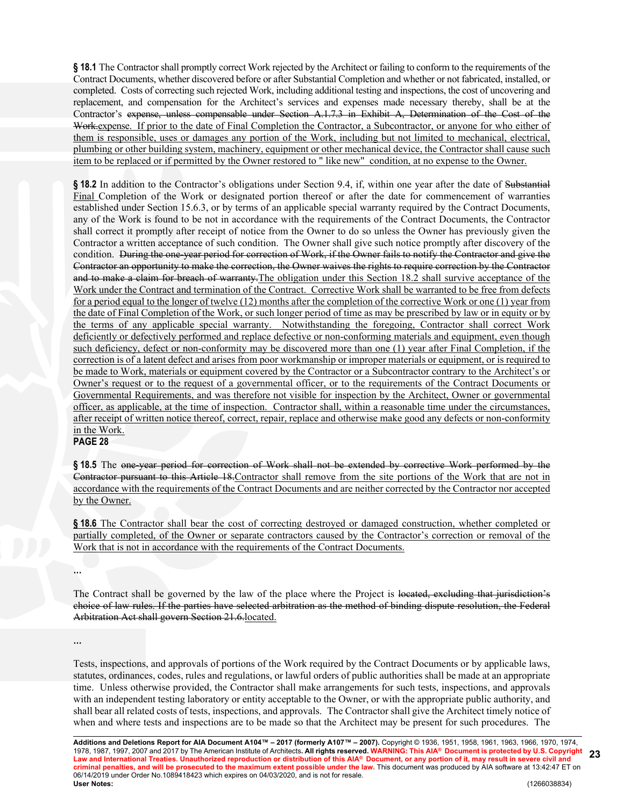**§ 18.1** The Contractor shall promptly correct Work rejected by the Architect or failing to conform to the requirements of the Contract Documents, whether discovered before or after Substantial Completion and whether or not fabricated, installed, or completed. Costs of correcting such rejected Work, including additional testing and inspections, the cost of uncovering and replacement, and compensation for the Architect's services and expenses made necessary thereby, shall be at the Contractor's expense, unless compensable under Section A.1.7.3 in Exhibit A, Determination of the Cost of the Work.expense. If prior to the date of Final Completion the Contractor, a Subcontractor, or anyone for who either of them is responsible, uses or damages any portion of the Work, including but not limited to mechanical, electrical, plumbing or other building system, machinery, equipment or other mechanical device, the Contractor shall cause such item to be replaced or if permitted by the Owner restored to " like new" condition, at no expense to the Owner.

**§ 18.2** In addition to the Contractor's obligations under Section 9.4, if, within one year after the date of Substantial Final Completion of the Work or designated portion thereof or after the date for commencement of warranties established under Section 15.6.3, or by terms of an applicable special warranty required by the Contract Documents, any of the Work is found to be not in accordance with the requirements of the Contract Documents, the Contractor shall correct it promptly after receipt of notice from the Owner to do so unless the Owner has previously given the Contractor a written acceptance of such condition. The Owner shall give such notice promptly after discovery of the condition. During the one-year period for correction of Work, if the Owner fails to notify the Contractor and give the Contractor an opportunity to make the correction, the Owner waives the rights to require correction by the Contractor and to make a claim for breach of warranty.The obligation under this Section 18.2 shall survive acceptance of the Work under the Contract and termination of the Contract. Corrective Work shall be warranted to be free from defects for a period equal to the longer of twelve (12) months after the completion of the corrective Work or one (1) year from the date of Final Completion of the Work, or such longer period of time as may be prescribed by law or in equity or by the terms of any applicable special warranty. Notwithstanding the foregoing, Contractor shall correct Work deficiently or defectively performed and replace defective or non-conforming materials and equipment, even though such deficiency, defect or non-conformity may be discovered more than one (1) year after Final Completion, if the correction is of a latent defect and arises from poor workmanship or improper materials or equipment, or is required to be made to Work, materials or equipment covered by the Contractor or a Subcontractor contrary to the Architect's or Owner's request or to the request of a governmental officer, or to the requirements of the Contract Documents or Governmental Requirements, and was therefore not visible for inspection by the Architect, Owner or governmental officer, as applicable, at the time of inspection. Contractor shall, within a reasonable time under the circumstances, after receipt of written notice thereof, correct, repair, replace and otherwise make good any defects or non-conformity in the Work. **PAGE 28**

**§ 18.5** The one-year period for correction of Work shall not be extended by corrective Work performed by the Contractor pursuant to this Article 18.Contractor shall remove from the site portions of the Work that are not in accordance with the requirements of the Contract Documents and are neither corrected by the Contractor nor accepted by the Owner.

**§ 18.6** The Contractor shall bear the cost of correcting destroyed or damaged construction, whether completed or partially completed, of the Owner or separate contractors caused by the Contractor's correction or removal of the Work that is not in accordance with the requirements of the Contract Documents.

**…**

The Contract shall be governed by the law of the place where the Project is located, excluding that jurisdiction's choice of law rules. If the parties have selected arbitration as the method of binding dispute resolution, the Federal Arbitration Act shall govern Section 21.6.located.

**…**

Tests, inspections, and approvals of portions of the Work required by the Contract Documents or by applicable laws, statutes, ordinances, codes, rules and regulations, or lawful orders of public authorities shall be made at an appropriate time. Unless otherwise provided, the Contractor shall make arrangements for such tests, inspections, and approvals with an independent testing laboratory or entity acceptable to the Owner, or with the appropriate public authority, and shall bear all related costs of tests, inspections, and approvals. The Contractor shall give the Architect timely notice of when and where tests and inspections are to be made so that the Architect may be present for such procedures. The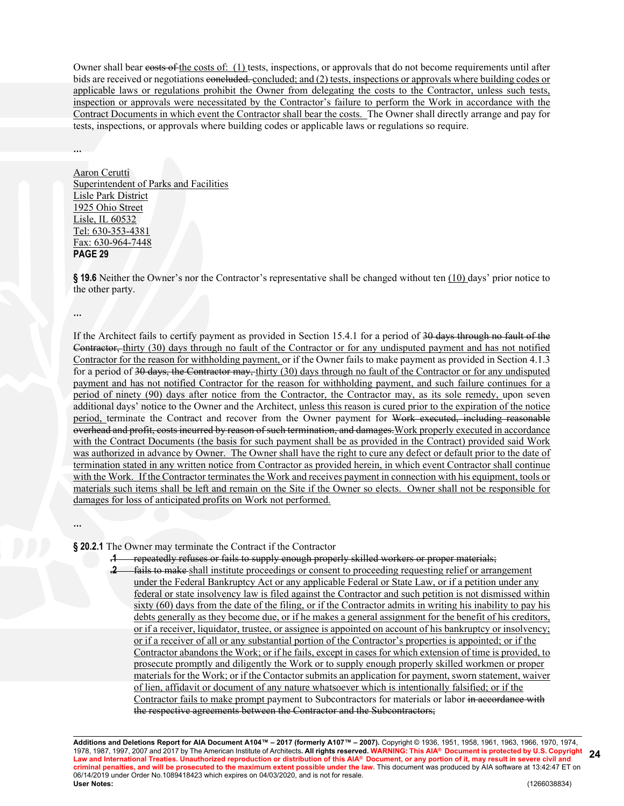Owner shall bear costs of the costs of: (1) tests, inspections, or approvals that do not become requirements until after bids are received or negotiations concluded, concluded; and (2) tests, inspections or approvals where building codes or applicable laws or regulations prohibit the Owner from delegating the costs to the Contractor, unless such tests, inspection or approvals were necessitated by the Contractor's failure to perform the Work in accordance with the Contract Documents in which event the Contractor shall bear the costs. The Owner shall directly arrange and pay for tests, inspections, or approvals where building codes or applicable laws or regulations so require.

**…**

Aaron Cerutti Superintendent of Parks and Facilities Lisle Park District 1925 Ohio Street Lisle, IL 60532 Tel: 630-353-4381 Fax: 630-964-7448 **PAGE 29**

**§ 19.6** Neither the Owner's nor the Contractor's representative shall be changed without ten (10) days' prior notice to the other party.

**…**

If the Architect fails to certify payment as provided in Section 15.4.1 for a period of 30 days through no fault of the Contractor, thirty (30) days through no fault of the Contractor or for any undisputed payment and has not notified Contractor for the reason for withholding payment, or if the Owner fails to make payment as provided in Section 4.1.3 for a period of 30 days, the Contractor may, thirty (30) days through no fault of the Contractor or for any undisputed payment and has not notified Contractor for the reason for withholding payment, and such failure continues for a period of ninety (90) days after notice from the Contractor, the Contractor may, as its sole remedy, upon seven additional days' notice to the Owner and the Architect, unless this reason is cured prior to the expiration of the notice period, terminate the Contract and recover from the Owner payment for Work executed, including reasonable overhead and profit, costs incurred by reason of such termination, and damages.Work properly executed in accordance with the Contract Documents (the basis for such payment shall be as provided in the Contract) provided said Work was authorized in advance by Owner. The Owner shall have the right to cure any defect or default prior to the date of termination stated in any written notice from Contractor as provided herein, in which event Contractor shall continue with the Work. If the Contractor terminates the Work and receives payment in connection with his equipment, tools or materials such items shall be left and remain on the Site if the Owner so elects. Owner shall not be responsible for damages for loss of anticipated profits on Work not performed.

**…**

**§ 20.2.1** The Owner may terminate the Contract if the Contractor

- **.1** repeatedly refuses or fails to supply enough properly skilled workers or proper materials;
- **2** fails to make shall institute proceedings or consent to proceeding requesting relief or arrangement under the Federal Bankruptcy Act or any applicable Federal or State Law, or if a petition under any federal or state insolvency law is filed against the Contractor and such petition is not dismissed within sixty (60) days from the date of the filing, or if the Contractor admits in writing his inability to pay his debts generally as they become due, or if he makes a general assignment for the benefit of his creditors, or if a receiver, liquidator, trustee, or assignee is appointed on account of his bankruptcy or insolvency; or if a receiver of all or any substantial portion of the Contractor's properties is appointed; or if the Contractor abandons the Work; or if he fails, except in cases for which extension of time is provided, to prosecute promptly and diligently the Work or to supply enough properly skilled workmen or proper materials for the Work; or if the Contactor submits an application for payment, sworn statement, waiver of lien, affidavit or document of any nature whatsoever which is intentionally falsified; or if the Contractor fails to make prompt payment to Subcontractors for materials or labor in accordance with the respective agreements between the Contractor and the Subcontractors;

**Additions and Deletions Report for AIA Document A104™ – 2017 (formerly A107™ – 2007).** Copyright © 1936, 1951, 1958, 1961, 1963, 1966, 1970, 1974, 1978, 1987, 1997, 2007 and 2017 by The American Institute of Architects**. All rights reserved. WARNING: This AIA® Document is protected by U.S. Copyright Law and International Treaties. Unauthorized reproduction or distribution of this AIA® Document, or any portion of it, may result in severe civil and criminal penalties, and will be prosecuted to the maximum extent possible under the law.** This document was produced by AIA software at 13:42:47 ET on 06/14/2019 under Order No.1089418423 which expires on 04/03/2020, and is not for resale.<br>User Notes: **User Notes:** (1266038834) **24**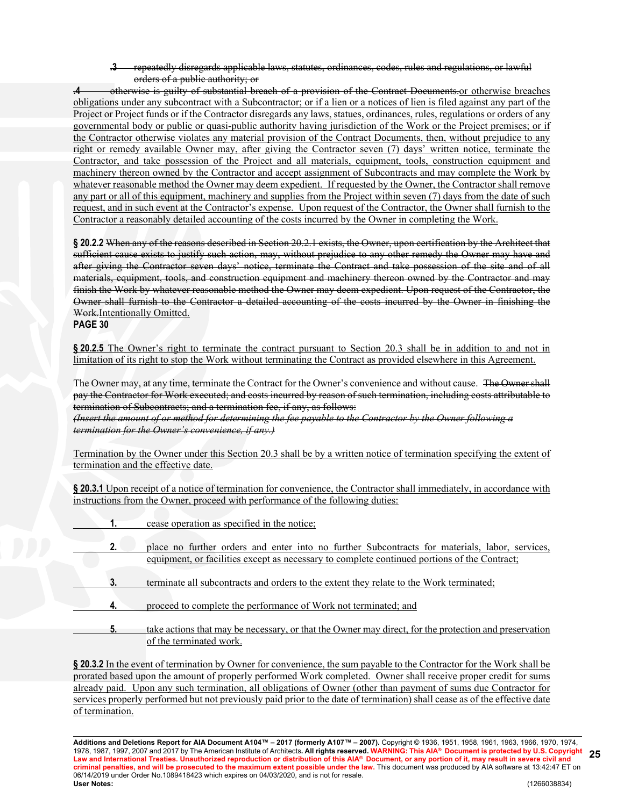#### **.3** repeatedly disregards applicable laws, statutes, ordinances, codes, rules and regulations, or lawful orders of a public authority; or

**.4** otherwise is guilty of substantial breach of a provision of the Contract Documents.or otherwise breaches obligations under any subcontract with a Subcontractor; or if a lien or a notices of lien is filed against any part of the Project or Project funds or if the Contractor disregards any laws, statues, ordinances, rules, regulations or orders of any governmental body or public or quasi-public authority having jurisdiction of the Work or the Project premises; or if the Contractor otherwise violates any material provision of the Contract Documents, then, without prejudice to any right or remedy available Owner may, after giving the Contractor seven (7) days' written notice, terminate the Contractor, and take possession of the Project and all materials, equipment, tools, construction equipment and machinery thereon owned by the Contractor and accept assignment of Subcontracts and may complete the Work by whatever reasonable method the Owner may deem expedient. If requested by the Owner, the Contractor shall remove any part or all of this equipment, machinery and supplies from the Project within seven (7) days from the date of such request, and in such event at the Contractor's expense. Upon request of the Contractor, the Owner shall furnish to the Contractor a reasonably detailed accounting of the costs incurred by the Owner in completing the Work.

**§ 20.2.2** When any of the reasons described in Section 20.2.1 exists, the Owner, upon certification by the Architect that sufficient cause exists to justify such action, may, without prejudice to any other remedy the Owner may have and after giving the Contractor seven days' notice, terminate the Contract and take possession of the site and of all materials, equipment, tools, and construction equipment and machinery thereon owned by the Contractor and may finish the Work by whatever reasonable method the Owner may deem expedient. Upon request of the Contractor, the Owner shall furnish to the Contractor a detailed accounting of the costs incurred by the Owner in finishing the Work.Intentionally Omitted.

**PAGE 30**

**§ 20.2.5** The Owner's right to terminate the contract pursuant to Section 20.3 shall be in addition to and not in limitation of its right to stop the Work without terminating the Contract as provided elsewhere in this Agreement.

The Owner may, at any time, terminate the Contract for the Owner's convenience and without cause. The Owner shall pay the Contractor for Work executed; and costs incurred by reason of such termination, including costs attributable to termination of Subcontracts; and a termination fee, if any, as follows:

*(Insert the amount of or method for determining the fee payable to the Contractor by the Owner following a termination for the Owner's convenience, if any.)*

Termination by the Owner under this Section 20.3 shall be by a written notice of termination specifying the extent of termination and the effective date.

**§ 20.3.1** Upon receipt of a notice of termination for convenience, the Contractor shall immediately, in accordance with instructions from the Owner, proceed with performance of the following duties:

|    | cease operation as specified in the notice;                                                           |
|----|-------------------------------------------------------------------------------------------------------|
| 2. | place no further orders and enter into no further Subcontracts for materials, labor, services,        |
|    | equipment, or facilities except as necessary to complete continued portions of the Contract;          |
|    |                                                                                                       |
| 3. | terminate all subcontracts and orders to the extent they relate to the Work terminated;               |
| 4. | proceed to complete the performance of Work not terminated; and                                       |
| 5. | take actions that may be necessary, or that the Owner may direct, for the protection and preservation |
|    | of the terminated work.                                                                               |

**§ 20.3.2** In the event of termination by Owner for convenience, the sum payable to the Contractor for the Work shall be prorated based upon the amount of properly performed Work completed. Owner shall receive proper credit for sums already paid. Upon any such termination, all obligations of Owner (other than payment of sums due Contractor for services properly performed but not previously paid prior to the date of termination) shall cease as of the effective date of termination.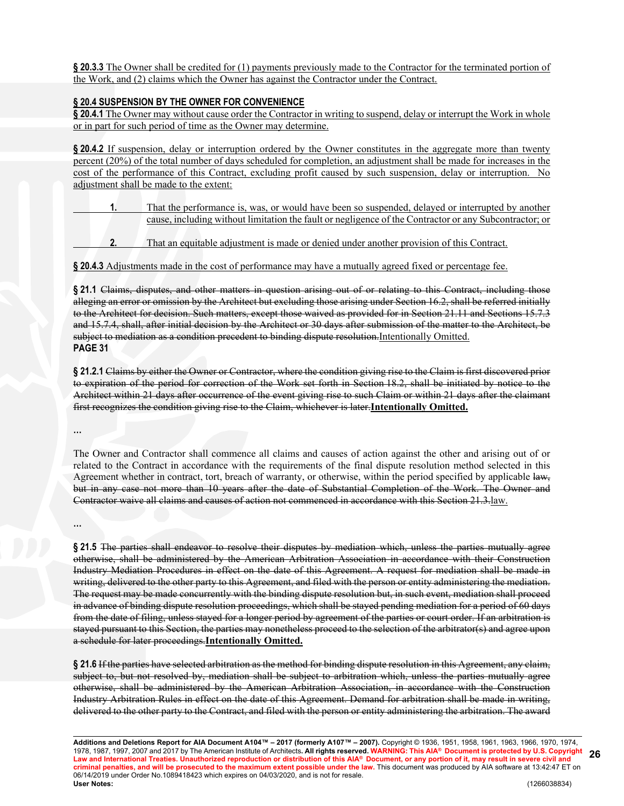**§ 20.3.3** The Owner shall be credited for (1) payments previously made to the Contractor for the terminated portion of the Work, and (2) claims which the Owner has against the Contractor under the Contract.

#### **§ 20.4 SUSPENSION BY THE OWNER FOR CONVENIENCE**

**§ 20.4.1** The Owner may without cause order the Contractor in writing to suspend, delay or interrupt the Work in whole or in part for such period of time as the Owner may determine.

**§ 20.4.2** If suspension, delay or interruption ordered by the Owner constitutes in the aggregate more than twenty percent (20%) of the total number of days scheduled for completion, an adjustment shall be made for increases in the cost of the performance of this Contract, excluding profit caused by such suspension, delay or interruption. No adjustment shall be made to the extent:

- **1.** That the performance is, was, or would have been so suspended, delayed or interrupted by another cause, including without limitation the fault or negligence of the Contractor or any Subcontractor; or
	- **2.** That an equitable adjustment is made or denied under another provision of this Contract.

#### **§ 20.4.3** Adjustments made in the cost of performance may have a mutually agreed fixed or percentage fee.

**§ 21.1** Claims, disputes, and other matters in question arising out of or relating to this Contract, including those alleging an error or omission by the Architect but excluding those arising under Section 16.2, shall be referred initially to the Architect for decision. Such matters, except those waived as provided for in Section 21.11 and Sections 15.7.3 and 15.7.4, shall, after initial decision by the Architect or 30 days after submission of the matter to the Architect, be subject to mediation as a condition precedent to binding dispute resolution.Intentionally Omitted. **PAGE 31**

**§ 21.2.1** Claims by either the Owner or Contractor, where the condition giving rise to the Claim is first discovered prior to expiration of the period for correction of the Work set forth in Section 18.2, shall be initiated by notice to the Architect within 21 days after occurrence of the event giving rise to such Claim or within 21 days after the claimant first recognizes the condition giving rise to the Claim, whichever is later.**Intentionally Omitted.**

**…**

The Owner and Contractor shall commence all claims and causes of action against the other and arising out of or related to the Contract in accordance with the requirements of the final dispute resolution method selected in this Agreement whether in contract, tort, breach of warranty, or otherwise, within the period specified by applicable law, but in any case not more than 10 years after the date of Substantial Completion of the Work. The Owner and Contractor waive all claims and causes of action not commenced in accordance with this Section 21.3.law.

**…**

**§ 21.5** The parties shall endeavor to resolve their disputes by mediation which, unless the parties mutually agree otherwise, shall be administered by the American Arbitration Association in accordance with their Construction Industry Mediation Procedures in effect on the date of this Agreement. A request for mediation shall be made in writing, delivered to the other party to this Agreement, and filed with the person or entity administering the mediation. The request may be made concurrently with the binding dispute resolution but, in such event, mediation shall proceed in advance of binding dispute resolution proceedings, which shall be stayed pending mediation for a period of 60 days from the date of filing, unless stayed for a longer period by agreement of the parties or court order. If an arbitration is stayed pursuant to this Section, the parties may nonetheless proceed to the selection of the arbitrator(s) and agree upon a schedule for later proceedings.**Intentionally Omitted.**

**§ 21.6** If the parties have selected arbitration as the method for binding dispute resolution in this Agreement, any claim, subject to, but not resolved by, mediation shall be subject to arbitration which, unless the parties mutually agree otherwise, shall be administered by the American Arbitration Association, in accordance with the Construction Industry Arbitration Rules in effect on the date of this Agreement. Demand for arbitration shall be made in writing, delivered to the other party to the Contract, and filed with the person or entity administering the arbitration. The award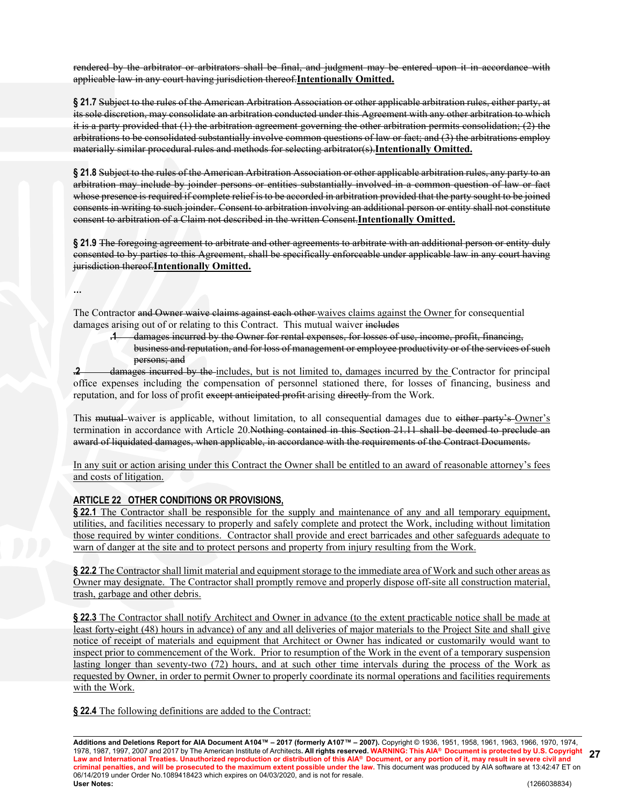rendered by the arbitrator or arbitrators shall be final, and judgment may be entered upon it in accordance with applicable law in any court having jurisdiction thereof.**Intentionally Omitted.**

**§ 21.7** Subject to the rules of the American Arbitration Association or other applicable arbitration rules, either party, at its sole discretion, may consolidate an arbitration conducted under this Agreement with any other arbitration to which it is a party provided that (1) the arbitration agreement governing the other arbitration permits consolidation; (2) the arbitrations to be consolidated substantially involve common questions of law or fact; and (3) the arbitrations employ materially similar procedural rules and methods for selecting arbitrator(s).**Intentionally Omitted.**

**§ 21.8** Subject to the rules of the American Arbitration Association or other applicable arbitration rules, any party to an arbitration may include by joinder persons or entities substantially involved in a common question of law or fact whose presence is required if complete relief is to be accorded in arbitration provided that the party sought to be joined consents in writing to such joinder. Consent to arbitration involving an additional person or entity shall not constitute consent to arbitration of a Claim not described in the written Consent.**Intentionally Omitted.**

**§ 21.9** The foregoing agreement to arbitrate and other agreements to arbitrate with an additional person or entity duly consented to by parties to this Agreement, shall be specifically enforceable under applicable law in any court having jurisdiction thereof.**Intentionally Omitted.**

**…**

The Contractor and Owner waive claims against each other waives claims against the Owner for consequential damages arising out of or relating to this Contract. This mutual waiver includes

**.1** damages incurred by the Owner for rental expenses, for losses of use, income, profit, financing,

business and reputation, and for loss of management or employee productivity or of the services of such persons; and

damages incurred by the includes, but is not limited to, damages incurred by the Contractor for principal office expenses including the compensation of personnel stationed there, for losses of financing, business and reputation, and for loss of profit except anticipated profit arising directly from the Work.

This mutual waiver is applicable, without limitation, to all consequential damages due to either party's Owner's termination in accordance with Article 20.Nothing contained in this Section 21.11 shall be deemed to preclude an award of liquidated damages, when applicable, in accordance with the requirements of the Contract Documents.

In any suit or action arising under this Contract the Owner shall be entitled to an award of reasonable attorney's fees and costs of litigation.

# **ARTICLE 22 OTHER CONDITIONS OR PROVISIONS,**

§ 22.1 The Contractor shall be responsible for the supply and maintenance of any and all temporary equipment, utilities, and facilities necessary to properly and safely complete and protect the Work, including without limitation those required by winter conditions. Contractor shall provide and erect barricades and other safeguards adequate to warn of danger at the site and to protect persons and property from injury resulting from the Work.

**§ 22.2** The Contractor shall limit material and equipment storage to the immediate area of Work and such other areas as Owner may designate. The Contractor shall promptly remove and properly dispose off-site all construction material, trash, garbage and other debris.

**§ 22.3** The Contractor shall notify Architect and Owner in advance (to the extent practicable notice shall be made at least forty-eight (48) hours in advance) of any and all deliveries of major materials to the Project Site and shall give notice of receipt of materials and equipment that Architect or Owner has indicated or customarily would want to inspect prior to commencement of the Work. Prior to resumption of the Work in the event of a temporary suspension lasting longer than seventy-two (72) hours, and at such other time intervals during the process of the Work as requested by Owner, in order to permit Owner to properly coordinate its normal operations and facilities requirements with the Work.

**§ 22.4** The following definitions are added to the Contract: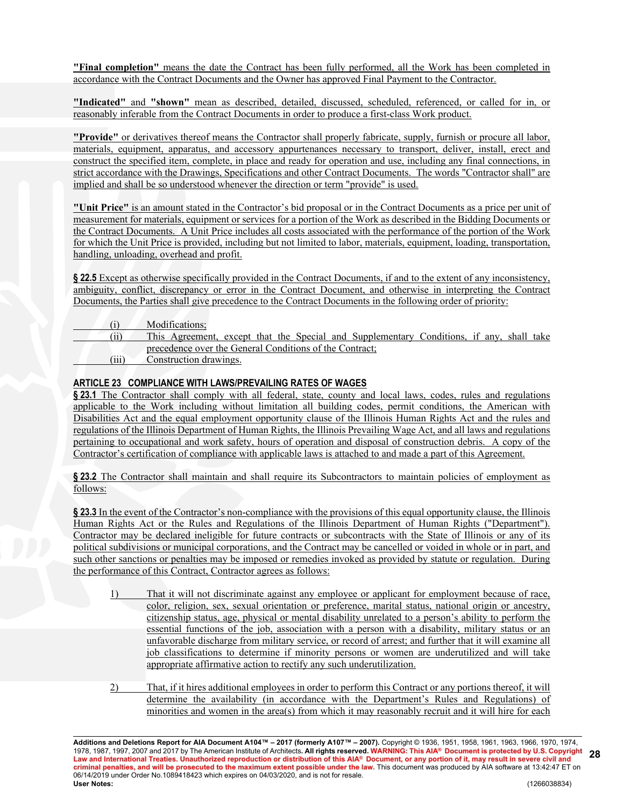**"Final completion"** means the date the Contract has been fully performed, all the Work has been completed in accordance with the Contract Documents and the Owner has approved Final Payment to the Contractor.

**"Indicated"** and **"shown"** mean as described, detailed, discussed, scheduled, referenced, or called for in, or reasonably inferable from the Contract Documents in order to produce a first-class Work product.

**"Provide"** or derivatives thereof means the Contractor shall properly fabricate, supply, furnish or procure all labor, materials, equipment, apparatus, and accessory appurtenances necessary to transport, deliver, install, erect and construct the specified item, complete, in place and ready for operation and use, including any final connections, in strict accordance with the Drawings, Specifications and other Contract Documents. The words "Contractor shall" are implied and shall be so understood whenever the direction or term "provide" is used.

**"Unit Price"** is an amount stated in the Contractor's bid proposal or in the Contract Documents as a price per unit of measurement for materials, equipment or services for a portion of the Work as described in the Bidding Documents or the Contract Documents. A Unit Price includes all costs associated with the performance of the portion of the Work for which the Unit Price is provided, including but not limited to labor, materials, equipment, loading, transportation, handling, unloading, overhead and profit.

**§ 22.5** Except as otherwise specifically provided in the Contract Documents, if and to the extent of any inconsistency, ambiguity, conflict, discrepancy or error in the Contract Document, and otherwise in interpreting the Contract Documents, the Parties shall give precedence to the Contract Documents in the following order of priority:

(i) Modifications; (ii) This Agreement, except that the Special and Supplementary Conditions, if any, shall take precedence over the General Conditions of the Contract; (iii) Construction drawings.

# **ARTICLE 23 COMPLIANCE WITH LAWS/PREVAILING RATES OF WAGES**

**§ 23.1** The Contractor shall comply with all federal, state, county and local laws, codes, rules and regulations applicable to the Work including without limitation all building codes, permit conditions, the American with Disabilities Act and the equal employment opportunity clause of the Illinois Human Rights Act and the rules and regulations of the Illinois Department of Human Rights, the Illinois Prevailing Wage Act, and all laws and regulations pertaining to occupational and work safety, hours of operation and disposal of construction debris. A copy of the Contractor's certification of compliance with applicable laws is attached to and made a part of this Agreement.

**§ 23.2** The Contractor shall maintain and shall require its Subcontractors to maintain policies of employment as follows:

**§ 23.3** In the event of the Contractor's non-compliance with the provisions of this equal opportunity clause, the Illinois Human Rights Act or the Rules and Regulations of the Illinois Department of Human Rights ("Department"). Contractor may be declared ineligible for future contracts or subcontracts with the State of Illinois or any of its political subdivisions or municipal corporations, and the Contract may be cancelled or voided in whole or in part, and such other sanctions or penalties may be imposed or remedies invoked as provided by statute or regulation. During the performance of this Contract, Contractor agrees as follows:

- 1) That it will not discriminate against any employee or applicant for employment because of race, color, religion, sex, sexual orientation or preference, marital status, national origin or ancestry, citizenship status, age, physical or mental disability unrelated to a person's ability to perform the essential functions of the job, association with a person with a disability, military status or an unfavorable discharge from military service, or record of arrest; and further that it will examine all job classifications to determine if minority persons or women are underutilized and will take appropriate affirmative action to rectify any such underutilization.
- 2) That, if it hires additional employees in order to perform this Contract or any portions thereof, it will determine the availability (in accordance with the Department's Rules and Regulations) of minorities and women in the area(s) from which it may reasonably recruit and it will hire for each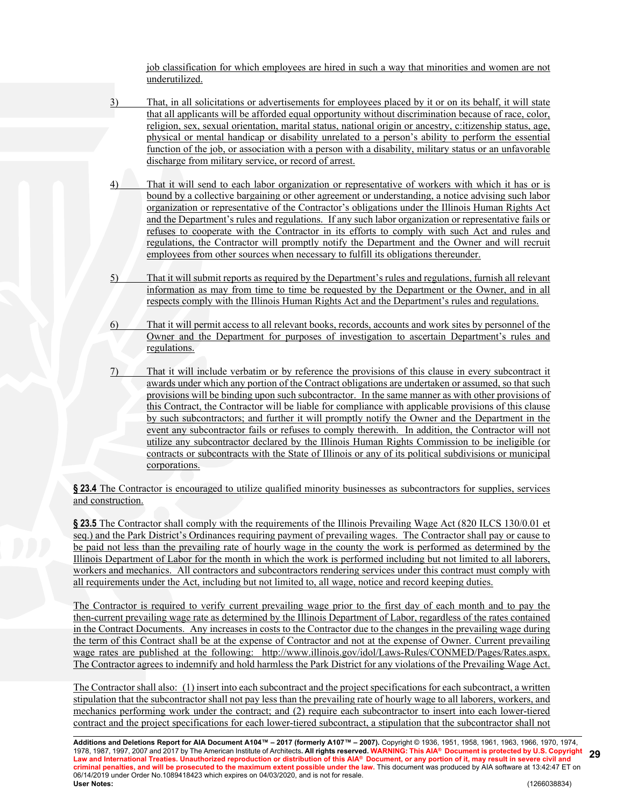job classification for which employees are hired in such a way that minorities and women are not underutilized.

- 3) That, in all solicitations or advertisements for employees placed by it or on its behalf, it will state that all applicants will be afforded equal opportunity without discrimination because of race, color, religion, sex, sexual orientation, marital status, national origin or ancestry, c:itizenship status, age, physical or mental handicap or disability unrelated to a person's ability to perform the essential function of the job, or association with a person with a disability, military status or an unfavorable discharge from military service, or record of arrest.
- That it will send to each labor organization or representative of workers with which it has or is bound by a collective bargaining or other agreement or understanding, a notice advising such labor organization or representative of the Contractor's obligations under the Illinois Human Rights Act and the Department's rules and regulations. If any such labor organization or representative fails or refuses to cooperate with the Contractor in its efforts to comply with such Act and rules and regulations, the Contractor will promptly notify the Department and the Owner and will recruit employees from other sources when necessary to fulfill its obligations thereunder.
- 5) That it will submit reports as required by the Department's rules and regulations, furnish all relevant information as may from time to time be requested by the Department or the Owner, and in all respects comply with the Illinois Human Rights Act and the Department's rules and regulations.
- 6) That it will permit access to all relevant books, records, accounts and work sites by personnel of the Owner and the Department for purposes of investigation to ascertain Department's rules and regulations.
- 7) That it will include verbatim or by reference the provisions of this clause in every subcontract it awards under which any portion of the Contract obligations are undertaken or assumed, so that such provisions will be binding upon such subcontractor. In the same manner as with other provisions of this Contract, the Contractor will be liable for compliance with applicable provisions of this clause by such subcontractors; and further it will promptly notify the Owner and the Department in the event any subcontractor fails or refuses to comply therewith. In addition, the Contractor will not utilize any subcontractor declared by the Illinois Human Rights Commission to be ineligible (or contracts or subcontracts with the State of Illinois or any of its political subdivisions or municipal corporations.

# **§ 23.4** The Contractor is encouraged to utilize qualified minority businesses as subcontractors for supplies, services and construction.

**§ 23.5** The Contractor shall comply with the requirements of the Illinois Prevailing Wage Act (820 ILCS 130/0.01 et seq.) and the Park District's Ordinances requiring payment of prevailing wages. The Contractor shall pay or cause to be paid not less than the prevailing rate of hourly wage in the county the work is performed as determined by the Illinois Department of Labor for the month in which the work is performed including but not limited to all laborers, workers and mechanics. All contractors and subcontractors rendering services under this contract must comply with all requirements under the Act, including but not limited to, all wage, notice and record keeping duties.

The Contractor is required to verify current prevailing wage prior to the first day of each month and to pay the then-current prevailing wage rate as determined by the Illinois Department of Labor, regardless of the rates contained in the Contract Documents. Any increases in costs to the Contractor due to the changes in the prevailing wage during the term of this Contract shall be at the expense of Contractor and not at the expense of Owner. Current prevailing wage rates are published at the following: http://www.illinois.gov/idol/Laws-Rules/CONMED/Pages/Rates.aspx. The Contractor agrees to indemnify and hold harmless the Park District for any violations of the Prevailing Wage Act.

The Contractor shall also: (1) insert into each subcontract and the project specifications for each subcontract, a written stipulation that the subcontractor shall not pay less than the prevailing rate of hourly wage to all laborers, workers, and mechanics performing work under the contract; and (2) require each subcontractor to insert into each lower-tiered contract and the project specifications for each lower-tiered subcontract, a stipulation that the subcontractor shall not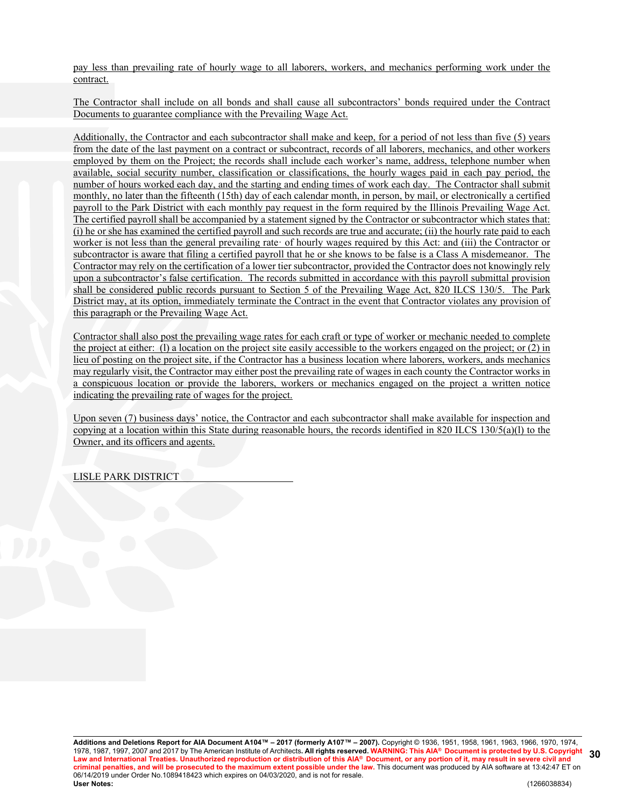pay less than prevailing rate of hourly wage to all laborers, workers, and mechanics performing work under the contract.

The Contractor shall include on all bonds and shall cause all subcontractors' bonds required under the Contract Documents to guarantee compliance with the Prevailing Wage Act.

Additionally, the Contractor and each subcontractor shall make and keep, for a period of not less than five (5) years from the date of the last payment on a contract or subcontract, records of all laborers, mechanics, and other workers employed by them on the Project; the records shall include each worker's name, address, telephone number when available, social security number, classification or classifications, the hourly wages paid in each pay period, the number of hours worked each day, and the starting and ending times of work each day. The Contractor shall submit monthly, no later than the fifteenth (15th) day of each calendar month, in person, by mail, or electronically a certified payroll to the Park District with each monthly pay request in the form required by the Illinois Prevailing Wage Act. The certified payroll shall be accompanied by a statement signed by the Contractor or subcontractor which states that: (i) he or she has examined the certified payroll and such records are true and accurate; (ii) the hourly rate paid to each worker is not less than the general prevailing rate· of hourly wages required by this Act: and (iii) the Contractor or subcontractor is aware that filing a certified payroll that he or she knows to be false is a Class A misdemeanor. The Contractor may rely on the certification of a lower tier subcontractor, provided the Contractor does not knowingly rely upon a subcontractor's false certification. The records submitted in accordance with this payroll submittal provision shall be considered public records pursuant to Section 5 of the Prevailing Wage Act, 820 ILCS 130/5. The Park District may, at its option, immediately terminate the Contract in the event that Contractor violates any provision of this paragraph or the Prevailing Wage Act.

Contractor shall also post the prevailing wage rates for each craft or type of worker or mechanic needed to complete the project at either: (l) a location on the project site easily accessible to the workers engaged on the project; or (2) in lieu of posting on the project site, if the Contractor has a business location where laborers, workers, ands mechanics may regularly visit, the Contractor may either post the prevailing rate of wages in each county the Contractor works in a conspicuous location or provide the laborers, workers or mechanics engaged on the project a written notice indicating the prevailing rate of wages for the project.

Upon seven (7) business days' notice, the Contractor and each subcontractor shall make available for inspection and copying at a location within this State during reasonable hours, the records identified in 820 ILCS 130/5(a)(l) to the Owner, and its officers and agents.

LISLE PARK DISTRICT